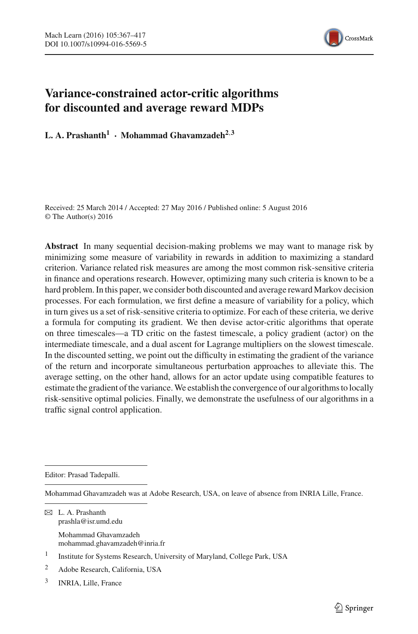

# **Variance-constrained actor-critic algorithms for discounted and average reward MDPs**

**L. A. Prashanth<sup>1</sup>** · **Mohammad Ghavamzadeh2**,**<sup>3</sup>**

Received: 25 March 2014 / Accepted: 27 May 2016 / Published online: 5 August 2016 © The Author(s) 2016

**Abstract** In many sequential decision-making problems we may want to manage risk by minimizing some measure of variability in rewards in addition to maximizing a standard criterion. Variance related risk measures are among the most common risk-sensitive criteria in finance and operations research. However, optimizing many such criteria is known to be a hard problem. In this paper, we consider both discounted and average reward Markov decision processes. For each formulation, we first define a measure of variability for a policy, which in turn gives us a set of risk-sensitive criteria to optimize. For each of these criteria, we derive a formula for computing its gradient. We then devise actor-critic algorithms that operate on three timescales—a TD critic on the fastest timescale, a policy gradient (actor) on the intermediate timescale, and a dual ascent for Lagrange multipliers on the slowest timescale. In the discounted setting, we point out the difficulty in estimating the gradient of the variance of the return and incorporate simultaneous perturbation approaches to alleviate this. The average setting, on the other hand, allows for an actor update using compatible features to estimate the gradient of the variance.We establish the convergence of our algorithms to locally risk-sensitive optimal policies. Finally, we demonstrate the usefulness of our algorithms in a traffic signal control application.

Editor: Prasad Tadepalli.

Mohammad Ghavamzadeh was at Adobe Research, USA, on leave of absence from INRIA Lille, France.

 $\boxtimes$  L. A. Prashanth prashla@isr.umd.edu

> Mohammad Ghavamzadeh mohammad.ghavamzadeh@inria.fr

3 INRIA, Lille, France

<sup>1</sup> Institute for Systems Research, University of Maryland, College Park, USA

<sup>2</sup> Adobe Research, California, USA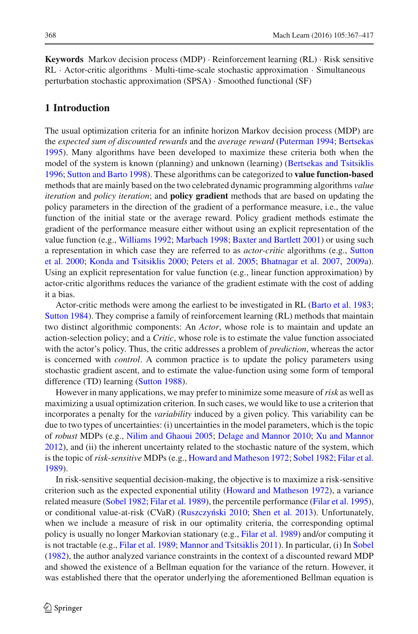**Keywords** Markov decision process (MDP) · Reinforcement learning (RL) · Risk sensitive RL · Actor-critic algorithms · Multi-time-scale stochastic approximation · Simultaneous perturbation stochastic approximation (SPSA) · Smoothed functional (SF)

# **1 Introduction**

The usual optimization criteria for an infinite horizon Markov decision process (MDP) are the *expected sum of discounted rewards* and the *average reward* [\(Puterman 1994](#page-49-0); [Bertsekas](#page-48-0) [1995](#page-48-0)). Many algorithms have been developed to maximize these criteria both when the model of the system is known (planning) and unknown (learning) [\(Bertsekas and Tsitsiklis](#page-48-1) [1996](#page-48-1); [Sutton and Barto 1998\)](#page-50-0). These algorithms can be categorized to **value function-based** methods that are mainly based on the two celebrated dynamic programming algorithms *value iteration* and *policy iteration*; and **policy gradient** methods that are based on updating the policy parameters in the direction of the gradient of a performance measure, i.e., the value function of the initial state or the average reward. Policy gradient methods estimate the gradient of the performance measure either without using an explicit representation of the value function (e.g., [Williams 1992](#page-50-1); [Marbach 1998;](#page-49-1) [Baxter and Bartlett 2001\)](#page-48-2) or using such a re[presentation in which case they are referred to as](#page-50-2) *actor-critic* algorithms (e.g., Sutton et al. [2000](#page-50-2); [Konda and Tsitsiklis 2000;](#page-49-2) [Peters et al. 2005;](#page-49-3) [Bhatnagar et al. 2007,](#page-48-3) [2009a\)](#page-48-4). Using an explicit representation for value function (e.g., linear function approximation) by actor-critic algorithms reduces the variance of the gradient estimate with the cost of adding it a bias.

Actor-critic methods were among the earliest to be investigated in RL [\(Barto et al. 1983](#page-48-5); [Sutton 1984\)](#page-50-3). They comprise a family of reinforcement learning (RL) methods that maintain two distinct algorithmic components: An *Actor*, whose role is to maintain and update an action-selection policy; and a *Critic*, whose role is to estimate the value function associated with the actor's policy. Thus, the critic addresses a problem of *prediction*, whereas the actor is concerned with *control*. A common practice is to update the policy parameters using stochastic gradient ascent, and to estimate the value-function using some form of temporal difference (TD) learning [\(Sutton 1988\)](#page-50-4).

However in many applications, we may prefer to minimize some measure of*risk* as well as maximizing a usual optimization criterion. In such cases, we would like to use a criterion that incorporates a penalty for the *variability* induced by a given policy. This variability can be due to two types of uncertainties: (i) uncertainties in the model parameters, which is the topic of *robust* MDPs (e.g., [Nilim and Ghaoui 2005;](#page-49-4) [Delage and Mannor 2010;](#page-49-5) [Xu and Mannor](#page-50-5) [2012](#page-50-5)), and (ii) the inherent uncertainty related to the stochastic nature of the system, which is the topic of *risk-sensitive* MDPs (e.g., [Howard and Matheson 1972](#page-49-6); [Sobel 1982;](#page-50-6) [Filar et al.](#page-49-7) [1989](#page-49-7)).

In risk-sensitive sequential decision-making, the objective is to maximize a risk-sensitive criterion such as the expected exponential utility [\(Howard and Matheson 1972](#page-49-6)), a variance related measure [\(Sobel 1982;](#page-50-6) [Filar et al. 1989](#page-49-7)), the percentile performance [\(Filar et al. 1995\)](#page-49-8), or conditional value-at-risk (CVaR) (Ruszczyński 2010; [Shen et al. 2013](#page-50-8)). Unfortunately, when we include a measure of risk in our optimality criteria, the corresponding optimal policy is usually no longer Markovian stationary (e.g., [Filar et al. 1989](#page-49-7)) and/or computing it is not tractable (e.g., [Filar et al. 1989;](#page-49-7) [Mannor and Tsitsiklis 2011\)](#page-49-9). In particular, (i) In [Sobel](#page-50-6) [\(1982](#page-50-6)), the author analyzed variance constraints in the context of a discounted reward MDP and showed the existence of a Bellman equation for the variance of the return. However, it was established there that the operator underlying the aforementioned Bellman equation is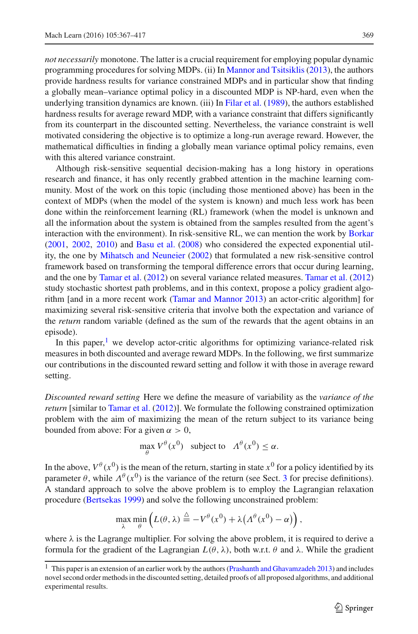*not necessarily* monotone. The latter is a crucial requirement for employing popular dynamic programming procedures for solving MDPs. (ii) In [Mannor and Tsitsiklis](#page-49-10) [\(2013](#page-49-10)), the authors provide hardness results for variance constrained MDPs and in particular show that finding a globally mean–variance optimal policy in a discounted MDP is NP-hard, even when the underlying transition dynamics are known. (iii) In [Filar et al.](#page-49-7) [\(1989\)](#page-49-7), the authors established hardness results for average reward MDP, with a variance constraint that differs significantly from its counterpart in the discounted setting. Nevertheless, the variance constraint is well motivated considering the objective is to optimize a long-run average reward. However, the mathematical difficulties in finding a globally mean variance optimal policy remains, even

with this altered variance constraint. Although risk-sensitive sequential decision-making has a long history in operations research and finance, it has only recently grabbed attention in the machine learning community. Most of the work on this topic (including those mentioned above) has been in the context of MDPs (when the model of the system is known) and much less work has been done within the reinforcement learning (RL) framework (when the model is unknown and all the information about the system is obtained from the samples resulted from the agent's interaction with the environment). In risk-sensitive RL, we can mention the work by [Borkar](#page-48-6) [\(2001](#page-48-6), [2002,](#page-48-7) [2010](#page-49-11)) and [Basu et al.](#page-48-8) [\(2008](#page-48-8)) who considered the expected exponential utility, the one by [Mihatsch and Neuneier](#page-49-12) [\(2002\)](#page-49-12) that formulated a new risk-sensitive control framework based on transforming the temporal difference errors that occur during learning, and the one by [Tamar et al.](#page-50-9) [\(2012](#page-50-9)) on several variance related measures. [Tamar et al.](#page-50-9) [\(2012\)](#page-50-9) study stochastic shortest path problems, and in this context, propose a policy gradient algorithm [and in a more recent work [\(Tamar and Mannor 2013\)](#page-50-10) an actor-critic algorithm] for maximizing several risk-sensitive criteria that involve both the expectation and variance of the *return* random variable (defined as the sum of the rewards that the agent obtains in an episode).

In this paper,<sup>[1](#page-2-0)</sup> we develop actor-critic algorithms for optimizing variance-related risk measures in both discounted and average reward MDPs. In the following, we first summarize our contributions in the discounted reward setting and follow it with those in average reward setting.

*Discounted reward setting* Here we define the measure of variability as the *variance of the return* [similar to [Tamar et al.](#page-50-9) [\(2012](#page-50-9))]. We formulate the following constrained optimization problem with the aim of maximizing the mean of the return subject to its variance being bounded from above: For a given  $\alpha > 0$ ,

$$
\max_{\theta} V^{\theta}(x^0) \text{ subject to } \Lambda^{\theta}(x^0) \le \alpha.
$$

In the above,  $V^{\theta}(x^0)$  is the mean of the return, starting in state  $x^0$  for a policy identified by its parameter  $\theta$ , while  $\Lambda^{\theta}(x^0)$  is the variance of the return (see Sect. [3](#page-6-0) for precise definitions). A standard approach to solve the above problem is to employ the Lagrangian relaxation procedure [\(Bertsekas 1999\)](#page-48-9) and solve the following unconstrained problem:

$$
\max_{\lambda} \min_{\theta} \left( L(\theta, \lambda) \stackrel{\Delta}{=} -V^{\theta}(x^0) + \lambda \left( \Lambda^{\theta}(x^0) - \alpha \right) \right),
$$

where  $\lambda$  is the Lagrange multiplier. For solving the above problem, it is required to derive a formula for the gradient of the Lagrangian *L*(θ , λ), both w.r.t. θ and λ. While the gradient

<span id="page-2-0"></span><sup>&</sup>lt;sup>1</sup> This paper is an extension of an earlier work by the authors [\(Prashanth and Ghavamzadeh 2013](#page-49-13)) and includes novel second order methods in the discounted setting, detailed proofs of all proposed algorithms, and additional experimental results.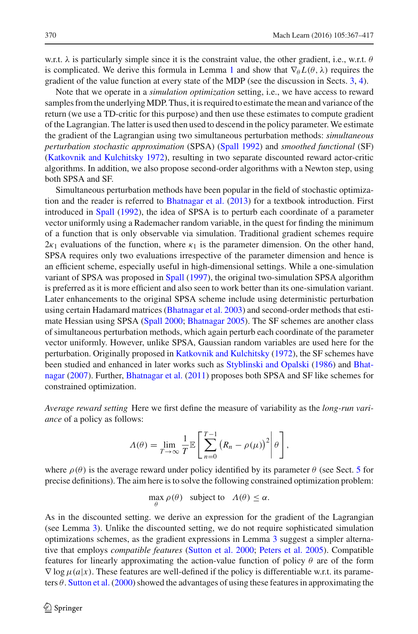w.r.t.  $\lambda$  is particularly simple since it is the constraint value, the other gradient, i.e., w.r.t.  $\theta$ is complicated. We derive this formula in Lemma [1](#page-8-0) and show that  $\nabla_{\theta} L(\theta, \lambda)$  requires the gradient of the value function at every state of the MDP (see the discussion in Sects. [3,](#page-6-0) [4\)](#page-10-0).

Note that we operate in a *simulation optimization* setting, i.e., we have access to reward samples from the underlyingMDP. Thus, it is required to estimate the mean and variance of the return (we use a TD-critic for this purpose) and then use these estimates to compute gradient of the Lagrangian. The latter is used then used to descend in the policy parameter. We estimate the gradient of the Lagrangian using two simultaneous perturbation methods: *simultaneous perturbation stochastic approximation* (SPSA) [\(Spall 1992](#page-50-11)) and *smoothed functional* (SF) [\(Katkovnik and Kulchitsky 1972\)](#page-49-14), resulting in two separate discounted reward actor-critic algorithms. In addition, we also propose second-order algorithms with a Newton step, using both SPSA and SF.

Simultaneous perturbation methods have been popular in the field of stochastic optimization and the reader is referred to [Bhatnagar et al.](#page-48-10) [\(2013\)](#page-48-10) for a textbook introduction. First introduced in [Spall](#page-50-11) [\(1992\)](#page-50-11), the idea of SPSA is to perturb each coordinate of a parameter vector uniformly using a Rademacher random variable, in the quest for finding the minimum of a function that is only observable via simulation. Traditional gradient schemes require  $2\kappa_1$  evaluations of the function, where  $\kappa_1$  is the parameter dimension. On the other hand, SPSA requires only two evaluations irrespective of the parameter dimension and hence is an efficient scheme, especially useful in high-dimensional settings. While a one-simulation variant of SPSA was proposed in [Spall](#page-50-12) [\(1997](#page-50-12)), the original two-simulation SPSA algorithm is preferred as it is more efficient and also seen to work better than its one-simulation variant. Later enhancements to the original SPSA scheme include using deterministic perturbation using certain Hadamard matrices [\(Bhatnagar et al. 2003\)](#page-48-11) and second-order methods that estimate Hessian using SPSA [\(Spall 2000](#page-50-13); [Bhatnagar 2005](#page-48-12)). The SF schemes are another class of simultaneous perturbation methods, which again perturb each coordinate of the parameter vector uniformly. However, unlike SPSA, Gaussian random variables are used here for the perturbation. Originally proposed in [Katkovnik and Kulchitsky](#page-49-14) [\(1972\)](#page-49-14), the SF schemes have been [studied and enhanced in later works such as](#page-48-13) [Styblinski and Opalski](#page-50-14) [\(1986\)](#page-50-14) and Bhatnagar [\(2007\)](#page-48-13). Further, [Bhatnagar et al.](#page-48-14) [\(2011\)](#page-48-14) proposes both SPSA and SF like schemes for constrained optimization.

*Average reward setting* Here we first define the measure of variability as the *long-run variance* of a policy as follows:

$$
\Lambda(\theta) = \lim_{T \to \infty} \frac{1}{T} \mathbb{E} \left[ \sum_{n=0}^{T-1} \left( R_n - \rho(\mu) \right)^2 \middle| \theta \right],
$$

where  $\rho(\theta)$  is the average reward under policy identified by its parameter  $\theta$  (see Sect. [5](#page-20-0) for precise definitions). The aim here is to solve the following constrained optimization problem:

$$
\max_{\theta} \rho(\theta) \quad \text{subject to} \quad \Lambda(\theta) \le \alpha.
$$

As in the discounted setting. we derive an expression for the gradient of the Lagrangian (see Lemma [3\)](#page-21-0). Unlike the discounted setting, we do not require sophisticated simulation optimizations schemes, as the gradient expressions in Lemma [3](#page-21-0) suggest a simpler alternative that employs *compatible features* [\(Sutton et al. 2000](#page-50-2); [Peters et al. 2005](#page-49-3)). Compatible features for linearly approximating the action-value function of policy  $\theta$  are of the form  $\nabla$  log  $\mu$ (*a*|*x*). These features are well-defined if the policy is differentiable w.r.t. its parameters  $\theta$ . [Sutton et al.](#page-50-2) [\(2000](#page-50-2)) showed the advantages of using these features in approximating the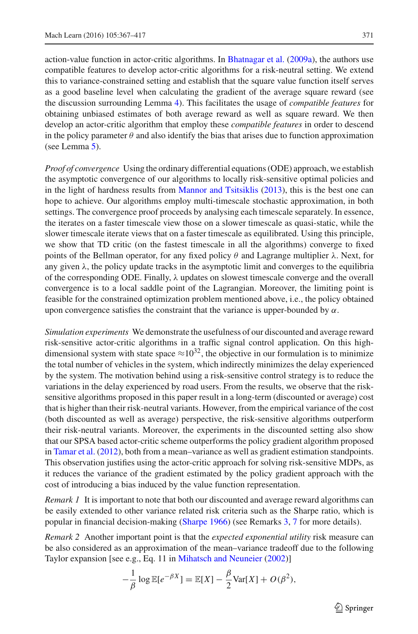action-value function in actor-critic algorithms. In [Bhatnagar et al.](#page-48-4) [\(2009a](#page-48-4)), the authors use compatible features to develop actor-critic algorithms for a risk-neutral setting. We extend this to variance-constrained setting and establish that the square value function itself serves as a good baseline level when calculating the gradient of the average square reward (see the discussion surrounding Lemma [4\)](#page-22-0). This facilitates the usage of *compatible features* for obtaining unbiased estimates of both average reward as well as square reward. We then develop an actor-critic algorithm that employ these *compatible features* in order to descend in the policy parameter  $\theta$  and also identify the bias that arises due to function approximation (see Lemma [5\)](#page-24-0).

*Proof of convergence* Using the ordinary differential equations (ODE) approach, we establish the asymptotic convergence of our algorithms to locally risk-sensitive optimal policies and in the light of hardness results from [Mannor and Tsitsiklis](#page-49-10) [\(2013\)](#page-49-10), this is the best one can hope to achieve. Our algorithms employ multi-timescale stochastic approximation, in both settings. The convergence proof proceeds by analysing each timescale separately. In essence, the iterates on a faster timescale view those on a slower timescale as quasi-static, while the slower timescale iterate views that on a faster timescale as equilibrated. Using this principle, we show that TD critic (on the fastest timescale in all the algorithms) converge to fixed points of the Bellman operator, for any fixed policy  $\theta$  and Lagrange multiplier  $\lambda$ . Next, for any given  $\lambda$ , the policy update tracks in the asymptotic limit and converges to the equilibria of the corresponding ODE. Finally,  $\lambda$  updates on slowest timescale converge and the overall convergence is to a local saddle point of the Lagrangian. Moreover, the limiting point is feasible for the constrained optimization problem mentioned above, i.e., the policy obtained upon convergence satisfies the constraint that the variance is upper-bounded by  $\alpha$ .

*Simulation experiments* We demonstrate the usefulness of our discounted and average reward risk-sensitive actor-critic algorithms in a traffic signal control application. On this highdimensional system with state space  $\approx 10^{32}$ , the objective in our formulation is to minimize the total number of vehicles in the system, which indirectly minimizes the delay experienced by the system. The motivation behind using a risk-sensitive control strategy is to reduce the variations in the delay experienced by road users. From the results, we observe that the risksensitive algorithms proposed in this paper result in a long-term (discounted or average) cost that is higher than their risk-neutral variants. However, from the empirical variance of the cost (both discounted as well as average) perspective, the risk-sensitive algorithms outperform their risk-neutral variants. Moreover, the experiments in the discounted setting also show that our SPSA based actor-critic scheme outperforms the policy gradient algorithm proposed in [Tamar et al.](#page-50-9) [\(2012](#page-50-9)), both from a mean–variance as well as gradient estimation standpoints. This observation justifies using the actor-critic approach for solving risk-sensitive MDPs, as it reduces the variance of the gradient estimated by the policy gradient approach with the cost of introducing a bias induced by the value function representation.

*Remark 1* It is important to note that both our discounted and average reward algorithms can be easily extended to other variance related risk criteria such as the Sharpe ratio, which is popular in financial decision-making [\(Sharpe 1966](#page-50-15)) (see Remarks [3,](#page-16-0) [7](#page-24-1) for more details).

*Remark 2* Another important point is that the *expected exponential utility* risk measure can be also considered as an approximation of the mean–variance tradeoff due to the following Taylor expansion [see e.g., Eq. 11 in [Mihatsch and Neuneier](#page-49-12) [\(2002](#page-49-12))]

$$
-\frac{1}{\beta}\log \mathbb{E}[e^{-\beta X}] = \mathbb{E}[X] - \frac{\beta}{2}\text{Var}[X] + O(\beta^2),
$$

 $\circled{2}$  Springer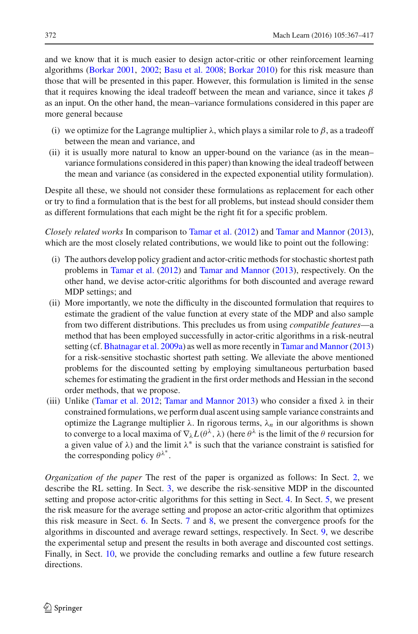and we know that it is much easier to design actor-critic or other reinforcement learning algorithms [\(Borkar 2001,](#page-48-6) [2002](#page-48-7); [Basu et al. 2008](#page-48-8); [Borkar 2010\)](#page-49-11) for this risk measure than those that will be presented in this paper. However, this formulation is limited in the sense that it requires knowing the ideal tradeoff between the mean and variance, since it takes  $\beta$ as an input. On the other hand, the mean–variance formulations considered in this paper are more general because

- (i) we optimize for the Lagrange multiplier  $\lambda$ , which plays a similar role to  $\beta$ , as a tradeoff between the mean and variance, and
- (ii) it is usually more natural to know an upper-bound on the variance (as in the mean– variance formulations considered in this paper) than knowing the ideal tradeoff between the mean and variance (as considered in the expected exponential utility formulation).

Despite all these, we should not consider these formulations as replacement for each other or try to find a formulation that is the best for all problems, but instead should consider them as different formulations that each might be the right fit for a specific problem.

*Closely related works* In comparison to [Tamar et al.](#page-50-9) [\(2012\)](#page-50-9) and [Tamar and Mannor](#page-50-10) [\(2013\)](#page-50-10), which are the most closely related contributions, we would like to point out the following:

- (i) The authors develop policy gradient and actor-critic methods for stochastic shortest path problems in [Tamar et al.](#page-50-9) [\(2012](#page-50-9)) and [Tamar and Mannor](#page-50-10) [\(2013\)](#page-50-10), respectively. On the other hand, we devise actor-critic algorithms for both discounted and average reward MDP settings; and
- (ii) More importantly, we note the difficulty in the discounted formulation that requires to estimate the gradient of the value function at every state of the MDP and also sample from two different distributions. This precludes us from using *compatible features*—a method that has been employed successfully in actor-critic algorithms in a risk-neutral setting (cf. [Bhatnagar et al. 2009a](#page-48-4)) as well as more recently in Tamar and Mannor (2013) for a risk-sensitive stochastic shortest path setting. We alleviate the above mentioned problems for the discounted setting by employing simultaneous perturbation based schemes for estimating the gradient in the first order methods and Hessian in the second order methods, that we propose.
- (iii) Unlike [\(Tamar et al. 2012](#page-50-9); [Tamar and Mannor 2013](#page-50-10)) who consider a fixed  $\lambda$  in their constrained formulations, we perform dual ascent using sample variance constraints and optimize the Lagrange multiplier  $\lambda$ . In rigorous terms,  $\lambda_n$  in our algorithms is shown to converge to a local maxima of  $\nabla_{\lambda} L(\theta^{\lambda}, \lambda)$  (here  $\theta^{\lambda}$  is the limit of the  $\theta$  recursion for a given value of  $\lambda$ ) and the limit  $\lambda^*$  is such that the variance constraint is satisfied for the corresponding policy  $\theta^{\lambda^*}$ .

*Organization of the paper* The rest of the paper is organized as follows: In Sect. [2,](#page-6-1) we describe the RL setting. In Sect. [3,](#page-6-0) we describe the risk-sensitive MDP in the discounted setting and propose actor-critic algorithms for this setting in Sect. [4.](#page-10-0) In Sect. [5,](#page-20-0) we present the risk measure for the average setting and propose an actor-critic algorithm that optimizes this risk measure in Sect. [6.](#page-23-0) In Sects. [7](#page-25-0) and [8,](#page-35-0) we present the convergence proofs for the algorithms in discounted and average reward settings, respectively. In Sect. [9,](#page-38-0) we describe the experimental setup and present the results in both average and discounted cost settings. Finally, in Sect. [10,](#page-47-0) we provide the concluding remarks and outline a few future research directions.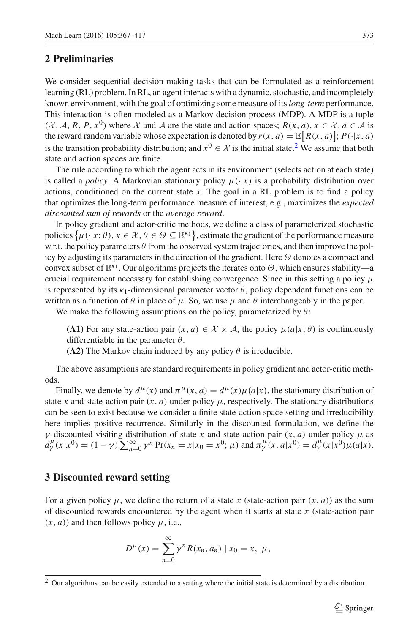### <span id="page-6-1"></span>**2 Preliminaries**

We consider sequential decision-making tasks that can be formulated as a reinforcement learning (RL) problem. In RL, an agent interacts with a dynamic, stochastic, and incompletely known environment, with the goal of optimizing some measure of its*long-term* performance. This interaction is often modeled as a Markov decision process (MDP). A MDP is a tuple  $(X, \mathcal{A}, R, P, x^0)$  where X and A are the state and action spaces;  $R(x, a)$ ,  $x \in \mathcal{X}, a \in \mathcal{A}$  is the reward random variable whose expectation is denoted by  $r(x, a) = \mathbb{E}[R(x, a)]; P(\cdot|x, a)$ is the transition probability distribution; and  $x^0 \in \mathcal{X}$  is the initial state.<sup>[2](#page-6-2)</sup> We assume that both state and action spaces are finite.

The rule according to which the agent acts in its environment (selects action at each state) is called a *policy*. A Markovian stationary policy  $\mu(\cdot|x)$  is a probability distribution over actions, conditioned on the current state  $x$ . The goal in a RL problem is to find a policy that optimizes the long-term performance measure of interest, e.g., maximizes the *expected discounted sum of rewards* or the *average reward*.

In policy gradient and actor-critic methods, we define a class of parameterized stochastic policies  $\{\mu(\cdot|x;\theta), x \in \mathcal{X}, \theta \in \Theta \subseteq \mathbb{R}^{k_1}\}\)$ , estimate the gradient of the performance measure w.r.t. the policy parameters  $\theta$  from the observed system trajectories, and then improve the policy by adjusting its parameters in the direction of the gradient. Here  $\Theta$  denotes a compact and convex subset of  $\mathbb{R}^{k_1}$ . Our algorithms projects the iterates onto  $\Theta$ , which ensures stability—a crucial requirement necessary for establishing convergence. Since in this setting a policy  $\mu$ is represented by its  $\kappa_1$ -dimensional parameter vector  $\theta$ , policy dependent functions can be written as a function of  $\theta$  in place of  $\mu$ . So, we use  $\mu$  and  $\theta$  interchangeably in the paper.

We make the following assumptions on the policy, parameterized by  $\theta$ :

**(A1)** For any state-action pair  $(x, a) \in \mathcal{X} \times \mathcal{A}$ , the policy  $\mu(a|x; \theta)$  is continuously differentiable in the parameter  $\theta$ .

**(A2)** The Markov chain induced by any policy  $\theta$  is irreducible.

The above assumptions are standard requirements in policy gradient and actor-critic methods.

Finally, we denote by  $d^{\mu}(x)$  and  $\pi^{\mu}(x, a) = d^{\mu}(x) \mu(a|x)$ , the stationary distribution of state *x* and state-action pair  $(x, a)$  under policy  $\mu$ , respectively. The stationary distributions can be seen to exist because we consider a finite state-action space setting and irreducibility here implies positive recurrence. Similarly in the discounted formulation, we define the γ -discounted visiting distribution of state *x* and state-action pair (*x*, *a*) under policy μ as  $d_Y^{\mu}(x|x^0) = (1 - \gamma) \sum_{n=0}^{\infty} \gamma^n \Pr(x_n = x|x_0 = x^0; \mu)$  and  $\pi_Y^{\mu}(x, a|x^0) = d_Y^{\mu}(x|x^0) \mu(a|x).$ 

#### <span id="page-6-0"></span>**3 Discounted reward setting**

For a given policy  $\mu$ , we define the return of a state x (state-action pair  $(x, a)$ ) as the sum of discounted rewards encountered by the agent when it starts at state *x* (state-action pair  $(x, a)$ ) and then follows policy  $\mu$ , i.e.,

$$
D^{\mu}(x) = \sum_{n=0}^{\infty} \gamma^{n} R(x_n, a_n) | x_0 = x, \mu,
$$

<span id="page-6-2"></span><sup>&</sup>lt;sup>2</sup> Our algorithms can be easily extended to a setting where the initial state is determined by a distribution.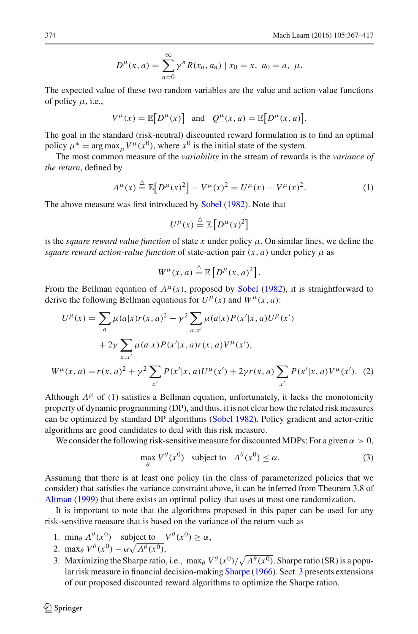$$
D^{\mu}(x, a) = \sum_{n=0}^{\infty} \gamma^{n} R(x_n, a_n) | x_0 = x, a_0 = a, \mu.
$$

The expected value of these two random variables are the value and action-value functions of policy  $\mu$ , i.e.,

$$
V^{\mu}(x) = \mathbb{E}\big[D^{\mu}(x)\big] \text{ and } Q^{\mu}(x,a) = \mathbb{E}\big[D^{\mu}(x,a)\big].
$$

The goal in the standard (risk-neutral) discounted reward formulation is to find an optimal policy  $\mu^* = \arg \max_{\mu} V^{\mu}(x^0)$ , where  $x^0$  is the initial state of the system.

The most common measure of the *variability* in the stream of rewards is the *variance of the return*, defined by

$$
A^{\mu}(x) \stackrel{\triangle}{=} \mathbb{E}[D^{\mu}(x)^{2}] - V^{\mu}(x)^{2} = U^{\mu}(x) - V^{\mu}(x)^{2}.
$$
 (1)

The above measure was first introduced by [Sobel](#page-50-6) [\(1982\)](#page-50-6). Note that

<span id="page-7-0"></span>
$$
U^{\mu}(x) \stackrel{\triangle}{=} \mathbb{E}\left[D^{\mu}(x)^2\right]
$$

is the *square reward value function* of state x under policy  $\mu$ . On similar lines, we define the *square reward action-value function* of state-action pair  $(x, a)$  under policy  $\mu$  as

<span id="page-7-2"></span>
$$
W^{\mu}(x,a) \stackrel{\triangle}{=} \mathbb{E}\left[D^{\mu}(x,a)^2\right].
$$

From the Bellman equation of  $\Lambda^{\mu}(x)$ , proposed by [Sobel](#page-50-6) [\(1982](#page-50-6)), it is straightforward to derive the following Bellman equations for  $U^{\mu}(x)$  and  $W^{\mu}(x, a)$ :

$$
U^{\mu}(x) = \sum_{a} \mu(a|x)r(x,a)^{2} + \gamma^{2} \sum_{a,x'} \mu(a|x)P(x'|x,a)U^{\mu}(x')
$$
  
+2\gamma \sum\_{a,x'} \mu(a|x)P(x'|x,a)r(x,a)V^{\mu}(x'),  

$$
W^{\mu}(x,a) = r(x,a)^{2} + \gamma^{2} \sum_{x'} P(x'|x,a)U^{\mu}(x') + 2\gamma r(x,a) \sum_{x'} P(x'|x,a)V^{\mu}(x'). (2)
$$

Although  $\Lambda^{\mu}$  of [\(1\)](#page-7-0) satisfies a Bellman equation, unfortunately, it lacks the monotonicity property of dynamic programming (DP), and thus, it is not clear how the related risk measures can be optimized by standard DP algorithms [\(Sobel 1982\)](#page-50-6). Policy gradient and actor-critic algorithms are good candidates to deal with this risk measure.

<span id="page-7-1"></span>We consider the following risk-sensitive measure for discounted MDPs: For a given  $\alpha > 0$ ,

$$
\max_{\theta} V^{\theta}(x^0) \quad \text{subject to} \quad A^{\theta}(x^0) \le \alpha. \tag{3}
$$

Assuming that there is at least one policy (in the class of parameterized policies that we consider) that satisfies the variance constraint above, it can be inferred from Theorem 3.8 of [Altman](#page-48-15) [\(1999](#page-48-15)) that there exists an optimal policy that uses at most one randomization.

It is important to note that the algorithms proposed in this paper can be used for any risk-sensitive measure that is based on the variance of the return such as

- 1. min<sub>θ</sub>  $\Lambda^{\theta}(x^0)$  subject to  $V^{\theta}(x^0) \ge \alpha$ ,
- 2. max $\theta V^{\theta}(x^0) \alpha \sqrt{\Lambda^{\theta}(x^0)},$
- 3. Maximizing the Sharpe ratio, i.e.,  $\max_{\theta} V^{\theta}(x^0)/\sqrt{\Lambda^{\theta}(x^0)}$ . Sharpe ratio (SR) is a popular risk measure in financial decision-making [Sharpe](#page-50-15) [\(1966\)](#page-50-15). Sect. [3](#page-6-0) presents extensions of our proposed discounted reward algorithms to optimize the Sharpe ration.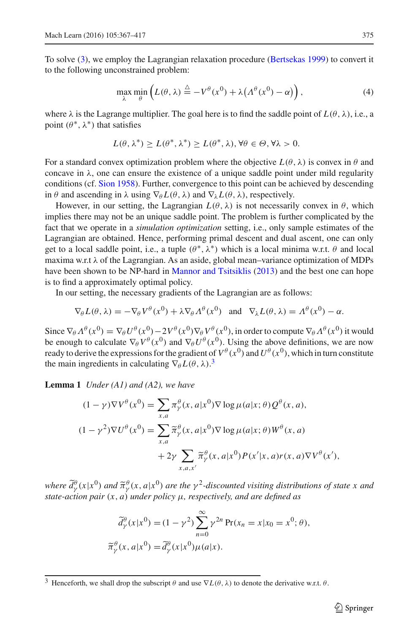To solve [\(3\)](#page-7-1), we employ the Lagrangian relaxation procedure [\(Bertsekas 1999](#page-48-9)) to convert it to the following unconstrained problem:

$$
\max_{\lambda} \min_{\theta} \left( L(\theta, \lambda) \stackrel{\Delta}{=} -V^{\theta}(x^0) + \lambda \left( \Lambda^{\theta}(x^0) - \alpha \right) \right), \tag{4}
$$

where  $\lambda$  is the Lagrange multiplier. The goal here is to find the saddle point of  $L(\theta, \lambda)$ , i.e., a point  $(\theta^*, \lambda^*)$  that satisfies

$$
L(\theta, \lambda^*) \ge L(\theta^*, \lambda^*) \ge L(\theta^*, \lambda), \forall \theta \in \Theta, \forall \lambda > 0.
$$

For a standard convex optimization problem where the objective  $L(\theta, \lambda)$  is convex in  $\theta$  and concave in  $\lambda$ , one can ensure the existence of a unique saddle point under mild regularity conditions (cf. [Sion 1958](#page-50-16)). Further, convergence to this point can be achieved by descending in  $\theta$  and ascending in  $\lambda$  using  $\nabla_{\theta} L(\theta, \lambda)$  and  $\nabla_{\lambda} L(\theta, \lambda)$ , respectively.

However, in our setting, the Lagrangian  $L(\theta, \lambda)$  is not necessarily convex in  $\theta$ , which implies there may not be an unique saddle point. The problem is further complicated by the fact that we operate in a *simulation optimization* setting, i.e., only sample estimates of the Lagrangian are obtained. Hence, performing primal descent and dual ascent, one can only get to a local saddle point, i.e., a tuple  $(\theta^*, \lambda^*)$  which is a local minima w.r.t.  $\theta$  and local maxima w.r.t  $\lambda$  of the Lagrangian. As an aside, global mean–variance optimization of MDPs have been shown to be NP-hard in [Mannor and Tsitsiklis](#page-49-10) [\(2013\)](#page-49-10) and the best one can hope is to find a approximately optimal policy.

In our setting, the necessary gradients of the Lagrangian are as follows:

$$
\nabla_{\theta} L(\theta, \lambda) = -\nabla_{\theta} V^{\theta}(x^{0}) + \lambda \nabla_{\theta} \Lambda^{\theta}(x^{0}) \text{ and } \nabla_{\lambda} L(\theta, \lambda) = \Lambda^{\theta}(x^{0}) - \alpha.
$$

Since  $\nabla_{\theta} \Lambda^{\theta}(x^0) = \nabla_{\theta} U^{\theta}(x^0) - 2V^{\theta}(x^0) \nabla_{\theta} V^{\theta}(x^0)$ , in order to compute  $\nabla_{\theta} \Lambda^{\theta}(x^0)$  it would be enough to calculate  $\nabla_{\theta} V^{\theta}(x^0)$  and  $\nabla_{\theta} U^{\theta}(x^0)$ . Using the above definitions, we are now ready to derive the expressions for the gradient of  $V^\theta(x^0)$  and  $U^\theta(x^0)$ , which in turn constitute the main ingredients in calculating  $\nabla_{\theta} L(\theta, \lambda)$ .<sup>[3](#page-8-1)</sup>

<span id="page-8-0"></span>**Lemma 1** *Under (A1) and (A2), we have*

$$
(1 - \gamma) \nabla V^{\theta}(x^{0}) = \sum_{x,a} \pi_{\gamma}^{\theta}(x, a | x^{0}) \nabla \log \mu(a | x; \theta) Q^{\theta}(x, a),
$$
  

$$
(1 - \gamma^{2}) \nabla U^{\theta}(x^{0}) = \sum_{x,a} \tilde{\pi}_{\gamma}^{\theta}(x, a | x^{0}) \nabla \log \mu(a | x; \theta) W^{\theta}(x, a)
$$

$$
+ 2\gamma \sum_{x,a,x'} \tilde{\pi}_{\gamma}^{\theta}(x, a | x^{0}) P(x' | x, a) r(x, a) \nabla V^{\theta}(x'),
$$

*where*  $\tilde{d}_{\gamma}^{\theta}(x|x^0)$  *and*  $\tilde{\pi}_{\gamma}^{\theta}(x,a|x^0)$  *are the*  $\gamma^2$ -discounted visiting distributions of state x and *state-action pair* (*x*, *a*) *under policy* μ*, respectively, and are defined as*

$$
\widetilde{d}_{\gamma}^{\theta}(x|x^{0}) = (1 - \gamma^{2}) \sum_{n=0}^{\infty} \gamma^{2n} \Pr(x_{n} = x|x_{0} = x^{0}; \theta),
$$

$$
\widetilde{\pi}_{\gamma}^{\theta}(x, a|x^{0}) = \widetilde{d}_{\gamma}^{\theta}(x|x^{0}) \mu(a|x).
$$

<span id="page-8-1"></span><sup>&</sup>lt;sup>3</sup> Henceforth, we shall drop the subscript  $\theta$  and use  $\nabla L(\theta, \lambda)$  to denote the derivative w.r.t.  $\theta$ .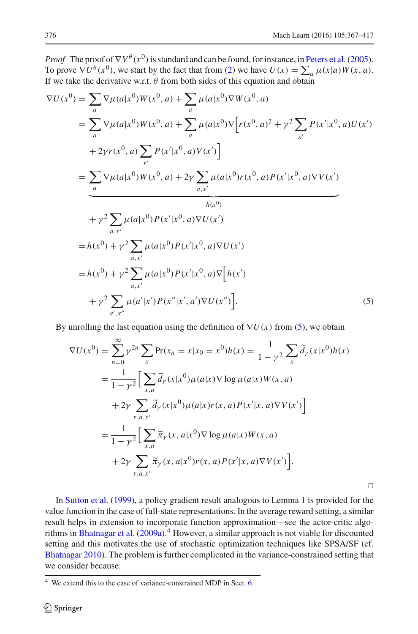<span id="page-9-0"></span>⊓⊔

*Proof* The proof of  $\nabla V^{\theta}(x^0)$  is standard and can be found, for instance, in Peters et al. (2005). To prove  $\nabla U^{\theta}(x^0)$ , we start by the fact that from [\(2\)](#page-7-2) we have  $U(x) = \sum_a \mu(x|a)W(x, a)$ . If we take the derivative w.r.t.  $\theta$  from both sides of this equation and obtain

$$
\nabla U(x^{0}) = \sum_{a} \nabla \mu(a|x^{0}) W(x^{0}, a) + \sum_{a} \mu(a|x^{0}) \nabla W(x^{0}, a)
$$
  
\n
$$
= \sum_{a} \nabla \mu(a|x^{0}) W(x^{0}, a) + \sum_{a} \mu(a|x^{0}) \nabla [r(x^{0}, a)^{2} + \gamma^{2} \sum_{x'} P(x'|x^{0}, a) U(x') + 2 \gamma r(x^{0}, a) \sum_{x'} P(x'|x^{0}, a) V(x')]
$$
  
\n
$$
= \underbrace{\sum_{a} \nabla \mu(a|x^{0}) W(x^{0}, a) + 2 \gamma \sum_{a,x'} \mu(a|x^{0}) r(x^{0}, a) P(x'|x^{0}, a) \nabla V(x')}_{h(x^{0})}
$$
  
\n
$$
+ \gamma^{2} \sum_{a,x'} \mu(a|x^{0}) P(x'|x^{0}, a) \nabla U(x')
$$
  
\n
$$
= h(x^{0}) + \gamma^{2} \sum_{a,x'} \mu(a|x^{0}) P(x'|x^{0}, a) \nabla U(x')
$$
  
\n
$$
+ \gamma^{2} \sum_{a',x''} \mu(a|x^{0}) P(x'|x', a') \nabla U(x'')
$$
  
\n
$$
+ \gamma^{2} \sum_{a',x''} \mu(a'|x') P(x''|x', a') \nabla U(x'')
$$
  
\n(5)

By unrolling the last equation using the definition of  $\nabla U(x)$  from [\(5\)](#page-9-0), we obtain

$$
\nabla U(x^{0}) = \sum_{n=0}^{\infty} \gamma^{2n} \sum_{x} \Pr(x_{n} = x | x_{0} = x^{0}) h(x) = \frac{1}{1 - \gamma^{2}} \sum_{x} \tilde{d}_{\gamma}(x | x^{0}) h(x)
$$
  
= 
$$
\frac{1}{1 - \gamma^{2}} \Big[ \sum_{x, a} \tilde{d}_{\gamma}(x | x^{0}) \mu(a | x) \nabla \log \mu(a | x) W(x, a)
$$
  
+ 
$$
2\gamma \sum_{x, a, x'} \tilde{d}_{\gamma}(x | x^{0}) \mu(a | x) r(x, a) P(x' | x, a) \nabla V(x') \Big]
$$
  
= 
$$
\frac{1}{1 - \gamma^{2}} \Big[ \sum_{x, a} \tilde{\pi}_{\gamma}(x, a | x^{0}) \nabla \log \mu(a | x) W(x, a)
$$
  
+ 
$$
2\gamma \sum_{x, a, x'} \tilde{\pi}_{\gamma}(x, a | x^{0}) r(x, a) P(x' | x, a) \nabla V(x') \Big].
$$

In [Sutton et al.](#page-50-17) [\(1999](#page-50-17)), a policy gradient result analogous to Lemma [1](#page-8-0) is provided for the value function in the case of full-state representations. In the average reward setting, a similar result helps in extension to incorporate function approximation—see the actor-critic algo-rithms in [Bhatnagar et al.](#page-48-4)  $(2009a)$  $(2009a)$ .<sup>[4](#page-9-1)</sup> However, a similar approach is not viable for discounted setting and this motivates the use of stochastic optimization techniques like SPSA/SF (cf. [Bhatnagar 2010\)](#page-48-16). The problem is further complicated in the variance-constrained setting that we consider because:

<span id="page-9-1"></span><sup>4</sup> We extend this to the case of variance-constrained MDP in Sect. [6.](#page-23-0)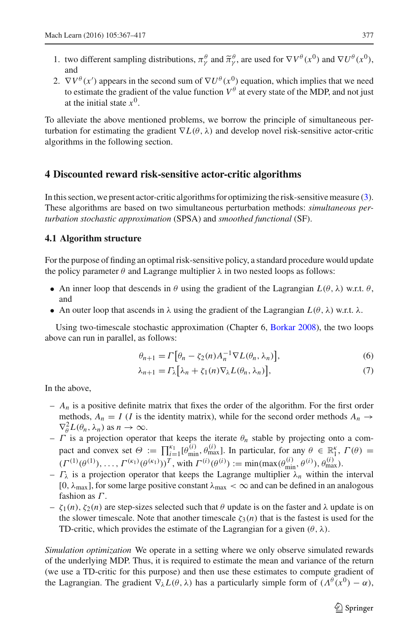- 1. two different sampling distributions,  $\pi^{\theta}_{\gamma}$  and  $\tilde{\pi}^{\theta}_{\gamma}$ , are used for  $\nabla V^{\theta}(x^0)$  and  $\nabla U^{\theta}(x^0)$ , and
- 2.  $\nabla V^{\theta}(x')$  appears in the second sum of  $\nabla U^{\theta}(x^0)$  equation, which implies that we need to estimate the gradient of the value function  $V^{\theta}$  at every state of the MDP, and not just at the initial state  $x^0$ .

To alleviate the above mentioned problems, we borrow the principle of simultaneous perturbation for estimating the gradient ∇*L*(θ , λ) and develop novel risk-sensitive actor-critic algorithms in the following section.

# <span id="page-10-0"></span>**4 Discounted reward risk-sensitive actor-critic algorithms**

In this section, we present actor-critic algorithms for optimizing the risk-sensitive measure [\(3\)](#page-7-1). These algorithms are based on two simultaneous perturbation methods: *simultaneous perturbation stochastic approximation* (SPSA) and *smoothed functional* (SF).

#### <span id="page-10-2"></span>**4.1 Algorithm structure**

For the purpose of finding an optimal risk-sensitive policy, a standard procedure would update the policy parameter  $\theta$  and Lagrange multiplier  $\lambda$  in two nested loops as follows:

- An inner loop that descends in  $\theta$  using the gradient of the Lagrangian  $L(\theta, \lambda)$  w.r.t.  $\theta$ , and
- An outer loop that ascends in  $\lambda$  using the gradient of the Lagrangian  $L(\theta, \lambda)$  w.r.t.  $\lambda$ .

Using two-timescale stochastic approximation (Chapter 6, [Borkar 2008\)](#page-49-15), the two loops above can run in parallel, as follows:

<span id="page-10-1"></span>
$$
\theta_{n+1} = \Gamma \big[ \theta_n - \zeta_2(n) A_n^{-1} \nabla L(\theta_n, \lambda_n) \big], \tag{6}
$$

$$
\lambda_{n+1} = \Gamma_{\lambda} \big[ \lambda_n + \zeta_1(n) \nabla_{\lambda} L(\theta_n, \lambda_n) \big],\tag{7}
$$

In the above,

- $-A_n$  is a positive definite matrix that fixes the order of the algorithm. For the first order methods,  $A_n = I$  (*I* is the identity matrix), while for the second order methods  $A_n \rightarrow$  $\nabla_{\theta}^2 L(\theta_n, \lambda_n)$  as  $n \to \infty$ .
- $-$  Γ is a projection operator that keeps the iterate  $\theta_n$  stable by projecting onto a compact and convex set  $\Theta := \prod_{i=1}^{k_1} [\theta_{\min}^{(i)}, \theta_{\max}^{(i)}]$ . In particular, for any  $\theta \in \mathbb{R}_1^{\kappa}$ ,  $\Gamma(\theta) =$  $(\Gamma^{(1)}(\theta^{(1)}), \ldots, \Gamma^{(\kappa_1)}(\theta^{(\kappa_1)}))^T$ , with  $\Gamma^{(i)}(\theta^{(i)}) := \min(\max(\theta_{\min}^{(i)}, \theta^{(i)}), \theta_{\max}^{(i)})$ .
- $-\Gamma_{\lambda}$  is a projection operator that keeps the Lagrange multiplier  $\lambda_n$  within the interval [0,  $\lambda_{\text{max}}$ ], for some large positive constant  $\lambda_{\text{max}} < \infty$  and can be defined in an analogous fashion as  $\Gamma$ .
- $-\zeta_1(n)$ ,  $\zeta_2(n)$  are step-sizes selected such that θ update is on the faster and λ update is on the slower timescale. Note that another timescale  $\zeta_3(n)$  that is the fastest is used for the TD-critic, which provides the estimate of the Lagrangian for a given  $(\theta, \lambda)$ .

*Simulation optimization* We operate in a setting where we only observe simulated rewards of the underlying MDP. Thus, it is required to estimate the mean and variance of the return (we use a TD-critic for this purpose) and then use these estimates to compute gradient of the Lagrangian. The gradient  $\nabla_{\lambda} L(\theta, \lambda)$  has a particularly simple form of  $(\Lambda^{\theta}(x^0) - \alpha)$ ,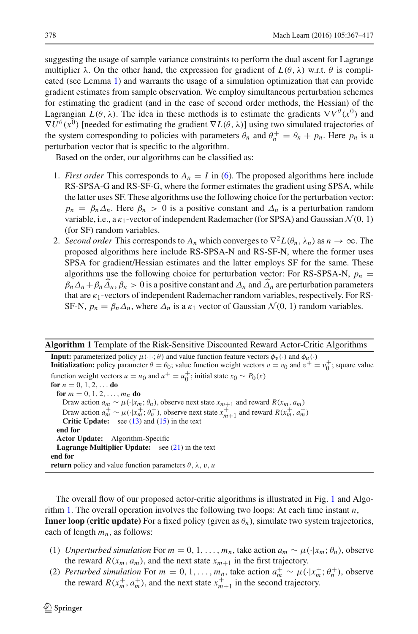suggesting the usage of sample variance constraints to perform the dual ascent for Lagrange multiplier  $\lambda$ . On the other hand, the expression for gradient of  $L(\theta, \lambda)$  w.r.t.  $\theta$  is complicated (see Lemma [1\)](#page-8-0) and warrants the usage of a simulation optimization that can provide gradient estimates from sample observation. We employ simultaneous perturbation schemes for estimating the gradient (and in the case of second order methods, the Hessian) of the Lagrangian  $L(\theta, \lambda)$ . The idea in these methods is to estimate the gradients  $\nabla V^{\theta}(x^0)$  and  $\nabla U^{\theta}(x^0)$  [needed for estimating the gradient  $\nabla L(\theta, \lambda)$ ] using two simulated trajectories of the system corresponding to policies with parameters  $\theta_n$  and  $\theta_n^+ = \theta_n + p_n$ . Here  $p_n$  is a perturbation vector that is specific to the algorithm.

Based on the order, our algorithms can be classified as:

- 1. *First order* This corresponds to  $A_n = I$  in [\(6\)](#page-10-1). The proposed algorithms here include RS-SPSA-G and RS-SF-G, where the former estimates the gradient using SPSA, while the latter uses SF. These algorithms use the following choice for the perturbation vector:  $p_n = \beta_n \Delta_n$ . Here  $\beta_n > 0$  is a positive constant and  $\Delta_n$  is a perturbation random variable, i.e., a  $\kappa_1$ -vector of independent Rademacher (for SPSA) and Gaussian  $\mathcal{N}(0, 1)$ (for SF) random variables.
- 2. *Second order* This corresponds to  $A_n$  which converges to  $\nabla^2 L(\theta_n, \lambda_n)$  as  $n \to \infty$ . The proposed algorithms here include RS-SPSA-N and RS-SF-N, where the former uses SPSA for gradient/Hessian estimates and the latter employs SF for the same. These algorithms use the following choice for perturbation vector: For RS-SPSA-N,  $p_n$  =  $\beta_n \Delta_n + \beta_n \Delta_n$ ,  $\beta_n > 0$  is a positive constant and  $\Delta_n$  and  $\Delta_n$  are perturbation parameters that are  $\kappa_1$ -vectors of independent Rademacher random variables, respectively. For RS-SF-N,  $p_n = \beta_n \Delta_n$ , where  $\Delta_n$  is a  $\kappa_1$  vector of Gaussian  $\mathcal{N}(0, 1)$  random variables.

#### **Algorithm 1** Template of the Risk-Sensitive Discounted Reward Actor-Critic Algorithms

**Input:** parameterized policy  $\mu(\cdot|\cdot;\theta)$  and value function feature vectors  $\phi_v(\cdot)$  and  $\phi_u(\cdot)$ **Initialization:** policy parameter  $\theta = \theta_0$ ; value function weight vectors  $v = v_0$  and  $v^+ = v_0^+$ ; square value function weight vectors  $u = u_0$  and  $u^+ = u_0^+$ ; initial state  $x_0 \sim P_0(x)$ **for**  $n = 0, 1, 2, \ldots$  **do for**  $m = 0, 1, 2, \ldots, m_n$  **do** Draw action  $a_m \sim \mu(\cdot|x_m; \theta_n)$ , observe next state  $x_{m+1}$  and reward  $R(x_m, a_m)$ Draw action  $a_m^+ \sim \mu(\cdot|x_m^+, \theta_n^+)$ , observe next state  $x_{m+1}^+$  and reward  $R(x_m^+, a_m^+)$ <br>Critic Undate: see (13) and (15) in the text **Critic Update:** see [\(13\)](#page-13-0) and [\(15\)](#page-13-1) in the text **end for Actor Update:** Algorithm-Specific **Lagrange Multiplier Update:** see [\(21\)](#page-15-0) in the text **end for return** policy and value function parameters  $\theta$ ,  $\lambda$ ,  $v$ ,  $u$ 

<span id="page-11-0"></span>The overall flow of our proposed actor-critic algorithms is illustrated in Fig. [1](#page-12-0) and Algorithm [1.](#page-11-0) The overall operation involves the following two loops: At each time instant *n*, **Inner loop (critic update)** For a fixed policy (given as  $\theta_n$ ), simulate two system trajectories, each of length *mn*, as follows:

- (1) *Unperturbed simulation* For  $m = 0, 1, \ldots, m_n$ , take action  $a_m \sim \mu(\cdot|x_m; \theta_n)$ , observe the reward  $R(x_m, a_m)$ , and the next state  $x_{m+1}$  in the first trajectory.
- (2) *Perturbed simulation* For  $m = 0, 1, ..., m_n$ , take action  $a_m^+ \sim \mu(\cdot|x_m^+; \theta_n^+)$ , observe the reward  $R(x_m^+, a_m^+)$ , and the next state  $x_{m+1}^+$  in the second trajectory.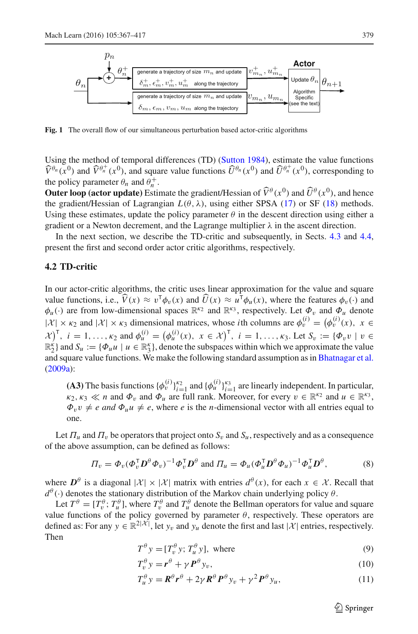

<span id="page-12-0"></span>**Fig. 1** The overall flow of our simultaneous perturbation based actor-critic algorithms

Using the method of temporal differences (TD) [\(Sutton 1984\)](#page-50-3), estimate the value functions  $\widehat{V}^{\theta_n}(x^0)$  and  $\widehat{V}^{\theta_n^+}(x^0)$ , and square value functions  $\widehat{U}^{\theta_n}(x^0)$  and  $\widehat{U}^{\theta_n^+}(x^0)$ , corresponding to the policy parameter  $\theta_n$  and  $\theta_n^+$ .

**Outer loop (actor update)** Estimate the gradient/Hessian of  $\hat{V}^{\theta}(x^0)$  and  $\hat{U}^{\theta}(x^0)$ , and hence the gradient/Hessian of Lagrangian  $L(\theta, \lambda)$ , using either SPSA [\(17\)](#page-14-0) or SF [\(18\)](#page-15-1) methods. Using these estimates, update the policy parameter  $\theta$  in the descent direction using either a gradient or a Newton decrement, and the Lagrange multiplier  $\lambda$  in the ascent direction.

In the next section, we describe the TD-critic and subsequently, in Sects. [4.3](#page-14-1) and [4.4,](#page-17-0) present the first and second order actor critic algorithms, respectively.

# <span id="page-12-1"></span>**4.2 TD-critic**

In our actor-critic algorithms, the critic uses linear approximation for the value and square value functions, i.e.,  $\widehat{V}(x) \approx v^{\mathsf{T}} \phi_v(x)$  and  $\widehat{U}(x) \approx u^{\mathsf{T}} \phi_u(x)$ , where the features  $\phi_v(\cdot)$  and  $\phi_u(\cdot)$  are from low-dimensional spaces  $\mathbb{R}^{k_2}$  and  $\mathbb{R}^{k_3}$ , respectively. Let  $\phi_v$  and  $\phi_u$  denote  $|\mathcal{X}| \times \kappa_2$  and  $|\mathcal{X}| \times \kappa_3$  dimensional matrices, whose *i*th columns are  $\phi_v^{(i)} = (\phi_v^{(i)}(x), x \in$  $\mathcal{X}^{\mathcal{Y}^{\mathsf{T}}}_{j}$ ,  $i = 1, ..., \kappa_2$  and  $\phi_u^{(i)} = (\phi_u^{(i)}(x), x \in \mathcal{X})^{\mathsf{T}}$ ,  $i = 1, ..., \kappa_3$ . Let  $S_v := {\phi_v v \mid v \in \mathcal{X}^{\mathcal{Y}}}$  $\mathbb{R}_2^k$  and  $S_u := \{\Phi_u u \mid u \in \mathbb{R}_3^k\}$ , denote the subspaces within which we approximate the value and square value functions. We make the following standard assumption as in [Bhatnagar et al.](#page-48-4) [\(2009a](#page-48-4)):

**(A3)** The basis functions  $\{\phi_v^{(i)}\}_{i=1}^{k_2}$  and  $\{\phi_u^{(i)}\}_{i=1}^{k_3}$  are linearly independent. In particular,  $\kappa_2$ ,  $\kappa_3 \ll n$  and  $\Phi_v$  and  $\Phi_u$  are full rank. Moreover, for every  $v \in \mathbb{R}^{\kappa_2}$  and  $u \in \mathbb{R}^{\kappa_3}$ ,  $\Phi_v v \neq e$  and  $\Phi_u u \neq e$ , where *e* is the *n*-dimensional vector with all entries equal to one.

Let  $\Pi_u$  and  $\Pi_v$  be operators that project onto  $S_v$  and  $S_u$ , respectively and as a consequence of the above assumption, can be defined as follows:

$$
\Pi_v = \Phi_v (\Phi_v^{\mathsf{T}} \mathbf{D}^\theta \Phi_v)^{-1} \Phi_v^{\mathsf{T}} \mathbf{D}^\theta \text{ and } \Pi_u = \Phi_u (\Phi_u^{\mathsf{T}} \mathbf{D}^\theta \Phi_u)^{-1} \Phi_u^{\mathsf{T}} \mathbf{D}^\theta,
$$
(8)

where  $D^{\theta}$  is a diagonal  $|\mathcal{X}| \times |\mathcal{X}|$  matrix with entries  $d^{\theta}(x)$ , for each  $x \in \mathcal{X}$ . Recall that  $d^{\theta}(\cdot)$  denotes the stationary distribution of the Markov chain underlying policy  $\theta$ .

Let  $T^{\theta} = [T_v^{\theta}; T_u^{\theta}]$ , where  $T_v^{\theta}$  and  $T_u^{\theta}$  denote the Bellman operators for value and square value functions of the policy governed by parameter  $\theta$ , respectively. These operators are defined as: For any  $y \in \mathbb{R}^{2|\mathcal{X}|}$ , let  $y_v$  and  $y_u$  denote the first and last  $|\mathcal{X}|$  entries, respectively. Then

$$
T^{\theta} y = [T_v^{\theta} y; T_u^{\theta} y], \text{ where}
$$
\n(9)

$$
T_v^{\theta} y = r^{\theta} + \gamma P^{\theta} y_v, \qquad (10)
$$

$$
T_u^{\theta} y = \mathbf{R}^{\theta} \mathbf{r}^{\theta} + 2\gamma \mathbf{R}^{\theta} \mathbf{P}^{\theta} y_v + \gamma^2 \mathbf{P}^{\theta} y_u,
$$
(11)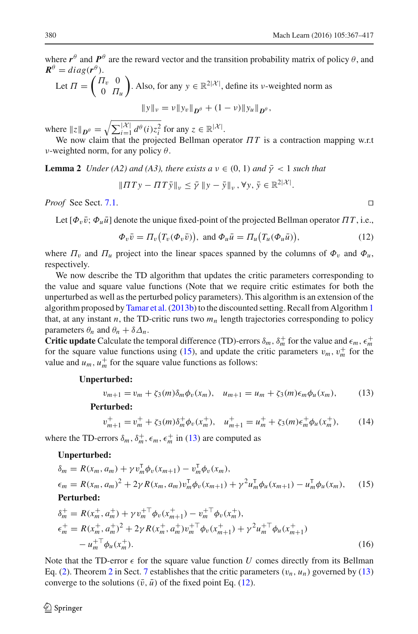where  $r^{\theta}$  and  $P^{\theta}$  are the reward vector and the transition probability matrix of policy  $\theta$ , and  $R^{\theta} = diag(r^{\theta})$ .

Let 
$$
\Pi = \begin{pmatrix} \Pi_v & 0 \\ 0 & \Pi_u \end{pmatrix}
$$
. Also, for any  $y \in \mathbb{R}^{2|\mathcal{X}|}$ , define its  $\nu$ -weighted norm as  

$$
\|y\|_{\nu} = \nu \|y_v\|_{\mathbf{D}^{\theta}} + (1 - \nu) \|y_u\|_{\mathbf{D}^{\theta}},
$$

where  $||z||_{\mathbf{D}^{\theta}} = \sqrt{\sum_{i=1}^{|\mathcal{X}|} d^{\theta}(i) z_i^2}$  for any  $z \in \mathbb{R}^{|\mathcal{X}|}$ .

<span id="page-13-3"></span>We now claim that the projected Bellman operator Π*T* is a contraction mapping w.r.t ν-weighted norm, for any policy  $θ$ .

**Lemma 2** *Under (A2) and (A3), there exists a*  $v \in (0, 1)$  *and*  $\bar{\gamma} < 1$  *such that* 

$$
||\Pi Ty - \Pi T\bar{y}||_v \leq \bar{\gamma} ||y - \bar{y}||_v, \forall y, \bar{y} \in \mathbb{R}^{2|\mathcal{X}|}.
$$

*Proof* See Sect. [7.1.](#page-25-1) ⊓⊔

Let  $[\Phi_v \bar{v}; \Phi_u \bar{u}]$  denote the unique fixed-point of the projected Bellman operator  $\Pi T$ , i.e.,

$$
\Phi_v \bar{v} = \Pi_v(T_v(\Phi_v \bar{v})), \text{ and } \Phi_u \bar{u} = \Pi_u(T_u(\Phi_u \bar{u})), \tag{12}
$$

where  $\Pi_v$  and  $\Pi_u$  project into the linear spaces spanned by the columns of  $\Phi_v$  and  $\Phi_u$ , respectively.

We now describe the TD algorithm that updates the critic parameters corresponding to the value and square value functions (Note that we require critic estimates for both the unperturbed as well as the perturbed policy parameters). This algorithm is an extension of the algorithm proposed by Tamar et al. (20[1](#page-11-0)3b) to the discounted setting. Recall from Algorithm 1 that, at any instant *n*, the TD-critic runs two  $m<sub>n</sub>$  length trajectories corresponding to policy parameters  $\theta_n$  and  $\theta_n + \delta \Delta_n$ .

**Critic update** Calculate the temporal difference (TD)-errors  $\delta_m$ ,  $\delta_m^+$  for the value and  $\epsilon_m$ ,  $\epsilon_m^+$ for the square value functions using [\(15\)](#page-13-1), and update the critic parameters  $v_m$ ,  $v_m^+$  for the value and  $u_m$ ,  $u_m^+$  for the square value functions as follows:

#### **Unperturbed:**

<span id="page-13-0"></span>
$$
v_{m+1} = v_m + \zeta_3(m)\delta_m\phi_v(x_m), \quad u_{m+1} = u_m + \zeta_3(m)\epsilon_m\phi_u(x_m), \tag{13}
$$

**Perturbed:**

<span id="page-13-1"></span>
$$
v_{m+1}^{+} = v_m^{+} + \zeta_3(m)\delta_m^{+}\phi_v(x_m^{+}), \quad u_{m+1}^{+} = u_m^{+} + \zeta_3(m)\epsilon_m^{+}\phi_u(x_m^{+}), \tag{14}
$$

where the TD-errors  $\delta_m$ ,  $\delta_m^+$ ,  $\epsilon_m$ ,  $\epsilon_m^+$  in [\(13\)](#page-13-0) are computed as

#### **Unperturbed:**

$$
\delta_m = R(x_m, a_m) + \gamma v_m^{\mathsf{T}} \phi_v(x_{m+1}) - v_m^{\mathsf{T}} \phi_v(x_m),
$$
\n
$$
\epsilon_m = R(x_m, a_m)^2 + 2\gamma R(x_m, a_m) v_m^{\mathsf{T}} \phi_v(x_{m+1}) + \gamma^2 u_m^{\mathsf{T}} \phi_u(x_{m+1}) - u_m^{\mathsf{T}} \phi_u(x_m), \quad (15)
$$
\nPerturbed:

$$
\delta_m^+ = R(x_m^+, a_m^+) + \gamma v_m^{+ \dagger} \phi_v(x_{m+1}^+) - v_m^{+ \dagger} \phi_v(x_m^+),
$$
  
\n
$$
\epsilon_m^+ = R(x_m^+, a_m^+)^2 + 2\gamma R(x_m^+, a_m^+) v_m^{+ \dagger} \phi_v(x_{m+1}^+) + \gamma^2 u_m^{+ \dagger} \phi_u(x_{m+1}^+) - u_m^{+ \dagger} \phi_u(x_m^+).
$$
\n(16)

Note that the TD-error  $\epsilon$  for the square value function *U* comes directly from its Bellman Eq. [\(2\)](#page-7-2). Theorem [2](#page-26-0) in Sect. [7](#page-25-0) establishes that the critic parameters  $(v_n, u_n)$  governed by [\(13\)](#page-13-0) converge to the solutions  $(\bar{v}, \bar{u})$  of the fixed point Eq. [\(12\)](#page-13-2).

<span id="page-13-2"></span>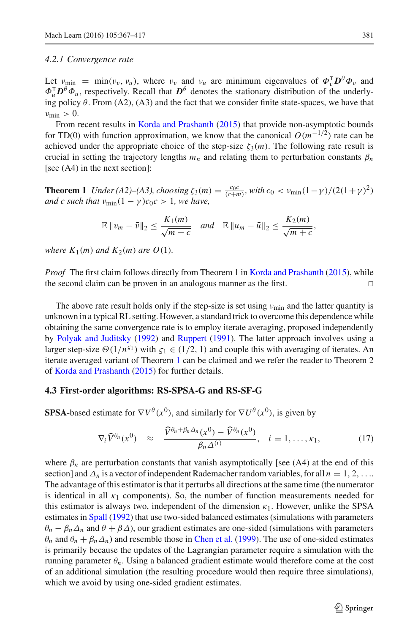#### *4.2.1 Convergence rate*

Let  $v_{\text{min}} = \min(v_v, v_u)$ , where  $v_v$  and  $v_u$  are minimum eigenvalues of  $\Phi_v^{\mathsf{T}} \mathbf{D}^\theta \Phi_v$  and  $\Phi_u^{\mathsf{T}} D^{\theta} \Phi_u$ , respectively. Recall that  $D^{\theta}$  denotes the stationary distribution of the underlying policy  $\theta$ . From (A2), (A3) and the fact that we consider finite state-spaces, we have that  $v_{\min} > 0$ .

From recent results in [Korda and Prashanth](#page-49-16) [\(2015\)](#page-49-16) that provide non-asymptotic bounds for TD(0) with function approximation, we know that the canonical  $O(m^{-1/2})$  rate can be achieved under the appropriate choice of the step-size  $\zeta_3(m)$ . The following rate result is crucial in setting the trajectory lengths  $m_n$  and relating them to perturbation constants  $\beta_n$ [see (A4) in the next section]:

<span id="page-14-2"></span>**Theorem 1** *Under* (A2)–(A3), *choosing*  $\zeta_3(m) = \frac{c_0 c}{(c+m)}$ , with  $c_0 < v_{\text{min}}(1-\gamma)/(2(1+\gamma)^2)$ *and c such that*  $\nu_{\text{min}}(1 - \gamma)c_0c > 1$ , we have,

$$
\mathbb{E}\left\|v_m-\bar{v}\right\|_2\leq \frac{K_1(m)}{\sqrt{m+c}}\quad and\quad \mathbb{E}\left\|u_m-\bar{u}\right\|_2\leq \frac{K_2(m)}{\sqrt{m+c}},
$$

*where*  $K_1(m)$  *and*  $K_2(m)$  *are*  $O(1)$ *.* 

*Proof* The first claim follows directly from Theorem 1 in [Korda and Prashanth](#page-49-16) [\(2015\)](#page-49-16), while the second claim can be proven in an analogous manner as the first. ⊓⊔

The above rate result holds only if the step-size is set using  $v_{\text{min}}$  and the latter quantity is unknown in a typical RL setting. However, a standard trick to overcome this dependence while obtaining the same convergence rate is to employ iterate averaging, proposed independently by [Polyak and Juditsky](#page-49-17) [\(1992](#page-49-17)) and [Ruppert](#page-49-18) [\(1991\)](#page-49-18). The latter approach involves using a larger step-size  $\Theta(1/n^{51})$  with  $\zeta_1 \in (1/2, 1)$  and couple this with averaging of iterates. An iterate averaged variant of Theorem [1](#page-14-2) can be claimed and we refer the reader to Theorem 2 of [Korda and Prashanth](#page-49-16) [\(2015\)](#page-49-16) for further details.

#### <span id="page-14-1"></span>**4.3 First-order algorithms: RS-SPSA-G and RS-SF-G**

**SPSA**-based estimate for  $\nabla V^{\theta}(x^0)$ , and similarly for  $\nabla U^{\theta}(x^0)$ , is given by

<span id="page-14-0"></span>
$$
\nabla_i \widehat{V}^{\theta_n}(x^0) \approx \frac{\widehat{V}^{\theta_n + \beta_n \Delta_n}(x^0) - \widehat{V}^{\theta_n}(x^0)}{\beta_n \Delta^{(i)}}, \quad i = 1, \dots, \kappa_1,
$$
 (17)

where  $\beta_n$  are perturbation constants that vanish asymptotically [see (A4) at the end of this section] and  $\Delta_n$  is a vector of independent Rademacher random variables, for all  $n = 1, 2, \ldots$ The advantage of this estimator is that it perturbs all directions at the same time (the numerator is identical in all  $\kappa_1$  components). So, the number of function measurements needed for this estimator is always two, independent of the dimension  $\kappa_1$ . However, unlike the SPSA estimates in [Spall](#page-50-11) [\(1992\)](#page-50-11) that use two-sided balanced estimates (simulations with parameters  $\theta_n - \beta_n \Delta_n$  and  $\theta + \beta \Delta$ ), our gradient estimates are one-sided (simulations with parameters  $\theta_n$  and  $\theta_n + \beta_n \Delta_n$ ) and resemble those in [Chen et al.](#page-49-19) [\(1999](#page-49-19)). The use of one-sided estimates is primarily because the updates of the Lagrangian parameter require a simulation with the running parameter  $\theta_n$ . Using a balanced gradient estimate would therefore come at the cost of an additional simulation (the resulting procedure would then require three simulations), which we avoid by using one-sided gradient estimates.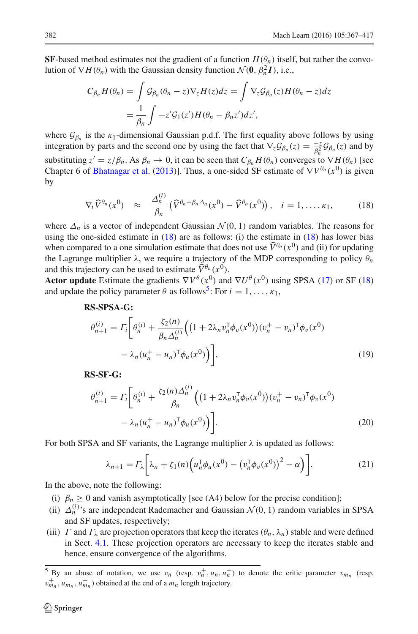**SF**-based method estimates not the gradient of a function  $H(\theta_n)$  itself, but rather the convolution of  $\nabla H(\theta_n)$  with the Gaussian density function  $\mathcal{N}(\mathbf{0}, \beta_n^2 \mathbf{I})$ , i.e.,

$$
C_{\beta_n} H(\theta_n) = \int \mathcal{G}_{\beta_n}(\theta_n - z) \nabla_z H(z) dz = \int \nabla_z \mathcal{G}_{\beta_n}(z) H(\theta_n - z) dz
$$
  
= 
$$
\frac{1}{\beta_n} \int -z' \mathcal{G}_1(z') H(\theta_n - \beta_n z') dz',
$$

where  $\mathcal{G}_{\beta_n}$  is the  $\kappa_1$ -dimensional Gaussian p.d.f. The first equality above follows by using integration by parts and the second one by using the fact that  $\nabla_z \mathcal{G}_{\beta_n}(z) = \frac{-z}{\beta_n^2} \mathcal{G}_{\beta_n}(z)$  and by substituting  $z' = z/\beta_n$ . As  $\beta_n \to 0$ , it can be seen that  $C_{\beta_n} H(\theta_n)$  converges to  $\nabla H(\theta_n)$  [see Chapter 6 of [Bhatnagar et al.](#page-48-10) [\(2013\)](#page-48-10)]. Thus, a one-sided SF estimate of  $\nabla V^{\theta_n}(x^0)$  is given by

<span id="page-15-1"></span>
$$
\nabla_i \widehat{V}^{\theta_n}(x^0) \approx \frac{\Delta_n^{(i)}}{\beta_n} \left( \widehat{V}^{\theta_n + \beta_n \Delta_n}(x^0) - \widehat{V}^{\theta_n}(x^0) \right), \quad i = 1, \dots, \kappa_1,
$$
 (18)

where  $\Delta_n$  is a vector of independent Gaussian  $\mathcal{N}(0, 1)$  random variables. The reasons for using the one-sided estimate in  $(18)$  are as follows: (i) the estimate in  $(18)$  has lower bias when compared to a one simulation estimate that does not use  $\widehat{V}^{\theta_n}(x^0)$  and (ii) for updating the Lagrange multiplier  $\lambda$ , we require a trajectory of the MDP corresponding to policy  $\theta_n$ and this trajectory can be used to estimate  $\widehat{V}^{\theta_n}(x^0)$ .

**Actor update** Estimate the gradients  $\nabla V^{\theta}(x^0)$  and  $\nabla U^{\theta}(x^0)$  using SPSA [\(17\)](#page-14-0) or SF [\(18\)](#page-15-1) and update the policy parameter  $\theta$  as follows<sup>[5](#page-15-2)</sup>: For  $i = 1, ..., \kappa_1$ ,

### **RS-SPSA-G:**

<span id="page-15-3"></span>
$$
\theta_{n+1}^{(i)} = \Gamma_i \bigg[ \theta_n^{(i)} + \frac{\zeta_2(n)}{\beta_n \Delta_n^{(i)}} \Big( \big( 1 + 2\lambda_n v_n^{\mathsf{T}} \phi_v(x^0) \big) (v_n^+ - v_n)^{\mathsf{T}} \phi_v(x^0) - \lambda_n (u_n^+ - u_n)^{\mathsf{T}} \phi_u(x^0) \Big) \bigg],\tag{19}
$$

**RS-SF-G:**

$$
\theta_{n+1}^{(i)} = \Gamma_i \bigg[ \theta_n^{(i)} + \frac{\zeta_2(n) \Delta_n^{(i)}}{\beta_n} \Big( \big( 1 + 2\lambda_n v_n^{\mathsf{T}} \phi_v(x^0) \big) (v_n^+ - v_n)^{\mathsf{T}} \phi_v(x^0) - \lambda_n (u_n^+ - u_n)^{\mathsf{T}} \phi_u(x^0) \Big) \bigg]. \tag{20}
$$

For both SPSA and SF variants, the Lagrange multiplier  $\lambda$  is updated as follows:

<span id="page-15-4"></span><span id="page-15-0"></span>
$$
\lambda_{n+1} = \Gamma_\lambda \bigg[ \lambda_n + \zeta_1(n) \Big( u_n^\mathsf{T} \phi_u(x^0) - \big( v_n^\mathsf{T} \phi_v(x^0) \big)^2 - \alpha \Big) \bigg]. \tag{21}
$$

In the above, note the following:

- (i)  $\beta_n \geq 0$  and vanish asymptotically [see (A4) below for the precise condition];
- (ii)  $\Delta_n^{(i)}$ 's are independent Rademacher and Gaussian  $\mathcal{N}(0, 1)$  random variables in SPSA and SF updates, respectively;
- (iii)  $\Gamma$  and  $\Gamma_\lambda$  are projection operators that keep the iterates ( $\theta_n$ ,  $\lambda_n$ ) stable and were defined in Sect. [4.1.](#page-10-2) These projection operators are necessary to keep the iterates stable and hence, ensure convergence of the algorithms.

<span id="page-15-2"></span><sup>&</sup>lt;sup>5</sup> By an abuse of notation, we use  $v_n$  (resp.  $v_n^+$ ,  $u_n$ ,  $u_n^+$ ) to denote the critic parameter  $v_{m_n}$  (resp.  $v_{m_n}^+$ ,  $u_{m_n}$ ,  $u_{m_n}^+$ ) obtained at the end of a  $m_n$  length trajectory.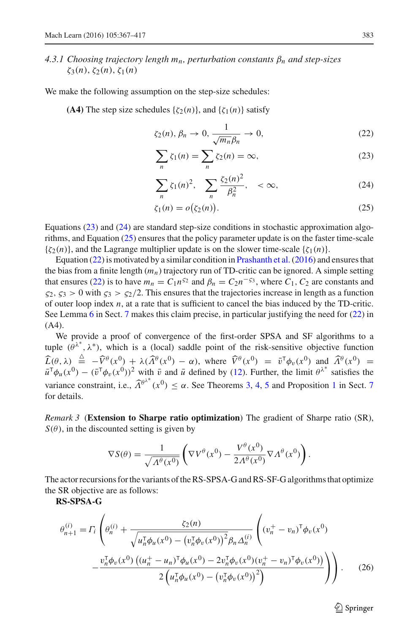# *4.3.1 Choosing trajectory length mn, perturbation constants* β*<sup>n</sup> and step-sizes*  $\zeta_3(n), \zeta_2(n), \zeta_1(n)$

We make the following assumption on the step-size schedules:

**(A4)** The step size schedules  $\{\zeta_2(n)\}\$ , and  $\{\zeta_1(n)\}\$  satisfy

<span id="page-16-4"></span>
$$
\zeta_2(n), \beta_n \to 0, \frac{1}{\sqrt{m_n} \beta_n} \to 0,
$$
\n(22)

<span id="page-16-1"></span>
$$
\sum_{n} \zeta_1(n) = \sum_{n} \zeta_2(n) = \infty, \tag{23}
$$

<span id="page-16-2"></span>
$$
\sum_{n} \zeta_{1}(n)^{2}, \quad \sum_{n} \frac{\zeta_{2}(n)^{2}}{\beta_{n}^{2}}, \quad < \infty,
$$
 (24)

<span id="page-16-3"></span>
$$
\zeta_1(n) = o\big(\zeta_2(n)\big). \tag{25}
$$

Equations [\(23\)](#page-16-1) and [\(24\)](#page-16-2) are standard step-size conditions in stochastic approximation algorithms, and Equation [\(25\)](#page-16-3) ensures that the policy parameter update is on the faster time-scale  $\{\zeta_2(n)\}\$ , and the Lagrange multiplier update is on the slower time-scale  $\{\zeta_1(n)\}\$ .

Equation  $(22)$  is motivated by a similar condition in Prashanth et al.  $(2016)$  and ensures that the bias from a finite length  $(m_n)$  trajectory run of TD-critic can be ignored. A simple setting that ensures [\(22\)](#page-16-4) is to have  $m_n = C_1 n^{52}$  and  $\beta_n = C_2 n^{-53}$ , where  $C_1$ ,  $C_2$  are constants and  $\zeta_2$ ,  $\zeta_3 > 0$  with  $\zeta_3 > \zeta_2/2$ . This ensures that the trajectories increase in length as a function of outer loop index *n*, at a rate that is sufficient to cancel the bias induced by the TD-critic. See Lemma [6](#page-29-0) in Sect. [7](#page-25-0) makes this claim precise, in particular justifying the need for [\(22\)](#page-16-4) in (A4).

We provide a proof of convergence of the first-order SPSA and SF algorithms to a tuple  $(\theta^{\lambda^*}, \lambda^*)$ , which is a (local) saddle point of the risk-sensitive objective function  $\widehat{L}(\theta, \lambda) \stackrel{\Delta}{=} -\widehat{V}^{\theta}(x^0) + \lambda(\widehat{A}^{\theta}(x^0) - \alpha)$ , where  $\widehat{V}^{\theta}(x^0) = \overline{v}^{\mathsf{T}}\phi_v(x^0)$  and  $\widehat{A}^{\theta}(x^0) =$  $\bar{u}^T \phi_u(x^0) - (\bar{v}^T \phi_v(x^0))^2$  with  $\bar{v}$  and  $\bar{u}$  defined by [\(12\)](#page-13-2). Further, the limit  $\theta^{\lambda^*}$  satisfies the variance constraint, i.e.,  $\widehat{\Lambda}^{\theta^{\lambda^*}}(x^0) \leq \alpha$ . See Theorems [3,](#page-28-0) [4,](#page-30-0) [5](#page-31-0) and Proposition [1](#page-32-0) in Sect. [7](#page-25-0) for details.

<span id="page-16-0"></span>*Remark 3* (**Extension to Sharpe ratio optimization**) The gradient of Sharpe ratio (SR),  $S(\theta)$ , in the discounted setting is given by

$$
\nabla S(\theta) = \frac{1}{\sqrt{\Lambda^{\theta}(x^0)}} \left( \nabla V^{\theta}(x^0) - \frac{V^{\theta}(x^0)}{2\Lambda^{\theta}(x^0)} \nabla \Lambda^{\theta}(x^0) \right).
$$

The actor recursions for the variants of the RS-SPSA-G and RS-SF-G algorithms that optimize the SR objective are as follows:

**RS-SPSA-G**

$$
\theta_{n+1}^{(i)} = \Gamma_i \left( \theta_n^{(i)} + \frac{\zeta_2(n)}{\sqrt{u_n^{\mathsf{T}} \phi_u(x^0) - (v_n^{\mathsf{T}} \phi_v(x^0))^2} \beta_n \Delta_n^{(i)}} \left( (v_n^+ - v_n)^{\mathsf{T}} \phi_v(x^0) - \frac{v_n^{\mathsf{T}} \phi_v(x^0) \left( (u_n^+ - u_n)^{\mathsf{T}} \phi_u(x^0) - 2v_n^{\mathsf{T}} \phi_v(x^0) (v_n^+ - v_n)^{\mathsf{T}} \phi_v(x^0) \right)}{2 \left( u_n^{\mathsf{T}} \phi_u(x^0) - (v_n^{\mathsf{T}} \phi_v(x^0))^2 \right)} \right) \right). \tag{26}
$$

 $\circled{2}$  Springer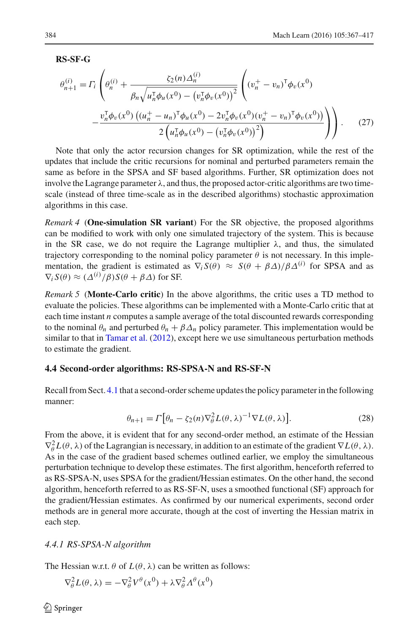**RS-SF-G**

$$
\theta_{n+1}^{(i)} = \Gamma_i \left( \theta_n^{(i)} + \frac{\zeta_2(n) \Delta_n^{(i)}}{\beta_n \sqrt{u_n^{\mathsf{T}} \phi_u(x^0) - (v_n^{\mathsf{T}} \phi_v(x^0))}^2} \left( (v_n^+ - v_n)^{\mathsf{T}} \phi_v(x^0) - \frac{v_n^{\mathsf{T}} \phi_v(x^0) \left( (u_n^+ - u_n)^{\mathsf{T}} \phi_u(x^0) - 2v_n^{\mathsf{T}} \phi_v(x^0) (v_n^+ - v_n)^{\mathsf{T}} \phi_v(x^0) \right)}{2 \left( u_n^{\mathsf{T}} \phi_u(x^0) - (v_n^{\mathsf{T}} \phi_v(x^0))^2 \right)} \right) \right). \tag{27}
$$

Note that only the actor recursion changes for SR optimization, while the rest of the updates that include the critic recursions for nominal and perturbed parameters remain the same as before in the SPSA and SF based algorithms. Further, SR optimization does not involve the Lagrange parameter  $\lambda$ , and thus, the proposed actor-critic algorithms are two timescale (instead of three time-scale as in the described algorithms) stochastic approximation algorithms in this case.

*Remark 4* (**One-simulation SR variant**) For the SR objective, the proposed algorithms can be modified to work with only one simulated trajectory of the system. This is because in the SR case, we do not require the Lagrange multiplier  $\lambda$ , and thus, the simulated trajectory corresponding to the nominal policy parameter  $\theta$  is not necessary. In this implementation, the gradient is estimated as  $\nabla_i S(\theta) \approx S(\theta + \beta \Delta)/\beta \Delta^{(i)}$  for SPSA and as  $\nabla_i S(\theta) \approx (\Delta^{(i)}/\beta)S(\theta + \beta \Delta)$  for SF.

*Remark 5* (**Monte-Carlo critic**) In the above algorithms, the critic uses a TD method to evaluate the policies. These algorithms can be implemented with a Monte-Carlo critic that at each time instant *n* computes a sample average of the total discounted rewards corresponding to the nominal  $\theta_n$  and perturbed  $\theta_n + \beta \Delta_n$  policy parameter. This implementation would be similar to that in [Tamar et al.](#page-50-9) [\(2012\)](#page-50-9), except here we use simultaneous perturbation methods to estimate the gradient.

#### <span id="page-17-0"></span>**4.4 Second-order algorithms: RS-SPSA-N and RS-SF-N**

Recall from Sect. [4.1](#page-10-2) that a second-order scheme updates the policy parameter in the following manner:

$$
\theta_{n+1} = \Gamma \big[ \theta_n - \zeta_2(n) \nabla_{\theta}^2 L(\theta, \lambda)^{-1} \nabla L(\theta, \lambda) \big]. \tag{28}
$$

From the above, it is evident that for any second-order method, an estimate of the Hessian  $\nabla_{\theta}^{2}L(\theta, \lambda)$  of the Lagrangian is necessary, in addition to an estimate of the gradient  $\nabla L(\theta, \lambda)$ . As in the case of the gradient based schemes outlined earlier, we employ the simultaneous perturbation technique to develop these estimates. The first algorithm, henceforth referred to as RS-SPSA-N, uses SPSA for the gradient/Hessian estimates. On the other hand, the second algorithm, henceforth referred to as RS-SF-N, uses a smoothed functional (SF) approach for the gradient/Hessian estimates. As confirmed by our numerical experiments, second order methods are in general more accurate, though at the cost of inverting the Hessian matrix in each step.

#### *4.4.1 RS-SPSA-N algorithm*

The Hessian w.r.t.  $\theta$  of  $L(\theta, \lambda)$  can be written as follows:

$$
\nabla_{\theta}^{2} L(\theta, \lambda) = -\nabla_{\theta}^{2} V^{\theta}(x^{0}) + \lambda \nabla_{\theta}^{2} \Lambda^{\theta}(x^{0})
$$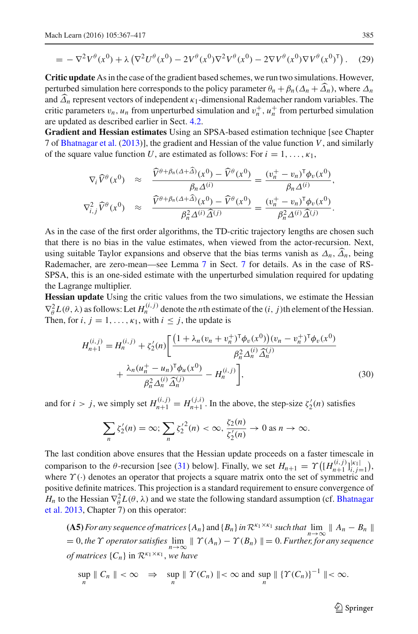$$
= -\nabla^2 V^\theta(x^0) + \lambda \left( \nabla^2 U^\theta(x^0) - 2V^\theta(x^0) \nabla^2 V^\theta(x^0) - 2\nabla V^\theta(x^0) \nabla V^\theta(x^0)^\mathsf{T} \right). \tag{29}
$$

**Critic update** As in the case of the gradient based schemes, we run two simulations. However, perturbed simulation here corresponds to the policy parameter  $\theta_n + \beta_n(\Delta_n + \widehat{\Delta}_n)$ , where  $\Delta_n$ and  $\widehat{\Delta}_n$  represent vectors of independent  $\kappa_1$ -dimensional Rademacher random variables. The critic parameters  $v_n$ ,  $u_n$  from unperturbed simulation and  $v_n^+$ ,  $u_n^+$  from perturbed simulation are updated as described earlier in Sect. [4.2.](#page-12-1)

**Gradient and Hessian estimates** Using an SPSA-based estimation technique [see Chapter 7 of [Bhatnagar et al.](#page-48-10) [\(2013](#page-48-10))], the gradient and Hessian of the value function *V*, and similarly of the square value function *U*, are estimated as follows: For  $i = 1, \ldots, \kappa_1$ ,

$$
\nabla_i \widehat{V}^{\theta}(x^0) \approx \frac{\widehat{V}^{\theta+\beta_n(\Delta+\widehat{\Delta})}(x^0) - \widehat{V}^{\theta}(x^0)}{\beta_n \Delta^{(i)}} = \frac{(v_n^+ - v_n)^{\mathsf{T}} \phi_v(x^0)}{\beta_n \Delta^{(i)}},
$$
  

$$
\nabla_{i,j}^2 \widehat{V}^{\theta}(x^0) \approx \frac{\widehat{V}^{\theta+\beta_n(\Delta+\widehat{\Delta})}(x^0) - \widehat{V}^{\theta}(x^0)}{\beta_n^2 \Delta^{(i)} \widehat{\Delta}^{(j)}} = \frac{(v_n^+ - v_n)^{\mathsf{T}} \phi_v(x^0)}{\beta_n^2 \Delta^{(i)} \widehat{\Delta}^{(j)}}.
$$

As in the case of the first order algorithms, the TD-critic trajectory lengths are chosen such that there is no bias in the value estimates, when viewed from the actor-recursion. Next, using suitable Taylor expansions and observe that the bias terms vanish as  $\Delta_n$ ,  $\widehat{\Delta}_n$ , being Rademacher, are zero-mean—see Lemma [7](#page-33-0) in Sect. [7](#page-25-0) for details. As in the case of RS-SPSA, this is an one-sided estimate with the unperturbed simulation required for updating the Lagrange multiplier.

**Hessian update** Using the critic values from the two simulations, we estimate the Hessian  $\nabla_{\theta}^2 L(\theta, \lambda)$  as follows: Let  $H_n^{(i,j)}$  denote the *n*th estimate of the (*i*, *j*)th element of the Hessian. Then, for *i*,  $j = 1, \ldots, \kappa_1$ , with  $i \leq j$ , the update is

$$
H_{n+1}^{(i,j)} = H_n^{(i,j)} + \zeta_2'(n) \left[ \frac{\left(1 + \lambda_n (v_n + v_n^+)^\top \phi_v(x^0)\right)(v_n - v_n^+)^\top \phi_v(x^0)}{\beta_n^2 \Delta_n^{(i)} \widehat{\Delta}_n^{(j)}} + \frac{\lambda_n (u_n^+ - u_n)^\top \phi_u(x^0)}{\beta_n^2 \Delta_n^{(i)} \widehat{\Delta}_n^{(j)}} - H_n^{(i,j)} \right],
$$
\n(30)

and for  $i > j$ , we simply set  $H_{n+1}^{(i,j)} = H_{n+1}^{(j,i)}$ . In the above, the step-size  $\zeta_2'(n)$  satisfies

<span id="page-18-0"></span>
$$
\sum_{n} \zeta_2'(n) = \infty; \sum_{n} {\zeta_2'}^2(n) < \infty, \frac{\zeta_2(n)}{\zeta_2'(n)} \to 0 \text{ as } n \to \infty.
$$

The last condition above ensures that the Hessian update proceeds on a faster timescale in comparison to the  $\theta$ -recursion [see [\(31\)](#page-19-0) below]. Finally, we set  $H_{n+1} = \Upsilon\left(\left[H_{n+1}^{(i,j)}\right]_{i,j=1}^{\lvert \kappa_1 \rvert}\right)$ , where  $\Upsilon(\cdot)$  denotes an operator that projects a square matrix onto the set of symmetric and positive definite matrices. This projection is a standard requirement to ensure convergence of *H<sub>n</sub>* to the Hessian  $\nabla_{\theta}^2 L(\theta, \lambda)$  [and we state the following standard assumption \(cf.](#page-48-10) Bhatnagar et al. [2013,](#page-48-10) Chapter 7) on this operator:

**(A5)** For any sequence of matrices  $\{A_n\}$  and  $\{B_n\}$  in  $\mathcal{R}^{k_1 \times k_1}$  *such that*  $\lim_{n \to \infty} ||A_n - B_n||$  $\lim_{n\to\infty}$  *n*→∞  $\lim_{n\to\infty}$  *n*→∞  $\lim_{n\to\infty}$  *n*→∞ *n*→∞ *n*→∞ *n*→∞ *n*→∞ *n*→∞ *n*→∞ *n*→∞ *n*→∞ *n*→∞ *n*→∞ *n*→∞ *n*→∞ *n*→∞ *n of matrices*  $\{C_n\}$  in  $\mathcal{R}^{\kappa_1 \times \kappa_1}$ , we have

$$
\sup_{n} \| C_{n} \| < \infty \quad \Rightarrow \quad \sup_{n} \| \Upsilon(C_{n}) \| < \infty \text{ and } \sup_{n} \| \Upsilon(C_{n})\|^{-1} \| < \infty.
$$

 $\circled{2}$  Springer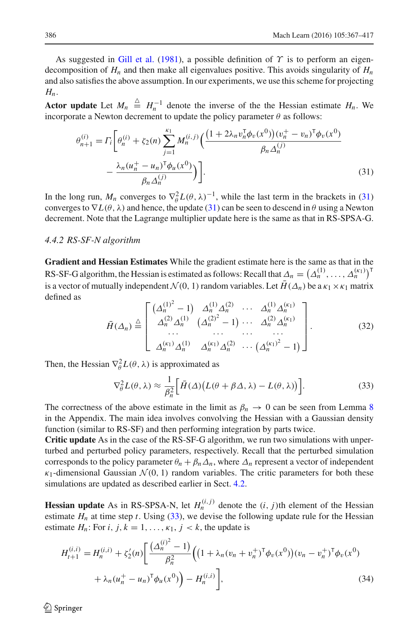As suggested in [Gill et al.](#page-49-21) [\(1981\)](#page-49-21), a possible definition of  $\Upsilon$  is to perform an eigendecomposition of  $H_n$  and then make all eigenvalues positive. This avoids singularity of  $H_n$ and also satisfies the above assumption. In our experiments, we use this scheme for projecting *Hn*.

Actor update Let  $M_n \triangleq H_n^{-1}$  denote the inverse of the the Hessian estimate  $H_n$ . We incorporate a Newton decrement to update the policy parameter  $\theta$  as follows:

<span id="page-19-0"></span>
$$
\theta_{n+1}^{(i)} = \Gamma_i \bigg[ \theta_n^{(i)} + \zeta_2(n) \sum_{j=1}^{\kappa_1} M_n^{(i,j)} \bigg( \frac{\left(1 + 2\lambda_n v_n^{\mathsf{T}} \phi_v(x^0)\right) (v_n^+ - v_n)^{\mathsf{T}} \phi_v(x^0)}{\beta_n \Delta_n^{(j)}} - \frac{\lambda_n (u_n^+ - u_n)^{\mathsf{T}} \phi_u(x^0)}{\beta_n \Delta_n^{(j)}} \bigg) \bigg].
$$
\n(31)

In the long run,  $M_n$  converges to  $\nabla^2_{\theta} L(\theta, \lambda)^{-1}$ , while the last term in the brackets in [\(31\)](#page-19-0) converges to  $\nabla L(\theta, \lambda)$  and hence, the update [\(31\)](#page-19-0) can be seen to descend in  $\theta$  using a Newton decrement. Note that the Lagrange multiplier update here is the same as that in RS-SPSA-G.

#### *4.4.2 RS-SF-N algorithm*

**Gradient and Hessian Estimates** While the gradient estimate here is the same as that in the RS-SF-G algorithm, the Hessian is estimated as follows: Recall that  $\Delta_n = (\Delta_n^{(1)}, \ldots, \Delta_n^{(k_1)})^T$ is a vector of mutually independent  $\mathcal{N}(0, 1)$  random variables. Let  $\bar{H}(\Delta_n)$  be a  $\kappa_1 \times \kappa_1$  matrix defined as

$$
\bar{H}(\Delta_n) \stackrel{\triangle}{=} \begin{bmatrix}\n(\Delta_n^{(1)^2} - 1) & \Delta_n^{(1)} \Delta_n^{(2)} & \cdots & \Delta_n^{(1)} \Delta_n^{(\kappa_1)} \\
\Delta_n^{(2)} \Delta_n^{(1)} & (\Delta_n^{(2)^2} - 1) & \cdots & \Delta_n^{(2)} \Delta_n^{(\kappa_1)} \\
\vdots & \vdots & \ddots & \vdots \\
\Delta_n^{(\kappa_1)} \Delta_n^{(1)} & \Delta_n^{(\kappa_1)} \Delta_n^{(2)} & \cdots & (\Delta_n^{(\kappa_1)^2} - 1)\n\end{bmatrix}.
$$
\n(32)

Then, the Hessian  $\nabla_{\theta}^2 L(\theta, \lambda)$  is approximated as

<span id="page-19-1"></span>
$$
\nabla_{\theta}^{2} L(\theta, \lambda) \approx \frac{1}{\beta_n^{2}} \Big[ \bar{H}(\Delta) \big( L(\theta + \beta \Delta, \lambda) - L(\theta, \lambda) \big) \Big]. \tag{33}
$$

The correctness of the above estimate in the limit as  $\beta_n \to 0$  can be seen from Lemma [8](#page-34-0) in the Appendix. The main idea involves convolving the Hessian with a Gaussian density function (similar to RS-SF) and then performing integration by parts twice.

**Critic update** As in the case of the RS-SF-G algorithm, we run two simulations with unperturbed and perturbed policy parameters, respectively. Recall that the perturbed simulation corresponds to the policy parameter  $\theta_n + \beta_n \Delta_n$ , where  $\Delta_n$  represent a vector of independent  $\kappa_1$ -dimensional Gaussian  $\mathcal{N}(0, 1)$  random variables. The critic parameters for both these simulations are updated as described earlier in Sect. [4.2.](#page-12-1)

**Hessian update** As in RS-SPSA-N, let  $H_n^{(i,j)}$  denote the  $(i, j)$ th element of the Hessian estimate  $H<sub>n</sub>$  at time step *t*. Using [\(33\)](#page-19-1), we devise the following update rule for the Hessian estimate  $H_n$ : For *i*,  $j, k = 1, \ldots, \kappa_1, j < k$ , the update is

$$
H_{t+1}^{(i,i)} = H_n^{(i,i)} + \zeta_2'(n) \left[ \frac{(\Delta_n^{(i)^2} - 1)}{\beta_n^2} \left( \left( 1 + \lambda_n (v_n + v_n^+)^\top \phi_v(x^0) \right) (v_n - v_n^+)^\top \phi_v(x^0) \right) \right. \\ \left. + \lambda_n (u_n^+ - u_n)^\top \phi_u(x^0) \right) - H_n^{(i,i)} \right], \tag{34}
$$

 $\circledcirc$  Springer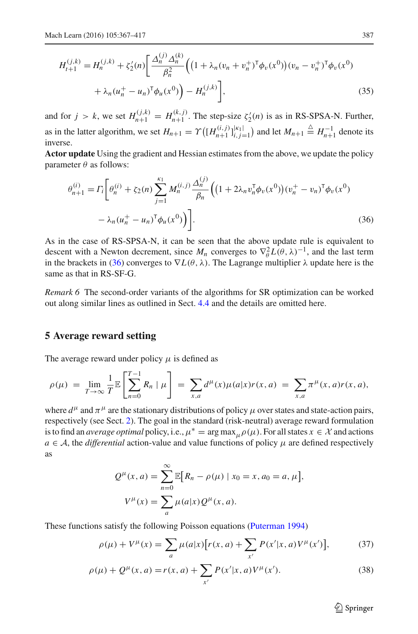$$
H_{t+1}^{(j,k)} = H_n^{(j,k)} + \zeta_2'(n) \left[ \frac{\Delta_n^{(j)} \Delta_n^{(k)}}{\beta_n^2} \left( \left( 1 + \lambda_n (v_n + v_n^+)^\mathsf{T} \phi_v(x^0) \right) (v_n - v_n^+)^\mathsf{T} \phi_v(x^0) \right) + \lambda_n (u_n^+ - u_n)^\mathsf{T} \phi_u(x^0) \right] \tag{35}
$$

and for  $j > k$ , we set  $H_{n+1}^{(j,k)} = H_{n+1}^{(k,j)}$ . The step-size  $\zeta_2'(n)$  is as in RS-SPSA-N. Further, *n*+1 as in the latter algorithm, we set  $H_{n+1} = \Upsilon\left(\left[H_{n+1}^{(i,j)}\right]_{i,j=1}^{|\kappa_1|}\right)$  and let  $M_{n+1} \triangleq H_{n+1}^{-1}$  denote its inverse.

**Actor update** Using the gradient and Hessian estimates from the above, we update the policy parameter  $\theta$  as follows:

<span id="page-20-1"></span>
$$
\theta_{n+1}^{(i)} = \Gamma_i \bigg[ \theta_n^{(i)} + \zeta_2(n) \sum_{j=1}^{k_1} M_n^{(i,j)} \frac{\Delta_n^{(j)}}{\beta_n} \Big( \big( 1 + 2\lambda_n v_n^{\mathsf{T}} \phi_v(x^0) \big) (v_n^+ - v_n)^{\mathsf{T}} \phi_v(x^0) - \lambda_n (u_n^+ - u_n)^{\mathsf{T}} \phi_u(x^0) \Big) \bigg]. \tag{36}
$$

As in the case of RS-SPSA-N, it can be seen that the above update rule is equivalent to descent with a Newton decrement, since  $M_n$  converges to  $\nabla_{\theta}^2 L(\theta, \lambda)^{-1}$ , and the last term in the brackets in [\(36\)](#page-20-1) converges to  $\nabla L(\theta, \lambda)$ . The Lagrange multiplier  $\lambda$  update here is the same as that in RS-SF-G.

*Remark 6* The second-order variants of the algorithms for SR optimization can be worked out along similar lines as outlined in Sect. [4.4](#page-17-0) and the details are omitted here.

# <span id="page-20-0"></span>**5 Average reward setting**

The average reward under policy  $\mu$  is defined as

$$
\rho(\mu) = \lim_{T \to \infty} \frac{1}{T} \mathbb{E} \left[ \sum_{n=0}^{T-1} R_n \mid \mu \right] = \sum_{x,a} d^{\mu}(x) \mu(a|x) r(x,a) = \sum_{x,a} \pi^{\mu}(x,a) r(x,a),
$$

where  $d^{\mu}$  and  $\pi^{\mu}$  are the stationary distributions of policy  $\mu$  over states and state-action pairs, respectively (see Sect. [2\)](#page-6-1). The goal in the standard (risk-neutral) average reward formulation is to find an *average optimal* policy, i.e.,  $\mu^* = \arg \max_{\mu} \rho(\mu)$ . For all states  $x \in \mathcal{X}$  and actions  $a \in \mathcal{A}$ , the *differential* action-value and value functions of policy  $\mu$  are defined respectively as

$$
Q^{\mu}(x, a) = \sum_{n=0}^{\infty} \mathbb{E}[R_n - \rho(\mu) | x_0 = x, a_0 = a, \mu],
$$
  

$$
V^{\mu}(x) = \sum_{a} \mu(a|x) Q^{\mu}(x, a).
$$

These functions satisfy the following Poisson equations [\(Puterman 1994\)](#page-49-0)

$$
\rho(\mu) + V^{\mu}(x) = \sum_{a} \mu(a|x) [r(x, a) + \sum_{x'} P(x'|x, a)V^{\mu}(x')],
$$
 (37)

$$
\rho(\mu) + Q^{\mu}(x, a) = r(x, a) + \sum_{x'} P(x'|x, a)V^{\mu}(x').
$$
\n(38)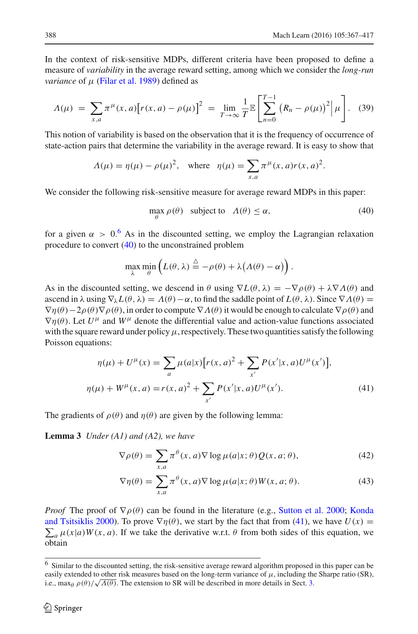In the context of risk-sensitive MDPs, different criteria have been proposed to define a measure of *variability* in the average reward setting, among which we consider the *long-run variance* of  $\mu$  [\(Filar et al. 1989\)](#page-49-7) defined as

$$
\Lambda(\mu) \ = \ \sum_{x,a} \pi^{\mu}(x,a) \big[ r(x,a) - \rho(\mu) \big]^2 \ = \ \lim_{T \to \infty} \frac{1}{T} \mathbb{E} \left[ \sum_{n=0}^{T-1} \left( R_n - \rho(\mu) \right)^2 \Big| \, \mu \right]. \tag{39}
$$

<span id="page-21-6"></span>This notion of variability is based on the observation that it is the frequency of occurrence of state-action pairs that determine the variability in the average reward. It is easy to show that

$$
\Lambda(\mu) = \eta(\mu) - \rho(\mu)^2
$$
, where  $\eta(\mu) = \sum_{x,a} \pi^{\mu}(x,a)r(x,a)^2$ .

<span id="page-21-2"></span>We consider the following risk-sensitive measure for average reward MDPs in this paper:

$$
\max_{\theta} \rho(\theta) \quad \text{subject to} \quad \Lambda(\theta) \le \alpha,\tag{40}
$$

for a given  $\alpha > 0.6$  $\alpha > 0.6$  As in the discounted setting, we employ the Lagrangian relaxation procedure to convert [\(40\)](#page-21-2) to the unconstrained problem

$$
\max_{\lambda} \min_{\theta} \left( L(\theta, \lambda) \stackrel{\Delta}{=} -\rho(\theta) + \lambda \big( \Lambda(\theta) - \alpha \big) \right).
$$

As in the discounted setting, we descend in  $\theta$  using  $\nabla L(\theta, \lambda) = -\nabla \rho(\theta) + \lambda \nabla \Lambda(\theta)$  and ascend in  $\lambda$  using  $\nabla_{\lambda} L(\theta, \lambda) = \Lambda(\theta) - \alpha$ , to find the saddle point of  $L(\theta, \lambda)$ . Since  $\nabla \Lambda(\theta) =$  $\nabla \eta(\theta) - 2\rho(\theta) \nabla \rho(\theta)$ , in order to compute  $\nabla \Lambda(\theta)$  it would be enough to calculate  $\nabla \rho(\theta)$  and  $\nabla \eta(\theta)$ . Let  $U^{\mu}$  and  $W^{\mu}$  denote the differential value and action-value functions associated with the square reward under policy  $\mu$ , respectively. These two quantities satisfy the following Poisson equations:

$$
\eta(\mu) + U^{\mu}(x) = \sum_{a} \mu(a|x) [r(x, a)^{2} + \sum_{x'} P(x'|x, a)U^{\mu}(x')],
$$
  

$$
\eta(\mu) + W^{\mu}(x, a) = r(x, a)^{2} + \sum_{x'} P(x'|x, a)U^{\mu}(x').
$$
 (41)

<span id="page-21-0"></span>The gradients of  $\rho(\theta)$  and  $\eta(\theta)$  are given by the following lemma:

**Lemma 3** *Under (A1) and (A2), we have*

<span id="page-21-5"></span><span id="page-21-3"></span>
$$
\nabla \rho(\theta) = \sum_{x,a} \pi^{\theta}(x,a) \nabla \log \mu(a|x;\theta) Q(x,a;\theta), \tag{42}
$$

<span id="page-21-4"></span>
$$
\nabla \eta(\theta) = \sum_{x,a} \pi^{\theta}(x,a) \nabla \log \mu(a|x;\theta) W(x,a;\theta). \tag{43}
$$

*Proof* The proof of  $\nabla \rho(\theta)$  [can be found in the literature \(e.g.,](#page-49-2) [Sutton et al. 2000](#page-50-2); Konda and Tsitsiklis [2000](#page-49-2)). To prove  $\nabla \eta(\theta)$ , we start by the fact that from [\(41\)](#page-21-3), we have  $U(x) = \nabla^2 \eta(x)$  $\sum_a \mu(x|a)W(x, a)$ . If we take the derivative w.r.t.  $\theta$  from both sides of this equation, we obtain

<span id="page-21-1"></span><sup>6</sup> Similar to the discounted setting, the risk-sensitive average reward algorithm proposed in this paper can be easily extended to other risk measures based on the long-term variance of  $\mu$ , including the Sharpe ratio (SR), i.e.,  $\max_{\theta} \rho(\theta) / \sqrt{\Lambda(\theta)}$ . The extension to SR will be described in more details in Sect. [3.](#page-6-0)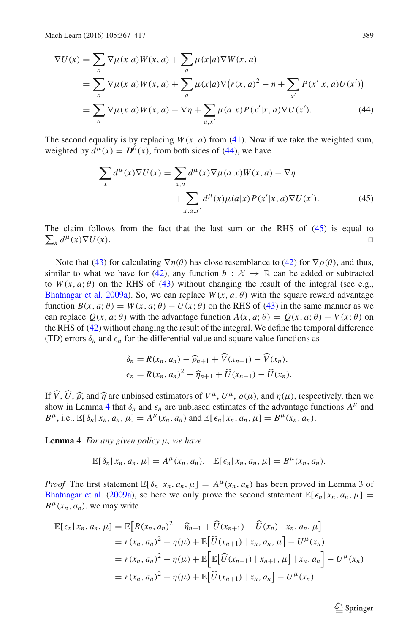$$
\nabla U(x) = \sum_{a} \nabla \mu(x|a) W(x, a) + \sum_{a} \mu(x|a) \nabla W(x, a)
$$
  
= 
$$
\sum_{a} \nabla \mu(x|a) W(x, a) + \sum_{a} \mu(x|a) \nabla (r(x, a)^{2} - \eta + \sum_{x'} P(x'|x, a) U(x'))
$$
  
= 
$$
\sum_{a} \nabla \mu(x|a) W(x, a) - \nabla \eta + \sum_{a, x'} \mu(a|x) P(x'|x, a) \nabla U(x').
$$
 (44)

The second equality is by replacing  $W(x, a)$  from [\(41\)](#page-21-3). Now if we take the weighted sum, weighted by  $d^{\mu}(x) = D^{\theta}(x)$ , from both sides of [\(44\)](#page-22-1), we have

<span id="page-22-2"></span><span id="page-22-1"></span>
$$
\sum_{x} d^{\mu}(x) \nabla U(x) = \sum_{x,a} d^{\mu}(x) \nabla \mu(a|x) W(x, a) - \nabla \eta
$$
  
+ 
$$
\sum_{x,a,x'} d^{\mu}(x) \mu(a|x) P(x'|x, a) \nabla U(x').
$$
 (45)

 $\sum_{x}$ The claim follows from the fact that the last sum on the RHS of  $(45)$  is equal to  $\mu(x)\nabla U(x)$ . □

Note that [\(43\)](#page-21-4) for calculating  $\nabla \eta(\theta)$  has close resemblance to [\(42\)](#page-21-5) for  $\nabla \rho(\theta)$ , and thus, similar to what we have for [\(42\)](#page-21-5), any function  $b : \mathcal{X} \to \mathbb{R}$  can be added or subtracted to  $W(x, a; \theta)$  on the RHS of [\(43\)](#page-21-4) without changing the result of the integral (see e.g., [Bhatnagar et al. 2009a](#page-48-4)). So, we can replace  $W(x, a; \theta)$  with the square reward advantage function  $B(x, a; \theta) = W(x, a; \theta) - U(x; \theta)$  on the RHS of [\(43\)](#page-21-4) in the same manner as we can replace  $O(x, a; \theta)$  with the advantage function  $A(x, a; \theta) = O(x, a; \theta) - V(x; \theta)$  on the RHS of [\(42\)](#page-21-5) without changing the result of the integral. We define the temporal difference (TD) errors  $\delta_n$  and  $\epsilon_n$  for the differential value and square value functions as

$$
\delta_n = R(x_n, a_n) - \widehat{\rho}_{n+1} + \widehat{V}(x_{n+1}) - \widehat{V}(x_n), \n\epsilon_n = R(x_n, a_n)^2 - \widehat{\eta}_{n+1} + \widehat{U}(x_{n+1}) - \widehat{U}(x_n).
$$

If  $\hat{V}$ ,  $\hat{U}$ ,  $\hat{\rho}$ , and  $\hat{\eta}$  are unbiased estimators of  $V^{\mu}$ ,  $U^{\mu}$ ,  $\rho(\mu)$ , and  $\eta(\mu)$ , respectively, then we change the property of the property of the property of the property of the property of the show in Lemma [4](#page-22-0) that  $\delta_n$  and  $\epsilon_n$  are unbiased estimates of the advantage functions  $A^{\mu}$  and  $B^{\mu}$ , i.e.,  $\mathbb{E}[\delta_n | x_n, a_n, \mu] = A^{\mu}(x_n, a_n)$  and  $\mathbb{E}[\epsilon_n | x_n, a_n, \mu] = B^{\mu}(x_n, a_n)$ .

<span id="page-22-0"></span>**Lemma 4** *For any given policy* μ*, we have*

$$
\mathbb{E}[\delta_n | x_n, a_n, \mu] = A^{\mu}(x_n, a_n), \quad \mathbb{E}[\epsilon_n | x_n, a_n, \mu] = B^{\mu}(x_n, a_n).
$$

*Proof* The first statement  $\mathbb{E}[\delta_n | x_n, a_n, \mu] = A^{\mu}(x_n, a_n)$  has been proved in Lemma 3 of [Bhatnagar et al.](#page-48-4) [\(2009a](#page-48-4)), so here we only prove the second statement  $\mathbb{E}[\epsilon_n | x_n, a_n, \mu] =$  $B^{\mu}(x_n, a_n)$ . we may write

$$
\mathbb{E}[\epsilon_n | x_n, a_n, \mu] = \mathbb{E}[R(x_n, a_n)^2 - \widehat{\eta}_{n+1} + \widehat{U}(x_{n+1}) - \widehat{U}(x_n) | x_n, a_n, \mu]
$$
  
=  $r(x_n, a_n)^2 - \eta(\mu) + \mathbb{E}[\widehat{U}(x_{n+1}) | x_n, a_n, \mu] - U^{\mu}(x_n)$   
=  $r(x_n, a_n)^2 - \eta(\mu) + \mathbb{E}[\mathbb{E}[\widehat{U}(x_{n+1}) | x_{n+1}, \mu] | x_n, a_n] - U^{\mu}(x_n)$   
=  $r(x_n, a_n)^2 - \eta(\mu) + \mathbb{E}[\widehat{U}(x_{n+1}) | x_n, a_n] - U^{\mu}(x_n)$ 

 $\circled{2}$  Springer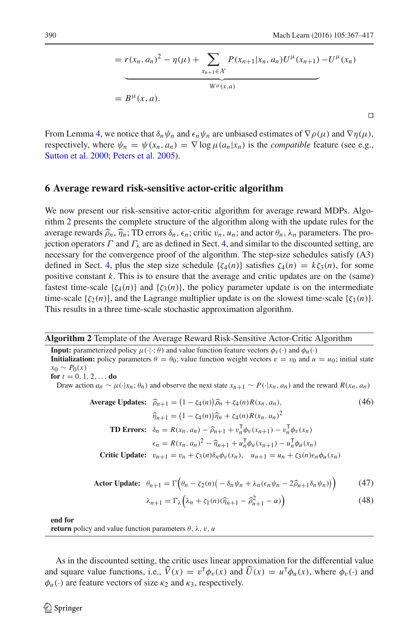⊓⊔

$$
= r(x_n, a_n)^2 - \eta(\mu) + \sum_{x_{n+1} \in \mathcal{X}} P(x_{n+1}|x_n, a_n) U^{\mu}(x_{n+1}) - U^{\mu}(x_n)
$$
  
=  $B^{\mu}(x, a)$ .

From Lemma [4,](#page-22-0) we notice that  $\delta_n \psi_n$  and  $\epsilon_n \psi_n$  are unbiased estimates of  $\nabla \rho(\mu)$  and  $\nabla \eta(\mu)$ , respectively, where  $\psi_n = \psi(x_n, a_n) = \nabla \log \mu(a_n|x_n)$  is the *compatible* feature (see e.g., [Sutton et al. 2000;](#page-50-2) [Peters et al. 2005](#page-49-3)).

#### <span id="page-23-0"></span>**6 Average reward risk-sensitive actor-critic algorithm**

We now present our risk-sensitive actor-critic algorithm for average reward MDPs. Algorithm [2](#page-23-1) presents the complete structure of the algorithm along with the update rules for the average rewards  $\hat{\rho}_n$ ,  $\hat{\eta}_n$ ; TD errors  $\delta_n$ ,  $\epsilon_n$ ; critic  $v_n$ ,  $u_n$ ; and actor  $\theta_n$ ,  $\lambda_n$  parameters. The projection operators  $\Gamma$  and  $\Gamma_\lambda$  are as defined in Sect. [4,](#page-10-0) and similar to the discounted setting, are necessary for the convergence proof of the algorithm. The step-size schedules satisfy (A3) defined in Sect. [4,](#page-10-0) plus the step size schedule  $\{\zeta_4(n)\}\$  satisfies  $\zeta_4(n) = k\zeta_3(n)$ , for some positive constant *k*. This is to ensure that the average and critic updates are on the (same) fastest time-scale  $\{\zeta_4(n)\}\$  and  $\{\zeta_3(n)\}\$ , the policy parameter update is on the intermediate time-scale  $\{\zeta_2(n)\}\$ , and the Lagrange multiplier update is on the slowest time-scale  $\{\zeta_1(n)\}\$ . This results in a three time-scale stochastic approximation algorithm.

**Algorithm 2** Template of the Average Reward Risk-Sensitive Actor-Critic Algorithm

**Input:** parameterized policy  $\mu(\cdot|\cdot;\theta)$  and value function feature vectors  $\phi_n(\cdot)$  and  $\phi_n(\cdot)$ **Initialization:** policy parameters  $\theta = \theta_0$ ; value function weight vectors  $v = v_0$  and  $u = u_0$ ; initial state  $x_0 \sim P_0(x)$ 

<span id="page-23-2"></span>**for**  $t = 0, 1, 2, \ldots$  **do** 

Draw action  $a_n \sim \mu(\cdot|x_n; \theta_n)$  and observe the next state  $x_{n+1} \sim P(\cdot|x_n, a_n)$  and the reward  $R(x_n, a_n)$ 

Average Updates: 
$$
\hat{\rho}_{n+1} = (1 - \zeta_4(n))\hat{\rho}_n + \zeta_4(n)R(x_n, a_n),
$$
 (46)  
\n
$$
\hat{\eta}_{n+1} = (1 - \zeta_4(n))\hat{\eta}_n + \zeta_4(n)R(x_n, a_n)^2
$$
\n**TD Errors:**  $\delta_n = R(x_n, a_n) - \hat{\rho}_{n+1} + v_n^{\mathsf{T}} \phi_v(x_{n+1}) - v_n^{\mathsf{T}} \phi_v(x_n)$   
\n
$$
\epsilon_n = R(x_n, a_n)^2 - \hat{\eta}_{n+1} + u_n^{\mathsf{T}} \phi_u(x_{n+1}) - u_n^{\mathsf{T}} \phi_u(x_n)
$$
\nCritic Update:  $v_{n+1} = v_n + \zeta_3(n) \delta_n \phi_v(x_n), u_{n+1} = u_n + \zeta_3(n) \epsilon_n \phi_u(x_n)$ 

**Actor Update:** 
$$
\theta_{n+1} = \Gamma\Big(\theta_n - \zeta_2(n)\big(-\delta_n\psi_n + \lambda_n(\epsilon_n\psi_n - 2\widehat{\rho}_{n+1}\delta_n\psi_n)\big)\Big)
$$
 (47)

$$
\lambda_{n+1} = \Gamma_{\lambda} \left( \lambda_n + \zeta_1(n) (\widehat{\eta}_{n+1} - \widehat{\rho}_{n+1}^2 - \alpha) \right) \tag{48}
$$

<span id="page-23-3"></span>**end for**

<span id="page-23-1"></span>**return** policy and value function parameters  $\theta$ ,  $\lambda$ ,  $v$ ,  $u$ 

As in the discounted setting, the critic uses linear approximation for the differential value and square value functions, i.e.,  $\hat{V}(x) = v^{\mathsf{T}} \phi_v(x)$  and  $\hat{U}(x) = u^{\mathsf{T}} \phi_u(x)$ , where  $\phi_v(\cdot)$  and  $\phi_u(\cdot)$  are feature vectors of size  $\kappa_2$  and  $\kappa_3$ , respectively.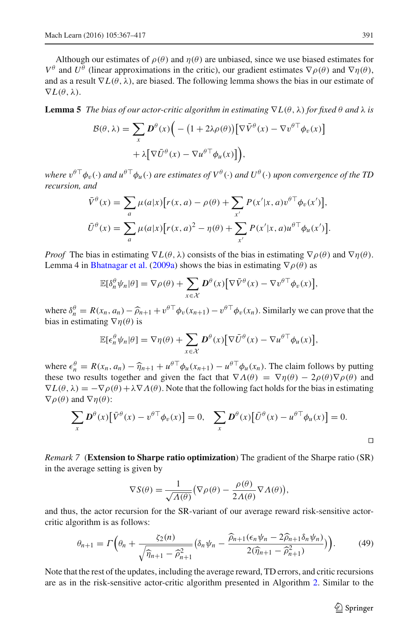Although our estimates of  $\rho(\theta)$  and  $\eta(\theta)$  are unbiased, since we use biased estimates for *V*<sup> $θ$ </sup> and *U*<sup> $θ$ </sup> (linear approximations in the critic), our gradient estimates  $\nabla ρ(θ)$  and  $\nabla η(θ)$ , and as a result  $\nabla L(\theta, \lambda)$ , are biased. The following lemma shows the bias in our estimate of  $\nabla L(\theta, \lambda)$ .

<span id="page-24-0"></span>**Lemma 5** *The bias of our actor-critic algorithm in estimating*  $\nabla L(\theta, \lambda)$  *for fixed*  $\theta$  *and*  $\lambda$  *is* 

$$
\mathcal{B}(\theta, \lambda) = \sum_{x} \mathbf{D}^{\theta}(x) \Big( - \big( 1 + 2\lambda \rho(\theta) \big) \big[ \nabla \bar{V}^{\theta}(x) - \nabla v^{\theta \top} \phi_{v}(x) \big] + \lambda \big[ \nabla \bar{U}^{\theta}(x) - \nabla u^{\theta \top} \phi_{u}(x) \big] \Big),
$$

*where*  $v^{\theta\top}\phi_v(\cdot)$  *and*  $u^{\theta\top}\phi_u(\cdot)$  *are estimates of*  $V^{\theta}(\cdot)$  *and*  $U^{\theta}(\cdot)$  *upon convergence of the TD recursion, and*

$$
\bar{V}^{\theta}(x) = \sum_{a} \mu(a|x) [r(x, a) - \rho(\theta) + \sum_{x'} P(x'|x, a)v^{\theta \top} \phi_v(x')],
$$
  

$$
\bar{U}^{\theta}(x) = \sum_{a} \mu(a|x) [r(x, a)^2 - \eta(\theta) + \sum_{x'} P(x'|x, a)u^{\theta \top} \phi_u(x')].
$$

*Proof* The bias in estimating  $\nabla L(\theta, \lambda)$  consists of the bias in estimating  $\nabla \rho(\theta)$  and  $\nabla \eta(\theta)$ . Lemma 4 in [Bhatnagar et al.](#page-48-4) [\(2009a\)](#page-48-4) shows the bias in estimating  $\nabla \rho(\theta)$  as

$$
\mathbb{E}[\delta_n^{\theta} \psi_n | \theta] = \nabla \rho(\theta) + \sum_{x \in \mathcal{X}} \mathbf{D}^{\theta}(x) [\nabla \bar{V}^{\theta}(x) - \nabla v^{\theta \top} \phi_v(x)],
$$

where  $\delta_n^{\theta} = R(x_n, a_n) - \widehat{\rho}_{n+1} + v^{\theta \top} \phi_v(x_{n+1}) - v^{\theta \top} \phi_v(x_n)$ . Similarly we can prove that the bias in estimating  $\nabla \eta(\theta)$  is

$$
\mathbb{E}[\epsilon_n^{\theta} \psi_n | \theta] = \nabla \eta(\theta) + \sum_{x \in \mathcal{X}} \mathbf{D}^{\theta}(x) [\nabla \bar{U}^{\theta}(x) - \nabla u^{\theta \top} \phi_u(x)],
$$

where  $\epsilon_n^{\theta} = R(x_n, a_n) - \hat{\eta}_{n+1} + u^{\theta \top} \phi_u(x_{n+1}) - u^{\theta \top} \phi_u(x_n)$ . The claim follows by putting these two graphs together and given the fact that  $\sum A(\theta) \sum x(\theta) \sum x(\theta)$  and these two results together and given the fact that  $\nabla \Lambda(\theta) = \nabla \eta(\theta) - 2\rho(\theta) \nabla \rho(\theta)$  and  $\nabla L(\theta, \lambda) = -\nabla \rho(\theta) + \lambda \nabla \Lambda(\theta)$ . Note that the following fact holds for the bias in estimating  $\nabla \rho(\theta)$  and  $\nabla \eta(\theta)$ :

$$
\sum_{x} D^{\theta}(x) [\bar{V}^{\theta}(x) - v^{\theta \top} \phi_{v}(x)] = 0, \quad \sum_{x} D^{\theta}(x) [\bar{U}^{\theta}(x) - u^{\theta \top} \phi_{u}(x)] = 0.
$$

<span id="page-24-1"></span>*Remark 7* (**Extension to Sharpe ratio optimization**) The gradient of the Sharpe ratio (SR) in the average setting is given by

$$
\nabla S(\theta) = \frac{1}{\sqrt{\Lambda(\theta)}} \big( \nabla \rho(\theta) - \frac{\rho(\theta)}{2\Lambda(\theta)} \nabla \Lambda(\theta) \big),
$$

and thus, the actor recursion for the SR-variant of our average reward risk-sensitive actorcritic algorithm is as follows:

$$
\theta_{n+1} = \Gamma\left(\theta_n + \frac{\zeta_2(n)}{\sqrt{\widehat{\eta}_{n+1} - \widehat{\rho}_{n+1}^2}} \left(\delta_n \psi_n - \frac{\widehat{\rho}_{n+1}(\epsilon_n \psi_n - 2\widehat{\rho}_{n+1} \delta_n \psi_n)}{2(\widehat{\eta}_{n+1} - \widehat{\rho}_{n+1}^2)}\right)\right). \tag{49}
$$

Note that the rest of the updates, including the average reward, TD errors, and critic recursions are as in the risk-sensitive actor-critic algorithm presented in Algorithm [2.](#page-23-1) Similar to the

 $\circled{2}$  Springer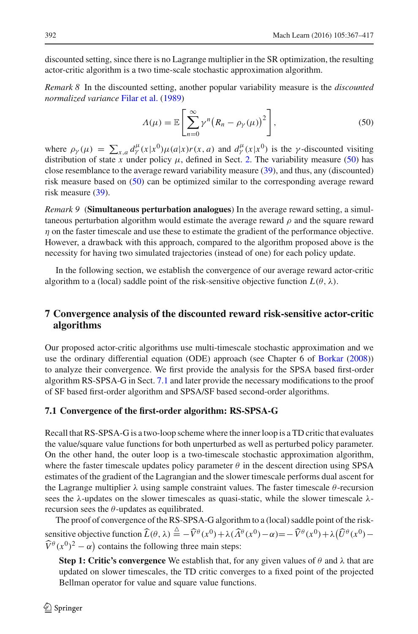discounted setting, since there is no Lagrange multiplier in the SR optimization, the resulting actor-critic algorithm is a two time-scale stochastic approximation algorithm.

*Remark 8* In the discounted setting, another popular variability measure is the *discounted normalized variance* [Filar et al.](#page-49-7) [\(1989\)](#page-49-7)

$$
\Lambda(\mu) = \mathbb{E}\left[\sum_{n=0}^{\infty} \gamma^n \big(R_n - \rho_\gamma(\mu)\big)^2\right],\tag{50}
$$

<span id="page-25-2"></span>where  $\rho_{\gamma}(\mu) = \sum_{x,a} d_{\gamma}^{\mu}(x|x^0)\mu(a|x)r(x,a)$  and  $d_{\gamma}^{\mu}(x|x^0)$  is the  $\gamma$ -discounted visiting distribution of state *x* under policy  $\mu$ , defined in Sect. [2.](#page-6-1) The variability measure [\(50\)](#page-25-2) has close resemblance to the average reward variability measure [\(39\)](#page-21-6), and thus, any (discounted) risk measure based on [\(50\)](#page-25-2) can be optimized similar to the corresponding average reward risk measure [\(39\)](#page-21-6).

*Remark 9* (**Simultaneous perturbation analogues**) In the average reward setting, a simultaneous perturbation algorithm would estimate the average reward  $\rho$  and the square reward  $\eta$  on the faster timescale and use these to estimate the gradient of the performance objective. However, a drawback with this approach, compared to the algorithm proposed above is the necessity for having two simulated trajectories (instead of one) for each policy update.

In the following section, we establish the convergence of our average reward actor-critic algorithm to a (local) saddle point of the risk-sensitive objective function  $L(\theta, \lambda)$ .

# <span id="page-25-0"></span>**7 Convergence analysis of the discounted reward risk-sensitive actor-critic algorithms**

Our proposed actor-critic algorithms use multi-timescale stochastic approximation and we use the ordinary differential equation (ODE) approach (see Chapter 6 of [Borkar](#page-49-15) [\(2008\)](#page-49-15)) to analyze their convergence. We first provide the analysis for the SPSA based first-order algorithm RS-SPSA-G in Sect. [7.1](#page-25-1) and later provide the necessary modifications to the proof of SF based first-order algorithm and SPSA/SF based second-order algorithms.

#### <span id="page-25-1"></span>**7.1 Convergence of the first-order algorithm: RS-SPSA-G**

Recall that RS-SPSA-G is a two-loop scheme where the inner loop is a TD critic that evaluates the value/square value functions for both unperturbed as well as perturbed policy parameter. On the other hand, the outer loop is a two-timescale stochastic approximation algorithm, where the faster timescale updates policy parameter  $\theta$  in the descent direction using SPSA estimates of the gradient of the Lagrangian and the slower timescale performs dual ascent for the Lagrange multiplier  $\lambda$  using sample constraint values. The faster timescale  $\theta$ -recursion sees the  $\lambda$ -updates on the slower timescales as quasi-static, while the slower timescale  $\lambda$ recursion sees the  $\theta$ -updates as equilibrated.

The proof of convergence of the RS-SPSA-G algorithm to a (local) saddle point of the risksensitive objective function  $\widehat{L}(\theta, \lambda) \stackrel{\triangle}{=} -\widehat{V}^{\theta}(x^0) + \lambda(\widehat{\Lambda}^{\theta}(x^0) - \alpha) = -\widehat{V}^{\theta}(x^0) + \lambda(\widehat{U}^{\theta}(x^0) - \alpha)$  $\widehat{V}^{\theta}(x^0)^2 - \alpha$  contains the following three main steps:

**Step 1: Critic's convergence** We establish that, for any given values of θ and λ that are updated on slower timescales, the TD critic converges to a fixed point of the projected Bellman operator for value and square value functions.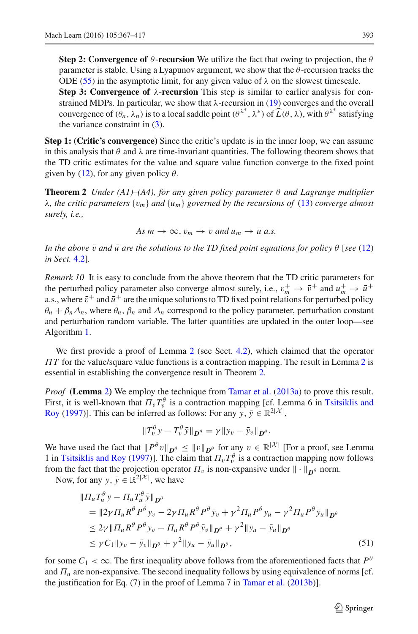**Step 2: Convergence of**  $\theta$ **-recursion** We utilize the fact that owing to projection, the  $\theta$ parameter is stable. Using a Lyapunov argument, we show that the  $\theta$ -recursion tracks the ODE [\(55\)](#page-28-1) in the asymptotic limit, for any given value of  $\lambda$  on the slowest timescale. **Step 3: Convergence of** λ-**recursion** This step is similar to earlier analysis for con-

strained MDPs. In particular, we show that  $\lambda$ -recursion in [\(19\)](#page-15-3) converges and the overall convergence of  $(\theta_n, \lambda_n)$  is to a local saddle point  $(\theta^{\lambda^*}, \lambda^*)$  of  $\widehat{L}(\theta, \lambda)$ , with  $\theta^{\lambda^*}$  satisfying the variance constraint in [\(3\)](#page-7-1).

**Step 1: (Critic's convergence)** Since the critic's update is in the inner loop, we can assume in this analysis that  $\theta$  and  $\lambda$  are time-invariant quantities. The following theorem shows that the TD critic estimates for the value and square value function converge to the fixed point given by [\(12\)](#page-13-2), for any given policy  $\theta$ .

<span id="page-26-0"></span>**Theorem 2** *Under (A1)–(A4), for any given policy parameter* θ *and Lagrange multiplier* λ*, the critic parameters* {v*m*} *and* {*um*} *governed by the recursions of* [\(13\)](#page-13-0) *converge almost surely, i.e.,*

 $As m \to \infty$ ,  $v_m \to \bar{v}$  and  $u_m \to \bar{u}$  a.s.

*In the above*  $\bar{v}$  *and*  $\bar{u}$  *are the solutions to the TD fixed point equations for policy*  $\theta$  [*see* [\(12\)](#page-13-2) *in Sect.* [4.2\]](#page-12-1)*.*

*Remark 10* It is easy to conclude from the above theorem that the TD critic parameters for the perturbed policy parameter also converge almost surely, i.e.,  $v_m^+ \to \bar{v}^+$  and  $u_m^+ \to \bar{u}^+$ a.s., where  $\bar{v}^+$  and  $\bar{u}^+$  are the unique solutions to TD fixed point relations for perturbed policy  $\theta_n + \beta_n \Delta_n$ , where  $\theta_n$ ,  $\beta_n$  and  $\Delta_n$  correspond to the policy parameter, perturbation constant and perturbation random variable. The latter quantities are updated in the outer loop—see Algorithm [1.](#page-11-0)

We first provide a proof of Lemma [2](#page-13-3) (see Sect. [4.2\)](#page-12-1), which claimed that the operator Π*T* for the value/square value functions is a contraction mapping. The result in Lemma [2](#page-13-3) is essential in establishing the convergence result in Theorem [2.](#page-26-0)

*Proof* **(Lemma** [2](#page-13-3)**)** We employ the technique from [Tamar et al.](#page-50-19) [\(2013a](#page-50-19)) to prove this result. First, it is well-known that  $\Pi_v T_v^{\theta}$  [is a contraction mapping \[cf. Lemma 6 in](#page-50-20) Tsitsiklis and Roy [\(1997](#page-50-20))]. This can be inferred as follows: For any *y*,  $\bar{y} \in \mathbb{R}^{2|\mathcal{X}|}$ ,

<span id="page-26-1"></span>
$$
\|T_v^{\theta} y - T_v^{\theta} \bar{y}\|_{\mathbf{D}^{\theta}} = \gamma \|y_v - \bar{y}_v\|_{\mathbf{D}^{\theta}}.
$$

We have used the fact that  $||P^{\theta}v||_{D^{\theta}} \le ||v||_{D^{\theta}}$  for any  $v \in \mathbb{R}^{|\mathcal{X}|}$  [For a proof, see Lemma 1 in [Tsitsiklis and Roy](#page-50-20) [\(1997](#page-50-20))]. The claim that  $\Pi_v T_v^{\theta}$  is a contraction mapping now follows from the fact that the projection operator  $\Pi_v$  is non-expansive under  $\|\cdot\|_{D^\theta}$  norm.

Now, for any *y*,  $\bar{y} \in \mathbb{R}^{2|\mathcal{X}|}$ , we have

$$
\begin{split} &\| \Pi_u T_u^{\theta} y - \Pi_u T_u^{\theta} \bar{y} \|_{\mathbf{D}^{\theta}} \\ &= \| 2 \gamma \Pi_u R^{\theta} P^{\theta} y_v - 2 \gamma \Pi_u R^{\theta} P^{\theta} \bar{y}_v + \gamma^2 \Pi_u P^{\theta} y_u - \gamma^2 \Pi_u P^{\theta} \bar{y}_u \|_{\mathbf{D}^{\theta}} \\ &\leq 2 \gamma \| \Pi_u R^{\theta} P^{\theta} y_v - \Pi_u R^{\theta} P^{\theta} \bar{y}_v \|_{\mathbf{D}^{\theta}} + \gamma^2 \| y_u - \bar{y}_u \|_{\mathbf{D}^{\theta}} \\ &\leq \gamma C_1 \| y_v - \bar{y}_v \|_{\mathbf{D}^{\theta}} + \gamma^2 \| y_u - \bar{y}_u \|_{\mathbf{D}^{\theta}}, \end{split} \tag{51}
$$

for some  $C_1 < \infty$ . The first inequality above follows from the aforementioned facts that  $P^6$ and  $\Pi_u$  are non-expansive. The second inequality follows by using equivalence of norms [cf. the justification for Eq. (7) in the proof of Lemma 7 in [Tamar et al.](#page-50-18) [\(2013b](#page-50-18))].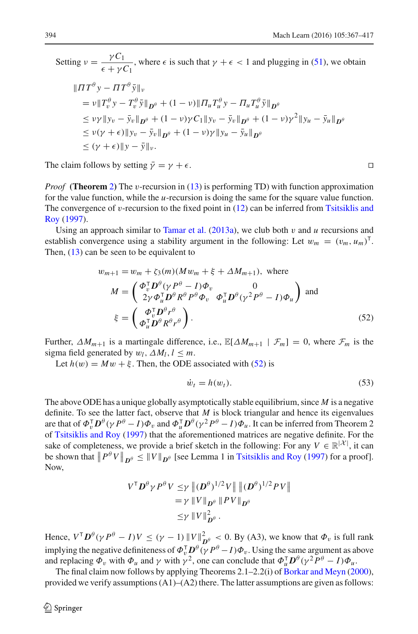Setting  $v = \frac{\gamma C_1}{\epsilon + \gamma C_1}$  $\frac{\mu}{\epsilon + \gamma C_1}$ , where  $\epsilon$  is such that  $\gamma + \epsilon < 1$  and plugging in [\(51\)](#page-26-1), we obtain

$$
\|IT^{\theta} y - IT^{\theta} \bar{y}\|_{v}
$$
  
\n
$$
= v \|T_v^{\theta} y - T_v^{\theta} \bar{y}\|_{D^{\theta}} + (1 - v) \|T_u T_u^{\theta} y - T_u T_u^{\theta} \bar{y}\|_{D^{\theta}}
$$
  
\n
$$
\leq v \gamma \|y_v - \bar{y}_v\|_{D^{\theta}} + (1 - v) \gamma C_1 \|y_v - \bar{y}_v\|_{D^{\theta}} + (1 - v) \gamma^2 \|y_u - \bar{y}_u\|_{D^{\theta}}
$$
  
\n
$$
\leq v(\gamma + \epsilon) \|y_v - \bar{y}_v\|_{D^{\theta}} + (1 - v) \gamma \|y_u - \bar{y}_u\|_{D^{\theta}}
$$
  
\n
$$
\leq (\gamma + \epsilon) \|y - \bar{y}\|_{v}.
$$

The claim follows by setting  $\bar{y} = y + \epsilon$ . □

*Proof* **(Theorem** [2](#page-26-0)**)** The v-recursion in [\(13\)](#page-13-0) is performing TD) with function approximation for the value function, while the *u*-recursion is doing the same for the square value function. The convergence of  $v$ [-recursion to the fixed point in](#page-50-20)  $(12)$  [can be inferred from](#page-50-20) Tsitsiklis and Roy [\(1997](#page-50-20)).

Using an approach similar to [Tamar et al.](#page-50-19)  $(2013a)$ , we club both  $v$  and  $u$  recursions and establish convergence using a stability argument in the following: Let  $w_m = (v_m, u_m)^\top$ . Then,  $(13)$  can be seen to be equivalent to

$$
w_{m+1} = w_m + \zeta_3(m)(Mw_m + \xi + \Delta M_{m+1}), \text{ where}
$$
  
\n
$$
M = \begin{pmatrix} \Phi_v^{\mathsf{T}} \mathbf{D}^{\theta} (\gamma P^{\theta} - I) \Phi_v & 0\\ 2\gamma \Phi_u^{\mathsf{T}} \mathbf{D}^{\theta} R^{\theta} P^{\theta} \Phi_v & \Phi_u^{\mathsf{T}} \mathbf{D}^{\theta} (\gamma^2 P^{\theta} - I) \Phi_u \end{pmatrix} \text{ and}
$$
  
\n
$$
\xi = \begin{pmatrix} \Phi_v^{\mathsf{T}} \mathbf{D}^{\theta} r^{\theta} \\ \Phi_u^{\mathsf{T}} \mathbf{D}^{\theta} R^{\theta} r^{\theta} \end{pmatrix}.
$$
 (52)

Further,  $\Delta M_{m+1}$  is a martingale difference, i.e.,  $\mathbb{E}[\Delta M_{m+1} | \mathcal{F}_m] = 0$ , where  $\mathcal{F}_m$  is the sigma field generated by  $w_l$ ,  $\Delta M_l$ ,  $l \leq m$ .

Let  $h(w) = Mw + \xi$ . Then, the ODE associated with [\(52\)](#page-27-0) is

<span id="page-27-0"></span>
$$
\dot{w}_t = h(w_t). \tag{53}
$$

The above ODE has a unique globally asymptotically stable equilibrium, since *M* is a negative definite. To see the latter fact, observe that *M* is block triangular and hence its eigenvalues are that of  $\Phi_v^T D^\theta (\gamma P^\theta - I) \Phi_v$  and  $\Phi_u^T D^\theta (\gamma^2 P^\theta - I) \Phi_u$ . It can be inferred from Theorem 2 of [Tsitsiklis and Roy](#page-50-20) [\(1997](#page-50-20)) that the aforementioned matrices are negative definite. For the sake of completeness, we provide a brief sketch in the following: For any  $V \in \mathbb{R}^{|\mathcal{X}|}$ , it can be shown that  $||P^{\theta}V||_{D^{\theta}} \le ||V||_{D^{\theta}}$  [see Lemma 1 in [Tsitsiklis and Roy](#page-50-20) [\(1997\)](#page-50-20) for a proof]. Now,

$$
V^{\mathsf{T}} \mathbf{D}^{\theta} \gamma P^{\theta} V \leq \gamma ||(\mathbf{D}^{\theta})^{1/2} V|| ||(\mathbf{D}^{\theta})^{1/2} P V||
$$
  
=  $\gamma ||V||_{\mathbf{D}^{\theta}} ||P V||_{\mathbf{D}^{\theta}}$   
 $\leq \gamma ||V||_{\mathbf{D}^{\theta}}^2.$ 

Hence,  $V^{\mathsf{T}} D^{\theta} (\gamma P^{\theta} - I) V \le (\gamma - 1) ||V||_{D^{\theta}}^2 < 0$ . By (A3), we know that  $\Phi_v$  is full rank implying the negative definiteness of  $\Phi_v^{\mathsf{T}} \mathbf{D}^{\theta} (\gamma P^{\theta} - I) \Phi_v$ . Using the same argument as above and replacing  $\Phi_v$  with  $\Phi_u$  and  $\gamma$  with  $\gamma^2$ , one can conclude that  $\Phi_u^{\mathsf{T}} \mathbf{D}^\theta(\gamma^2 P^\theta - I) \Phi_u$ .

The final claim now follows by applying Theorems 2.1–2.2(i) of [Borkar and Meyn](#page-49-22) [\(2000\)](#page-49-22), provided we verify assumptions  $(A1)$ – $(A2)$  there. The latter assumptions are given as follows: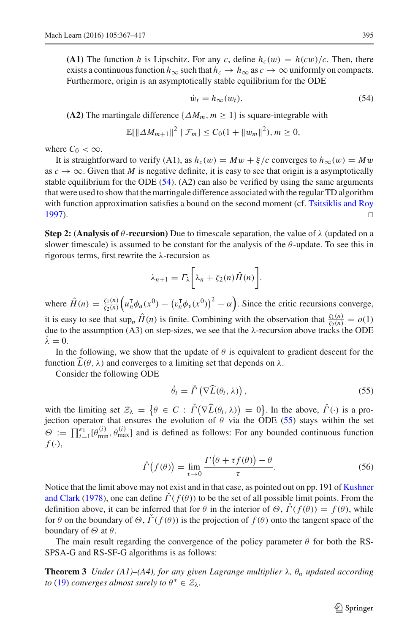**(A1)** The function *h* is Lipschitz. For any *c*, define  $h_c(w) = h(cw)/c$ . Then, there exists a continuous function  $h_{\infty}$  such that  $h_c \to h_{\infty}$  as  $c \to \infty$  uniformly on compacts. Furthermore, origin is an asymptotically stable equilibrium for the ODE

<span id="page-28-2"></span>
$$
\dot{w}_t = h_{\infty}(w_t). \tag{54}
$$

**(A2)** The martingale difference  $\{\Delta M_m, m \geq 1\}$  is square-integrable with

$$
\mathbb{E}[\|\Delta M_{m+1}\|^2 \mid \mathcal{F}_m] \leq C_0(1 + \|w_m\|^2), m \geq 0,
$$

where  $C_0 < \infty$ .

It is straightforward to verify (A1), as  $h_c(w) = Mw + \xi/c$  converges to  $h_{\infty}(w) = Mw$ as  $c \to \infty$ . Given that *M* is negative definite, it is easy to see that origin is a asymptotically stable equilibrium for the ODE  $(54)$ .  $(A2)$  can also be verified by using the same arguments that were used to show that the martingale difference associated with the regular TD algorithm with function approximation satisfies a bound on the second moment (cf. [Tsitsiklis and Roy](#page-50-20) [1997](#page-50-20)). ⊓⊔

**Step 2: (Analysis of**  $\theta$ **-recursion) Due to timescale separation, the value of**  $\lambda$  **(updated on a** slower timescale) is assumed to be constant for the analysis of the  $\theta$ -update. To see this in rigorous terms, first rewrite the λ-recursion as

$$
\lambda_{n+1} = \Gamma_{\lambda} \bigg[ \lambda_n + \zeta_2(n) \hat{H}(n) \bigg].
$$

where  $\hat{H}(n) = \frac{\zeta_1(n)}{\zeta_2(n)}$  $\left(u_n^{\mathsf{T}} \phi_u(x^0) - \left(v_n^{\mathsf{T}} \phi_v(x^0)\right)^2 - \alpha\right)$ . Since the critic recursions converge, it is easy to see that  $\sup_n \hat{H}(n)$  is finite. Combining with the observation that  $\frac{\zeta_1(n)}{\zeta_2(n)} = o(1)$ due to the assumption (A3) on step-sizes, we see that the  $\lambda$ -recursion above tracks the ODE  $\dot{\lambda}=0.$ 

In the following, we show that the update of  $\theta$  is equivalent to gradient descent for the function  $\hat{L}(\theta, \lambda)$  and converges to a limiting set that depends on  $\lambda$ .

Consider the following ODE

<span id="page-28-3"></span><span id="page-28-1"></span>
$$
\dot{\theta}_t = \check{\Gamma} \left( \nabla \widehat{L}(\theta_t, \lambda) \right), \tag{55}
$$

with the limiting set  $\mathcal{Z}_{\lambda} = \{ \theta \in C : \check{\Gamma}(\nabla \widehat{L}(\theta_t, \lambda)) = 0 \}$ . In the above,  $\check{\Gamma}(\cdot)$  is a projection operator that ensures the evolution of  $\theta$  via the ODE [\(55\)](#page-28-1) stays within the set  $\Theta := \prod_{i=1}^{K_1} [\theta_{\min}^{(i)}, \theta_{\max}^{(i)}]$  and is defined as follows: For any bounded continuous function  $f(\cdot),$ 

$$
\check{\Gamma}\big(f(\theta)\big) = \lim_{\tau \to 0} \frac{\Gamma\big(\theta + \tau f(\theta)\big) - \theta}{\tau}.
$$
\n(56)

Notice th[at the limit above may not exist and in that case, as pointed out on pp. 191 of](#page-49-23) Kushner and Clark [\(1978](#page-49-23)), one can define  $\dot{\Gamma}(f(\theta))$  to be the set of all possible limit points. From the definition above, it can be inferred that for  $\theta$  in the interior of  $\Theta$ ,  $\dot{\Gamma}(f(\theta)) = f(\theta)$ , while for  $\theta$  on the boundary of  $\Theta$ ,  $\dot{\Gamma}(f(\theta))$  is the projection of  $f(\theta)$  onto the tangent space of the boundary of  $\Theta$  at  $\theta$ .

<span id="page-28-0"></span>The main result regarding the convergence of the policy parameter  $\theta$  for both the RS-SPSA-G and RS-SF-G algorithms is as follows:

**Theorem 3** *Under (A1)–(A4), for any given Lagrange multiplier* λ*,* θ*<sup>n</sup> updated according to* [\(19\)](#page-15-3) *converges almost surely to*  $\theta^* \in \mathcal{Z}_\lambda$ *.*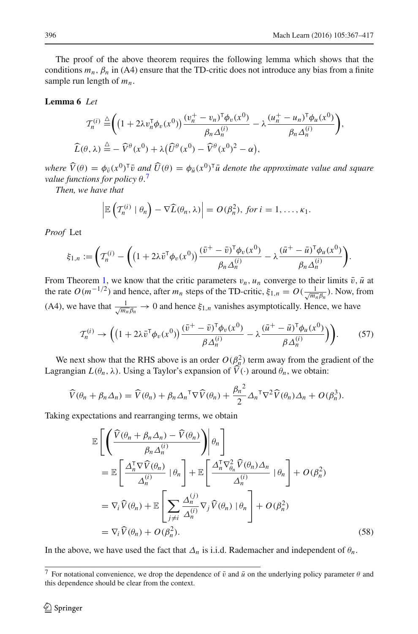The proof of the above theorem requires the following lemma which shows that the conditions  $m_n$ ,  $\beta_n$  in (A4) ensure that the TD-critic does not introduce any bias from a finite sample run length of *mn*.

#### <span id="page-29-0"></span>**Lemma 6** *Let*

$$
\mathcal{T}_n^{(i)} \stackrel{\triangle}{=} \left( \left( 1 + 2\lambda v_n^{\mathsf{T}} \phi_v(x^0) \right) \frac{(v_n^+ - v_n)^{\mathsf{T}} \phi_v(x^0)}{\beta_n \Delta_n^{(i)}} - \lambda \frac{(u_n^+ - u_n)^{\mathsf{T}} \phi_u(x^0)}{\beta_n \Delta_n^{(i)}} \right),
$$
  

$$
\widehat{L}(\theta, \lambda) \stackrel{\triangle}{=} -\widehat{V}^{\theta}(x^0) + \lambda \big( \widehat{U}^{\theta}(x^0) - \widehat{V}^{\theta}(x^0)^2 - \alpha \big),
$$

 $W$ *here*  $\widehat{V}(\theta) = \phi_{\bar{v}}(x^0)^T \bar{v}$  *and*  $\widehat{U}(\theta) = \phi_{\bar{u}}(x^0)^T \bar{u}$  *denote the approximate value and square value functions for policy* θ*.* [7](#page-29-1)

*Then, we have that*

$$
\left|\mathbb{E}\left(\mathcal{T}_n^{(i)}\mid\theta_n\right)-\nabla\widehat{L}(\theta_n,\lambda)\right|=O(\beta_n^2),\ \text{for}\ i=1,\ldots,\kappa_1.
$$

*Proof* Let

$$
\xi_{1,n} := \left( T_n^{(i)} - \left( \left( 1 + 2\lambda \bar{v}^\mathsf{T} \phi_v(x^0) \right) \frac{(\bar{v}^+ - \bar{v})^\mathsf{T} \phi_v(x^0)}{\beta_n \Delta_n^{(i)}} - \lambda \frac{(\bar{u}^+ - \bar{u})^\mathsf{T} \phi_u(x^0)}{\beta_n \Delta_n^{(i)}} \right) \right).
$$

From Theorem [1,](#page-14-2) we know that the critic parameters  $v_n$ ,  $u_n$  converge to their limits  $\bar{v}, \bar{u}$  at the rate  $O(m^{-1/2})$  and hence, after  $m_n$  steps of the TD-critic,  $\xi_{1,n} = O(\frac{1}{\sqrt{m_n \beta_n}})$ . Now, from (A4), we have that  $\frac{1}{\sqrt{m_n}\beta_n} \to 0$  and hence  $\xi_{1,n}$  vanishes asymptotically. Hence, we have

<span id="page-29-3"></span>
$$
\mathcal{T}_n^{(i)} \to \left( \left( 1 + 2\lambda \bar{v}^\mathsf{T} \phi_v(x^0) \right) \frac{(\bar{v}^+ - \bar{v})^\mathsf{T} \phi_v(x^0)}{\beta \Delta_n^{(i)}} - \lambda \frac{(\bar{u}^+ - \bar{u})^\mathsf{T} \phi_u(x^0)}{\beta \Delta_n^{(i)}} \right) \right). \tag{57}
$$

We next show that the RHS above is an order  $O(\beta_n^2)$  term away from the gradient of the Lagrangian  $L(\theta_n, \lambda)$ . Using a Taylor's expansion of  $V(\cdot)$  around  $\theta_n$ , we obtain:

$$
\widehat{V}(\theta_n + \beta_n \Delta_n) = \widehat{V}(\theta_n) + \beta_n \Delta_n^{\mathsf{T}} \nabla \widehat{V}(\theta_n) + \frac{\beta_n^2}{2} \Delta_n^{\mathsf{T}} \nabla^2 \widehat{V}(\theta_n) \Delta_n + O(\beta_n^3).
$$

Taking expectations and rearranging terms, we obtain

<span id="page-29-2"></span>
$$
\mathbb{E}\left[\left(\frac{\widehat{V}(\theta_{n}+\beta_{n}\Delta_{n})-\widehat{V}(\theta_{n})}{\beta_{n}\Delta_{n}^{(i)}}\right)\middle|\theta_{n}\right]
$$
\n
$$
=\mathbb{E}\left[\frac{\Delta_{n}^{\mathrm{T}}\nabla\widehat{V}(\theta_{n})}{\Delta_{n}^{(i)}}\middle|\theta_{n}\right]+\mathbb{E}\left[\frac{\Delta_{n}^{\mathrm{T}}\nabla_{\theta_{n}}^{2}\widehat{V}(\theta_{n})\Delta_{n}}{\Delta_{n}^{(i)}}\middle|\theta_{n}\right]+O(\beta_{n}^{2})
$$
\n
$$
=\nabla_{i}\widehat{V}(\theta_{n})+\mathbb{E}\left[\sum_{j\neq i}\frac{\Delta_{n}^{(j)}}{\Delta_{n}^{(i)}}\nabla_{j}\widehat{V}(\theta_{n})\middle|\theta_{n}\right]+O(\beta_{n}^{2})
$$
\n
$$
=\nabla_{i}\widehat{V}(\theta_{n})+O(\beta_{n}^{2}).
$$
\n(58)

In the above, we have used the fact that  $\Delta_n$  is i.i.d. Rademacher and independent of  $\theta_n$ .

<span id="page-29-1"></span><sup>&</sup>lt;sup>7</sup> For notational convenience, we drop the dependence of  $\bar{v}$  and  $\bar{u}$  on the underlying policy parameter  $\theta$  and this dependence should be clear from the context.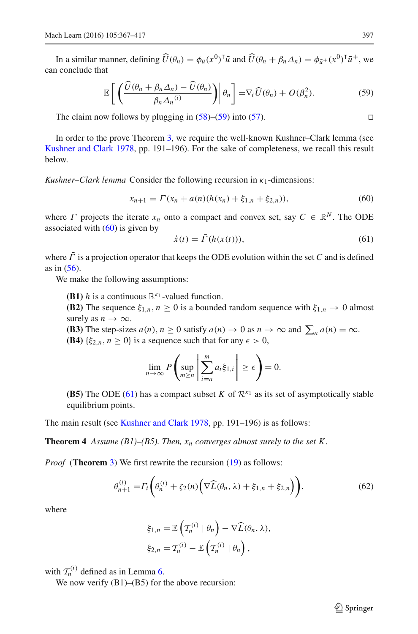In a similar manner, defining  $\widehat{U}(\theta_n) = \phi_{\bar{u}}(x^0)^T \bar{u}$  and  $\widehat{U}(\theta_n + \beta_n \Delta_n) = \phi_{\bar{u}^+}(x^0)^T \bar{u}^+$ , we can conclude that

<span id="page-30-1"></span>
$$
\mathbb{E}\left[\left(\frac{\widehat{U}(\theta_n+\beta_n\Delta_n)-\widehat{U}(\theta_n)}{\beta_n\Delta_n^{(i)}}\right)\middle|\theta_n\right]=\nabla_i\widehat{U}(\theta_n)+O(\beta_n^2). \tag{59}
$$

The claim now follows by plugging in  $(58)$ – $(59)$  into  $(57)$ . □

In order to the prove Theorem [3,](#page-28-0) we require the well-known Kushner–Clark lemma (see [Kushner and Clark 1978,](#page-49-23) pp. 191–196). For the sake of completeness, we recall this result below.

<span id="page-30-2"></span>*Kushner–Clark lemma* Consider the following recursion in κ1-dimensions:

<span id="page-30-3"></span>
$$
x_{n+1} = \Gamma(x_n + a(n)(h(x_n) + \xi_{1,n} + \xi_{2,n})),
$$
\n(60)

where  $\Gamma$  projects the iterate  $x_n$  onto a compact and convex set, say  $C \in \mathbb{R}^N$ . The ODE associated with  $(60)$  is given by

$$
\dot{x}(t) = \bar{\Gamma}(h(x(t))),\tag{61}
$$

where  $\bar{\Gamma}$  is a projection operator that keeps the ODE evolution within the set *C* and is defined as in [\(56\)](#page-28-3).

We make the following assumptions:

- **(B1)** *h* is a continuous  $\mathbb{R}^{k_1}$ -valued function.
- **(B2)** The sequence  $\xi_{1,n}$ ,  $n \geq 0$  is a bounded random sequence with  $\xi_{1,n} \to 0$  almost surely as  $n \to \infty$ .
- **(B3)** The step-sizes  $a(n)$ ,  $n \ge 0$  satisfy  $a(n) \to 0$  as  $n \to \infty$  and  $\sum_n a(n) = \infty$ .
- **(B4)** { $\xi_{2,n}$ ,  $n \ge 0$ } is a sequence such that for any  $\epsilon > 0$ ,

<span id="page-30-0"></span>
$$
\lim_{n \to \infty} P\left(\sup_{m \ge n} \left\| \sum_{i=n}^m a_i \xi_{1,i} \right\| \ge \epsilon \right) = 0.
$$

**(B5)** The ODE [\(61\)](#page-30-3) has a compact subset *K* of  $\mathcal{R}^{k_1}$  as its set of asymptotically stable equilibrium points.

The main result (see [Kushner and Clark 1978](#page-49-23), pp. 191–196) is as follows:

**Theorem 4** *Assume (B1)–(B5). Then,*  $x_n$  *converges almost surely to the set K.* 

*Proof* (**Theorem** [3\)](#page-28-0) We first rewrite the recursion [\(19\)](#page-15-3) as follows:

$$
\theta_{n+1}^{(i)} = \Gamma_i \bigg( \theta_n^{(i)} + \zeta_2(n) \bigg( \nabla \widehat{L}(\theta_n, \lambda) + \xi_{1,n} + \xi_{2,n} \bigg) \bigg), \tag{62}
$$

where

$$
\xi_{1,n} = \mathbb{E}\left(\mathcal{T}_n^{(i)} \mid \theta_n\right) - \nabla \widehat{L}(\theta_n, \lambda),
$$
  

$$
\xi_{2,n} = \mathcal{T}_n^{(i)} - \mathbb{E}\left(\mathcal{T}_n^{(i)} \mid \theta_n\right),
$$

with  $\mathcal{T}_n^{(i)}$  defined as in Lemma [6.](#page-29-0)

We now verify  $(B1)$ – $(B5)$  for the above recursion: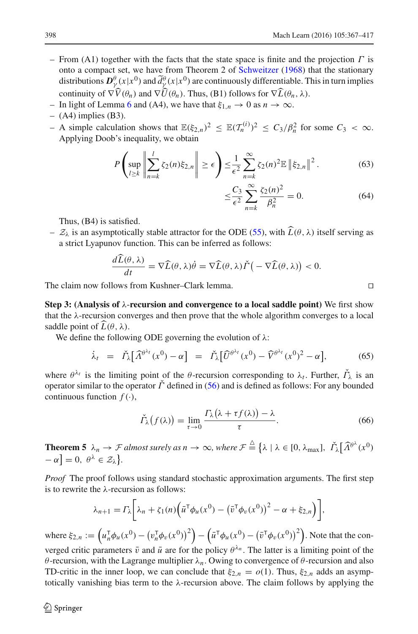- From (A1) together with the facts that the state space is finite and the projection  $\Gamma$  is onto a compact set, we have from Theorem 2 of [Schweitzer](#page-50-21) [\(1968](#page-50-21)) that the stationary distributions  $D^{\theta}_{\gamma}(x|x^0)$  and  $\tilde{d}^{\theta}_{\gamma}(x|x^0)$  are continuously differentiable. This in turn implies continuity of  $\nabla \hat{V}(\theta_n)$  and  $\nabla \hat{U}(\theta_n)$ . Thus, (B1) follows for  $\nabla \hat{L}(\theta_n, \lambda)$ .
- In light of Lemma [6](#page-29-0) and (A4), we have that  $\xi_{1,n} \to 0$  as  $n \to \infty$ .
- $-$  (A4) implies (B3).
- $-$  A simple calculation shows that  $\mathbb{E}(\xi_{2,n})^2 \leq \mathbb{E}(\mathcal{T}_n^{(i)})^2 \leq C_3/\beta_n^2$  for some  $C_3 < \infty$ . Applying Doob's inequality, we obtain

$$
P\left(\sup_{l\geq k}\left\|\sum_{n=k}^{l}\zeta_{2}(n)\xi_{2,n}\right\| \geq \epsilon\right) \leq \frac{1}{\epsilon^{2}}\sum_{n=k}^{\infty}\zeta_{2}(n)^{2}\mathbb{E}\left\|\xi_{2,n}\right\|^{2}.
$$
 (63)

$$
\leq \frac{C_3}{\epsilon^2} \sum_{n=k}^{\infty} \frac{\zeta_2(n)^2}{\beta_n^2} = 0.
$$
 (64)

Thus, (B4) is satisfied.

–  $\mathcal{Z}_\lambda$  is an asymptotically stable attractor for the ODE [\(55\)](#page-28-1), with  $\widehat{L}(\theta, \lambda)$  itself serving as a strict Lyapunov function. This can be inferred as follows:

$$
\frac{d\tilde{L}(\theta,\lambda)}{dt} = \nabla \widehat{L}(\theta,\lambda)\dot{\theta} = \nabla \widehat{L}(\theta,\lambda)\check{\Gamma}\big(-\nabla \widehat{L}(\theta,\lambda)\big) < 0.
$$

The claim now follows from Kushner–Clark lemma. ⊓⊔

**Step 3: (Analysis of** λ-**recursion and convergence to a local saddle point)** We first show that the  $\lambda$ -recursion converges and then prove that the whole algorithm converges to a local saddle point of  $\widehat{L}(\theta, \lambda)$ .

We define the following ODE governing the evolution of  $\lambda$ :

$$
\dot{\lambda}_t = \check{\varGamma}_{\lambda} \big[ \widehat{\Lambda}^{\theta^{\lambda_t}}(x^0) - \alpha \big] = \check{\varGamma}_{\lambda} \big[ \widehat{U}^{\theta^{\lambda_t}}(x^0) - \widehat{V}^{\theta^{\lambda_t}}(x^0)^2 - \alpha \big], \tag{65}
$$

where  $\theta^{\lambda_t}$  is the limiting point of the  $\theta$ -recursion corresponding to  $\lambda_t$ . Further,  $\tilde{\Gamma}_{\lambda}$  is an operator similar to the operator  $\check{\Gamma}$  defined in [\(56\)](#page-28-3) and is defined as follows: For any bounded continuous function  $f(\cdot)$ ,

<span id="page-31-2"></span>
$$
\check{\Gamma}_{\lambda}\big(f(\lambda)\big) = \lim_{\tau \to 0} \frac{\Gamma_{\lambda}\big(\lambda + \tau f(\lambda)\big) - \lambda}{\tau}.
$$
\n(66)

<span id="page-31-0"></span>**Theorem 5**  $\lambda_n \to \mathcal{F}$  almost surely as  $n \to \infty$ , where  $\mathcal{F} \triangleq \{\lambda \mid \lambda \in [0, \lambda_{\max}], \ \check{\Gamma}_{\lambda}[\widehat{\Lambda}^{\theta^{\lambda}}(x^0)]\}$  $-\alpha$ ] = 0,  $\theta^{\lambda} \in \mathcal{Z}_{\lambda}$ .

*Proof* The proof follows using standard stochastic approximation arguments. The first step is to rewrite the  $\lambda$ -recursion as follows:

$$
\lambda_{n+1} = \Gamma_{\lambda} \bigg[ \lambda_n + \zeta_1(n) \bigg( \bar{u}^\top \phi_u(x^0) - \big( \bar{v}^\top \phi_v(x^0) \big)^2 - \alpha + \xi_{2,n} \bigg) \bigg],
$$

where  $\xi_{2,n} := \left( u_n^{\mathsf{T}} \phi_u(x^0) - \left( v_n^{\mathsf{T}} \phi_v(x^0) \right)^2 \right)$ −  $(\bar{u}^{\mathsf{T}}\phi_u(x^0) - (\bar{v}^{\mathsf{T}}\phi_v(x^0))^2)$ . Note that the converged critic parameters  $\bar{v}$  and  $\bar{u}$  are for the policy  $\theta^{\lambda_n}$ . The latter is a limiting point of the θ-recursion, with the Lagrange multiplier λ*n*. Owing to convergence of θ-recursion and also TD-critic in the inner loop, we can conclude that  $\xi_{2,n} = o(1)$ . Thus,  $\xi_{2,n}$  adds an asymptotically vanishing bias term to the  $\lambda$ -recursion above. The claim follows by applying the

<span id="page-31-1"></span>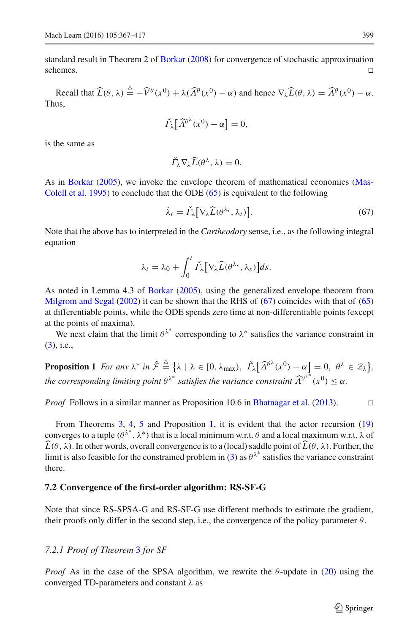standard result in Theorem 2 of [Borkar](#page-49-15) [\(2008](#page-49-15)) for convergence of stochastic approximation schemes. ⊓⊔

Recall that  $\widehat{L}(\theta, \lambda) \stackrel{\Delta}{=} -\widehat{V}^{\theta}(x^0) + \lambda(\widehat{\Lambda}^{\theta}(x^0) - \alpha)$  and hence  $\nabla_{\lambda}\widehat{L}(\theta, \lambda) = \widehat{\Lambda}^{\theta}(x^0) - \alpha$ . Thus,

$$
\check{\Gamma}_{\lambda} \big[ \widehat{\Lambda}^{\theta^{\lambda}}(x^0) - \alpha \big] = 0,
$$

is the same as

$$
\check{\Gamma}_{\lambda}\nabla_{\lambda}\widehat{L}(\theta^{\lambda},\lambda)=0.
$$

As in [Borkar](#page-48-17) [\(2005](#page-48-17)[\), we invoke the envelope theorem of mathematical economics \(](#page-49-24)Mas-Colell et al. [1995](#page-49-24)) to conclude that the ODE [\(65\)](#page-31-1) is equivalent to the following

<span id="page-32-1"></span>
$$
\dot{\lambda}_t = \check{\Gamma}_{\lambda} \big[ \nabla_{\lambda} \widehat{L}(\theta^{\lambda_t}, \lambda_t) \big]. \tag{67}
$$

Note that the above has to interpreted in the *Cartheodory* sense, i.e., as the following integral equation

$$
\lambda_t = \lambda_0 + \int_0^t \check{\Gamma}_{\lambda} [\nabla_{\lambda} \widehat{L}(\theta^{\lambda_s}, \lambda_s)] ds.
$$

As noted in Lemma 4.3 of [Borkar](#page-48-17) [\(2005\)](#page-48-17), using the generalized envelope theorem from [Milgrom and Segal](#page-49-25) [\(2002\)](#page-49-25) it can be shown that the RHS of [\(67\)](#page-32-1) coincides with that of [\(65\)](#page-31-1) at differentiable points, while the ODE spends zero time at non-differentiable points (except at the points of maxima).

<span id="page-32-0"></span>We next claim that the limit  $\theta^{\lambda^*}$  corresponding to  $\lambda^*$  satisfies the variance constraint in [\(3\)](#page-7-1), i.e.,

**Proposition 1** For any  $\lambda^*$  in  $\hat{\mathcal{F}} \stackrel{\triangle}{=} {\lambda \mid \lambda \in [0, \lambda_{\max})}, \ \check{\Gamma}_{\lambda} [\widehat{\Lambda}^{\theta^{\lambda}}(x^0) - \alpha] = 0, \ \theta^{\lambda} \in \mathcal{Z}_{\lambda} }$ *the corresponding limiting point*  $\theta^{\lambda^*}$  satisfies the variance constraint  $\widehat{\Lambda}^{\theta^{\lambda^*}}(x^0) \leq \alpha$ .

*Proof* Follows in a similar manner as Proposition 10.6 in [Bhatnagar et al.](#page-48-10) [\(2013](#page-48-10)). □

From Theorems [3,](#page-28-0) [4,](#page-30-0) [5](#page-31-0) and Proposition [1,](#page-32-0) it is evident that the actor recursion [\(19\)](#page-15-3) converges to a tuple ( $\theta^{\lambda^*}$ ,  $\lambda^*$ ) that is a local minimum w.r.t. θ and a local maximum w.r.t. λ of  $\widehat{L}(\theta, \lambda)$ . In other words, overall convergence is to a (local) saddle point of  $\widehat{L}(\theta, \lambda)$ . Further, the limit is also feasible for the constrained problem in [\(3\)](#page-7-1) as  $\theta^{\lambda^*}$  satisfies the variance constraint there.

#### **7.2 Convergence of the first-order algorithm: RS-SF-G**

Note that since RS-SPSA-G and RS-SF-G use different methods to estimate the gradient, their proofs only differ in the second step, i.e., the convergence of the policy parameter  $\theta$ .

### *7.2.1 Proof of Theorem* [3](#page-28-0) *for SF*

*Proof* As in the case of the SPSA algorithm, we rewrite the  $\theta$ -update in [\(20\)](#page-15-4) using the converged TD-parameters and constant λ as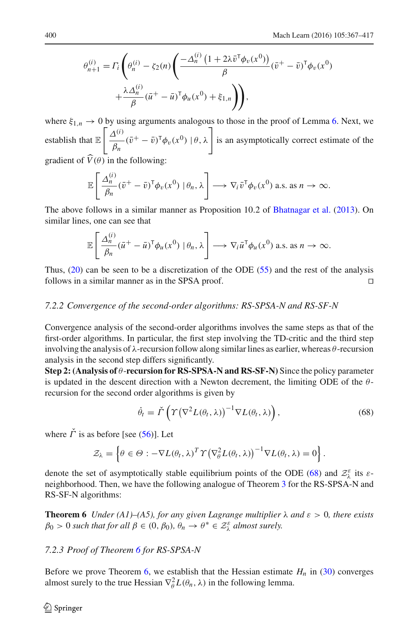$$
\theta_{n+1}^{(i)} = \Gamma_i \left( \theta_n^{(i)} - \zeta_2(n) \left( \frac{-\Delta_n^{(i)} \left( 1 + 2\lambda \bar{v}^\mathsf{T} \phi_v(x^0) \right)}{\beta} (\bar{v}^+ - \bar{v})^\mathsf{T} \phi_v(x^0) + \frac{\lambda \Delta_n^{(i)}}{\beta} (\bar{u}^+ - \bar{u})^\mathsf{T} \phi_u(x^0) + \xi_{1,n} \right) \right),
$$

where  $\xi_{1,n} \to 0$  by using arguments analogous to those in the proof of Lemma [6.](#page-29-0) Next, we establish that E  $\int \Delta^{(i)}$  $\frac{\Delta^{(i)}}{\beta_n}(\bar{v}^+ - \bar{v})^{\mathsf{T}} \phi_v(x^0) \mid \theta, \lambda$  is an asymptotically correct estimate of the gradient of  $\overline{\hat{V}(\theta)}$  in the following:

$$
\mathbb{E}\left[\frac{\Delta_n^{(i)}}{\beta_n}(\bar{v}^+ - \bar{v})^{\mathsf{T}}\phi_v(x^0) \,|\, \theta_n, \lambda\right] \longrightarrow \nabla_i \bar{v}^{\mathsf{T}}\phi_v(x^0) \text{ a.s. as } n \to \infty.
$$

The above follows in a similar manner as Proposition 10.2 of [Bhatnagar et al.](#page-48-10) [\(2013](#page-48-10)). On similar lines, one can see that

$$
\mathbb{E}\left[\frac{\Delta_n^{(i)}}{\beta_n}(\bar{u}^+ - \bar{u})^{\mathsf{T}}\phi_u(x^0) \,|\, \theta_n, \lambda\right] \longrightarrow \nabla_i \bar{u}^{\mathsf{T}}\phi_u(x^0) \text{ a.s. as } n \to \infty.
$$

Thus, [\(20\)](#page-15-4) can be seen to be a discretization of the ODE [\(55\)](#page-28-1) and the rest of the analysis follows in a similar manner as in the SPSA proof. □

# *7.2.2 Convergence of the second-order algorithms: RS-SPSA-N and RS-SF-N*

Convergence analysis of the second-order algorithms involves the same steps as that of the first-order algorithms. In particular, the first step involving the TD-critic and the third step involving the analysis of  $\lambda$ -recursion follow along similar lines as earlier, whereas  $\theta$ -recursion analysis in the second step differs significantly.

**Step 2: (Analysis of** θ-**recursion for RS-SPSA-N and RS-SF-N)** Since the policy parameter is updated in the descent direction with a Newton decrement, the limiting ODE of the  $\theta$ recursion for the second order algorithms is given by

<span id="page-33-1"></span>
$$
\dot{\theta}_t = \check{\Gamma}\left(\Upsilon\big(\nabla^2 L(\theta_t, \lambda)\big)^{-1} \nabla L(\theta_t, \lambda)\right),\tag{68}
$$

where  $\check{\Gamma}$  is as before [see [\(56\)](#page-28-3)]. Let

$$
\mathcal{Z}_{\lambda} = \left\{\theta \in \Theta : -\nabla L(\theta_t, \lambda)^T \Upsilon \big(\nabla_{\theta}^2 L(\theta_t, \lambda)\big)^{-1} \nabla L(\theta_t, \lambda) = 0\right\}.
$$

denote the set of asymptotically stable equilibrium points of the ODE [\(68\)](#page-33-1) and  $\mathcal{Z}_{\lambda}^{\varepsilon}$  its  $\varepsilon$ neighborhood. Then, we have the following analogue of Theorem [3](#page-28-0) for the RS-SPSA-N and RS-SF-N algorithms:

<span id="page-33-2"></span>**Theorem 6** *Under (A1)–(A5), for any given Lagrange multiplier*  $\lambda$  *and*  $\varepsilon > 0$ *, there exists*  $\beta_0 > 0$  such that for all  $\beta \in (0, \beta_0), \theta_n \to \theta^* \in \mathcal{Z}_{\lambda}^{\varepsilon}$  almost surely.

#### *7.2.3 Proof of Theorem [6](#page-33-2) for RS-SPSA-N*

<span id="page-33-0"></span>Before we prove Theorem [6,](#page-33-2) we establish that the Hessian estimate  $H<sub>n</sub>$  in [\(30\)](#page-18-0) converges almost surely to the true Hessian  $\nabla_{\theta}^2 L(\theta_n, \lambda)$  in the following lemma.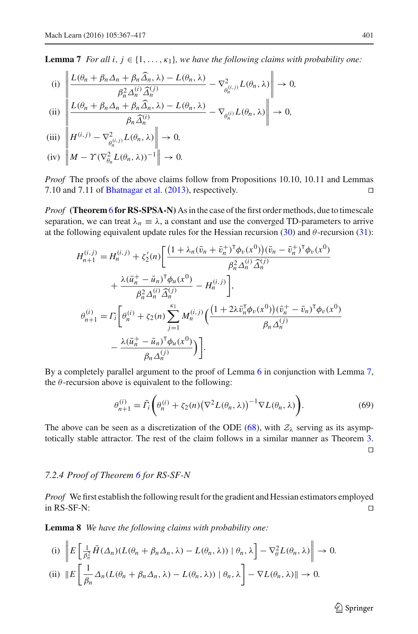**Lemma 7** *For all i, j*  $\in$  {1, ...,  $\kappa_1$ }*, we have the following claims with probability one:* 

(i) 
$$
\left\| \frac{L(\theta_n + \beta_n \Delta_n + \beta_n \widehat{\Delta}_n, \lambda) - L(\theta_n, \lambda)}{\beta_n^2 \Delta_n^{(i)} \widehat{\Delta}_n^{(j)}} - \nabla^2_{\theta_n^{(i,j)}} L(\theta_n, \lambda) \right\| \to 0,
$$

(ii) 
$$
\left\| \frac{L(\theta_n + \beta_n \Delta_n + \beta_n \widehat{\Delta}_n, \lambda) - L(\theta_n, \lambda)}{\beta_n \widehat{\Delta}_n^{(i)}} - \nabla_{\theta_n^{(i)}} L(\theta_n, \lambda) \right\| \to 0,
$$

$$
\text{(iii)}\ \left\| H^{(i,j)} - \nabla^2_{\theta_n^{(i,j)}} L(\theta_n, \lambda) \right\| \to 0,
$$

 $(iv)$   $\left\| M - \Upsilon (\nabla_{\theta_n}^2 L(\theta_n, \lambda))^{-1} \right\| \to 0.$ 

*Proof* The proofs of the above claims follow from Propositions 10.10, 10.11 and Lemmas 7.10 and 7.11 of [Bhatnagar et al.](#page-48-10) [\(2013](#page-48-10)), respectively. ⊓⊔

*Proof* **(Theorem** [6](#page-33-2) **for RS-SPSA-N)** As in the case of the first order methods, due to timescale separation, we can treat  $\lambda_n \equiv \lambda$ , a constant and use the converged TD-parameters to arrive at the following equivalent update rules for the Hessian recursion  $(30)$  and  $\theta$ -recursion  $(31)$ :

$$
H_{n+1}^{(i,j)} = H_n^{(i,j)} + \zeta_2'(n) \left[ \frac{\left(1 + \lambda_n(\bar{v}_n + \bar{v}_n^+)^\mathsf{T} \phi_v(x^0)\right)(\bar{v}_n - \bar{v}_n^+)^\mathsf{T} \phi_v(x^0)}{\beta_n^2 \Delta_n^{(i)} \hat{\Delta}_n^{(j)}} + \frac{\lambda(\bar{u}_n^+ - \bar{u}_n)^\mathsf{T} \phi_u(x^0)}{\beta_n^2 \Delta_n^{(i)} \hat{\Delta}_n^{(j)}} - H_n^{(i,j)} \right],
$$
  

$$
\theta_{n+1}^{(i)} = \Gamma_i \left[ \theta_n^{(i)} + \zeta_2(n) \sum_{j=1}^{\kappa_1} M_n^{(i,j)} \left( \frac{\left(1 + 2\lambda \bar{v}_n^{\mathsf{T}} \phi_v(x^0)\right)(\bar{v}_n^+ - \bar{v}_n)^\mathsf{T} \phi_v(x^0)}{\beta_n \Delta_n^{(j)}} - \frac{\lambda(\bar{u}_n^+ - \bar{u}_n)^\mathsf{T} \phi_u(x^0)}{\beta_n \Delta_n^{(j)}} \right) \right].
$$

By a completely parallel argument to the proof of Lemma [6](#page-29-0) in conjunction with Lemma [7,](#page-33-0) the  $\theta$ -recursion above is equivalent to the following:

$$
\theta_{n+1}^{(i)} = \bar{\Gamma}_i \bigg( \theta_n^{(i)} + \zeta_2(n) \big( \nabla^2 L(\theta_n, \lambda) \big)^{-1} \nabla L(\theta_n, \lambda) \bigg). \tag{69}
$$

The above can be seen as a discretization of the ODE [\(68\)](#page-33-1), with  $\mathcal{Z}_\lambda$  serving as its asymptotically stable attractor. The rest of the claim follows in a similar manner as Theorem [3.](#page-28-0) ⊓⊔

#### *7.2.4 Proof of Theorem [6](#page-33-2) for RS-SF-N*

*Proof* We first establish the following result for the gradient and Hessian estimators employed  $\Box$  in RS-SF-N:  $□$ 

<span id="page-34-0"></span>**Lemma 8** *We have the following claims with probability one:*

(i) 
$$
\left\| E \left[ \frac{1}{\beta_n^2} \overline{H}(\Delta_n) (L(\theta_n + \beta_n \Delta_n, \lambda) - L(\theta_n, \lambda)) \mid \theta_n, \lambda \right] - \nabla_{\theta}^2 L(\theta_n, \lambda) \right\| \to 0.
$$
  
(ii) 
$$
\left\| E \left[ \frac{1}{\beta_n} \Delta_n (L(\theta_n + \beta_n \Delta_n, \lambda) - L(\theta_n, \lambda)) \mid \theta_n, \lambda \right] - \nabla L(\theta_n, \lambda) \right\| \to 0.
$$

 $\hat{\mathfrak{D}}$  Springer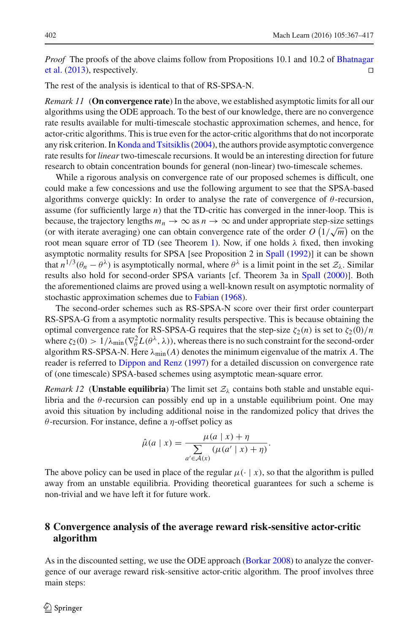*Proof* [The proofs of the above claims follow from Propositions 10.1 and 10.2 of](#page-48-10) Bhatnagar et al. [\(2013](#page-48-10)), respectively. □

The rest of the analysis is identical to that of RS-SPSA-N.

*Remark 11* (**On convergence rate**) In the above, we established asymptotic limits for all our algorithms using the ODE approach. To the best of our knowledge, there are no convergence rate results available for multi-timescale stochastic approximation schemes, and hence, for actor-critic algorithms. This is true even for the actor-critic algorithms that do not incorporate any risk criterion. In [Konda and Tsitsiklis\(2004](#page-49-26)), the authors provide asymptotic convergence rate results for *linear* two-timescale recursions. It would be an interesting direction for future research to obtain concentration bounds for general (non-linear) two-timescale schemes.

While a rigorous analysis on convergence rate of our proposed schemes is difficult, one could make a few concessions and use the following argument to see that the SPSA-based algorithms converge quickly: In order to analyse the rate of convergence of  $\theta$ -recursion, assume (for sufficiently large *n*) that the TD-critic has converged in the inner-loop. This is because, the trajectory lengths  $m_n \to \infty$  as  $n \to \infty$  and under appropriate step-size settings (or with iterate averaging) one can obtain convergence rate of the order  $O(1/\sqrt{m})$  on the root mean square error of TD (see Theorem [1\)](#page-14-2). Now, if one holds  $\lambda$  fixed, then invoking asymptotic normality results for SPSA [see Proposition 2 in [Spall](#page-50-11) [\(1992\)](#page-50-11)] it can be shown that  $n^{1/3}(\theta_n - \theta^{\lambda})$  is asymptotically normal, where  $\theta^{\lambda}$  is a limit point in the set  $\mathcal{Z}_{\lambda}$ . Similar results also hold for second-order SPSA variants [cf. Theorem 3a in [Spall](#page-50-13) [\(2000\)](#page-50-13)]. Both the aforementioned claims are proved using a well-known result on asymptotic normality of stochastic approximation schemes due to [Fabian](#page-49-27) [\(1968\)](#page-49-27).

The second-order schemes such as RS-SPSA-N score over their first order counterpart RS-SPSA-G from a asymptotic normality results perspective. This is because obtaining the optimal convergence rate for RS-SPSA-G requires that the step-size  $\zeta_2(n)$  is set to  $\zeta_2(0)/n$ where  $\zeta_2(0) > 1/\lambda_{\min}(\nabla^2_{\theta}L(\theta^{\lambda}, \lambda))$ , whereas there is no such constraint for the second-order algorithm RS-SPSA-N. Here  $\lambda_{\min}(A)$  denotes the minimum eigenvalue of the matrix A. The reader is referred to [Dippon and Renz](#page-49-28) [\(1997](#page-49-28)) for a detailed discussion on convergence rate of (one timescale) SPSA-based schemes using asymptotic mean-square error.

*Remark 12* (**Unstable equilibria**) The limit set  $\mathcal{Z}_{\lambda}$  contains both stable and unstable equilibria and the  $\theta$ -recursion can possibly end up in a unstable equilibrium point. One may avoid this situation by including additional noise in the randomized policy that drives the θ-recursion. For instance, define a η-offset policy as

$$
\hat{\mu}(a \mid x) = \frac{\mu(a \mid x) + \eta}{\sum_{a' \in \mathcal{A}(x)} (\mu(a' \mid x) + \eta)}.
$$

The above policy can be used in place of the regular  $\mu(\cdot | x)$ , so that the algorithm is pulled away from an unstable equilibria. Providing theoretical guarantees for such a scheme is non-trivial and we have left it for future work.

# <span id="page-35-0"></span>**8 Convergence analysis of the average reward risk-sensitive actor-critic algorithm**

As in the discounted setting, we use the ODE approach [\(Borkar 2008\)](#page-49-15) to analyze the convergence of our average reward risk-sensitive actor-critic algorithm. The proof involves three main steps: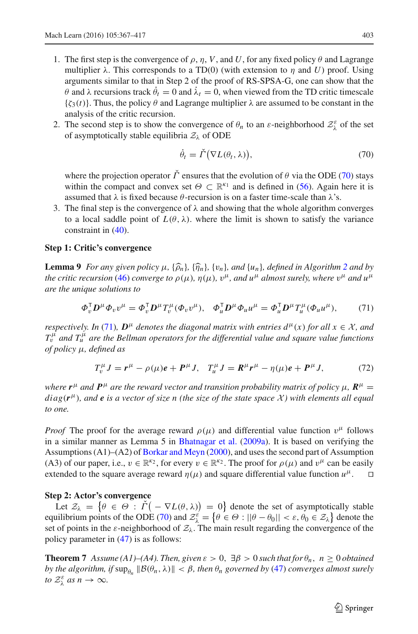- 1. The first step is the convergence of  $\rho$ ,  $\eta$ ,  $V$ , and  $U$ , for any fixed policy  $\theta$  and Lagrange multiplier  $\lambda$ . This corresponds to a TD(0) (with extension to  $\eta$  and *U*) proof. Using arguments similar to that in Step 2 of the proof of RS-SPSA-G, one can show that the θ and λ recursions track  $θ_t = 0$  and  $λ_t = 0$ , when viewed from the TD critic timescale  $\{\zeta_3(t)\}\$ . Thus, the policy  $\theta$  and Lagrange multiplier  $\lambda$  are assumed to be constant in the analysis of the critic recursion.
- 2. The second step is to show the convergence of  $\theta_n$  to an  $\varepsilon$ -neighborhood  $\mathcal{Z}_{\lambda}^{\varepsilon}$  of the set of asymptotically stable equilibria  $\mathcal{Z}_{\lambda}$  of ODE

$$
\dot{\theta}_t = \check{\Gamma}(\nabla L(\theta_t, \lambda)),\tag{70}
$$

<span id="page-36-0"></span>where the projection operator  $\tilde{\Gamma}$  ensures that the evolution of  $\theta$  via the ODE [\(70\)](#page-36-0) stays within the compact and convex set  $\Theta \subset \mathbb{R}^{k_1}$  and is defined in [\(56\)](#page-28-3). Again here it is assumed that  $\lambda$  is fixed because  $\theta$ -recursion is on a faster time-scale than  $\lambda$ 's.

3. The final step is the convergence of  $\lambda$  and showing that the whole algorithm converges to a local saddle point of  $L(\theta, \lambda)$ , where the limit is shown to satisfy the variance constraint in [\(40\)](#page-21-2).

#### <span id="page-36-2"></span>**Step 1: Critic's convergence**

**Lemma 9** *For any given policy*  $\mu$ ,  $\{\widehat{\rho}_n\}$ ,  $\{\widehat{\eta}_n\}$ ,  $\{v_n\}$ *, and*  $\{u_n\}$ *, defined in Algorithm [2](#page-23-1) and by the critic recursion* [\(46\)](#page-23-2) *converge to*  $\rho(\mu)$ ,  $\eta(\mu)$ ,  $v^{\mu}$ , and  $u^{\mu}$  almost surely, where  $v^{\mu}$  and  $u^{\mu}$ *are the unique solutions to*

$$
\Phi_v^{\mathsf{T}} \mathbf{D}^\mu \Phi_v v^\mu = \Phi_v^{\mathsf{T}} \mathbf{D}^\mu T_v^\mu (\Phi_v v^\mu), \quad \Phi_u^{\mathsf{T}} \mathbf{D}^\mu \Phi_u u^\mu = \Phi_u^{\mathsf{T}} \mathbf{D}^\mu T_u^\mu (\Phi_u u^\mu), \tag{71}
$$

<span id="page-36-1"></span>*respectively. In* [\(71\)](#page-36-1)*,*  $D^{\mu}$  *denotes the diagonal matrix with entries*  $d^{\mu}(x)$  *for all*  $x \in \mathcal{X}$ *, and*  $T_v^{\hat\mu}$  *and*  $T_u^{\hat\mu}$  *are the Bellman operators for the differential value and square value functions of policy* μ*, defined as*

$$
T_v^{\mu} J = r^{\mu} - \rho(\mu)e + P^{\mu} J, \quad T_u^{\mu} J = R^{\mu} r^{\mu} - \eta(\mu)e + P^{\mu} J,
$$
 (72)

*where*  $r^{\mu}$  and  $P^{\mu}$  are the reward vector and transition probability matrix of policy  $\mu$ ,  $R^{\mu}$  = *diag*(*r* <sup>μ</sup>)*, and e is a vector of size n (the size of the state space* X *) with elements all equal to one.*

*Proof* The proof for the average reward  $\rho(\mu)$  and differential value function  $v^{\mu}$  follows in a similar manner as Lemma 5 in [Bhatnagar et al.](#page-48-4) [\(2009a\)](#page-48-4). It is based on verifying the Assumptions (A1)–(A2) of [Borkar and Meyn](#page-49-22) [\(2000](#page-49-22)), and uses the second part of Assumption (A3) of our paper, i.e.,  $v \in \mathbb{R}^k$ , for every  $v \in \mathbb{R}^k$ . The proof for  $\rho(\mu)$  and  $v^{\mu}$  can be easily extended to the square average reward  $\eta(\mu)$  and square differential value function  $u^{\mu}$ . □

#### **Step 2: Actor's convergence**

Let  $\mathcal{Z}_{\lambda} = \{ \theta \in \Theta : \check{\Gamma}(-\nabla L(\theta, \lambda)) = 0 \}$  denote the set of asymptotically stable equilibrium points of the ODE [\(70\)](#page-36-0) and  $\mathcal{Z}_{\lambda}^{\varepsilon} = \{ \theta \in \Theta : ||\theta - \theta_0|| < \varepsilon, \theta_0 \in \mathcal{Z}_{\lambda} \}$  denote the set of points in the  $\varepsilon$ -neighborhood of  $\mathcal{Z}_{\lambda}$ . The main result regarding the convergence of the policy parameter in [\(47\)](#page-23-3) is as follows:

**Theorem 7** *Assume* (A1)–(A4). Then, given  $\varepsilon > 0$ ,  $\exists \beta > 0$  such that for  $\theta_n$ ,  $n \ge 0$  obtained *by the algorithm, if*  $\sup_{\theta_n}$   $\|\mathcal{B}(\theta_n, \lambda)\| < \beta$ *, then*  $\theta_n$  *governed by* [\(47\)](#page-23-3) *converges almost surely to*  $\mathcal{Z}_{\lambda}^{\varepsilon}$  *as*  $n \to \infty$ *.*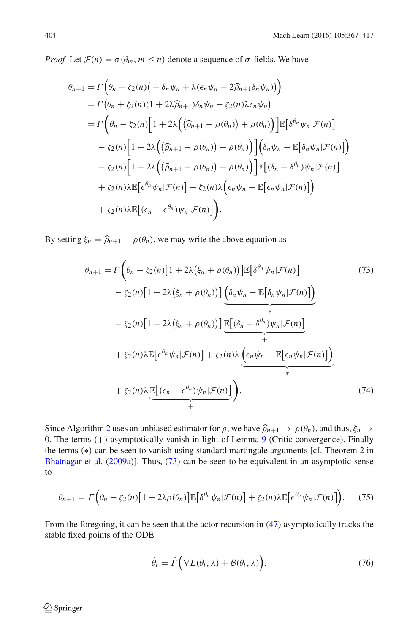*Proof* Let  $\mathcal{F}(n) = \sigma(\theta_m, m \leq n)$  denote a sequence of  $\sigma$ -fields. We have

$$
\theta_{n+1} = \Gamma\left(\theta_n - \zeta_2(n)\left(-\delta_n\psi_n + \lambda(\epsilon_n\psi_n - 2\widehat{\rho}_{n+1}\delta_n\psi_n)\right)\right)
$$
  
\n
$$
= \Gamma\left(\theta_n + \zeta_2(n)(1 + 2\lambda\widehat{\rho}_{n+1})\delta_n\psi_n - \zeta_2(n)\lambda\epsilon_n\psi_n\right)
$$
  
\n
$$
= \Gamma\left(\theta_n - \zeta_2(n)\left[1 + 2\lambda\left((\widehat{\rho}_{n+1} - \rho(\theta_n)) + \rho(\theta_n)\right)\right]\mathbb{E}\left[\delta^{\theta_n}\psi_n|\mathcal{F}(n)\right]\right)
$$
  
\n
$$
- \zeta_2(n)\left[1 + 2\lambda\left((\widehat{\rho}_{n+1} - \rho(\theta_n)) + \rho(\theta_n)\right)\right]\left(\delta_n\psi_n - \mathbb{E}\left[\delta_n\psi_n|\mathcal{F}(n)\right]\right)
$$
  
\n
$$
- \zeta_2(n)\left[1 + 2\lambda\left((\widehat{\rho}_{n+1} - \rho(\theta_n)) + \rho(\theta_n)\right)\right]\mathbb{E}\left[(\delta_n - \delta^{\theta_n})\psi_n|\mathcal{F}(n)\right]
$$
  
\n
$$
+ \zeta_2(n)\lambda\mathbb{E}\left[\epsilon^{\theta_n}\psi_n|\mathcal{F}(n)\right] + \zeta_2(n)\lambda\left(\epsilon_n\psi_n - \mathbb{E}\left[\epsilon_n\psi_n|\mathcal{F}(n)\right]\right)
$$
  
\n
$$
+ \zeta_2(n)\lambda\mathbb{E}\left[(\epsilon_n - \epsilon^{\theta_n})\psi_n|\mathcal{F}(n)\right].
$$

By setting  $\xi_n = \hat{\rho}_{n+1} - \rho(\theta_n)$ , we may write the above equation as

<span id="page-37-0"></span>
$$
\theta_{n+1} = \Gamma\left(\theta_n - \zeta_2(n)\left[1 + 2\lambda\left(\xi_n + \rho(\theta_n)\right)\right]\mathbb{E}\left[\delta^{\theta_n}\psi_n|\mathcal{F}(n)\right] \right)
$$
(73)  

$$
- \zeta_2(n)\left[1 + 2\lambda\left(\xi_n + \rho(\theta_n)\right)\right]\underbrace{\left(\delta_n\psi_n - \mathbb{E}\left[\delta_n\psi_n|\mathcal{F}(n)\right]\right)}_{*}
$$
  

$$
- \zeta_2(n)\left[1 + 2\lambda\left(\xi_n + \rho(\theta_n)\right)\right]\underbrace{\mathbb{E}\left[(\delta_n - \delta^{\theta_n})\psi_n|\mathcal{F}(n)\right]}_{+}
$$
  

$$
+ \zeta_2(n)\lambda\mathbb{E}\left[\epsilon^{\theta_n}\psi_n|\mathcal{F}(n)\right] + \zeta_2(n)\lambda\underbrace{\left(\epsilon_n\psi_n - \mathbb{E}\left[\epsilon_n\psi_n|\mathcal{F}(n)\right]\right)}_{*}
$$
  

$$
+ \zeta_2(n)\lambda\underbrace{\mathbb{E}\left[(\epsilon_n - \epsilon^{\theta_n})\psi_n|\mathcal{F}(n)\right]}_{+}
$$
(74)

Since Algorithm [2](#page-23-1) uses an unbiased estimator for  $\rho$ , we have  $\widehat{\rho}_{n+1} \to \rho(\theta_n)$ , and thus,  $\xi_n \to \infty$ 0. The terms (+) asymptotically vanish in light of Lemma [9](#page-36-2) (Critic convergence). Finally the terms (∗) can be seen to vanish using standard martingale arguments [cf. Theorem 2 in [Bhatnagar et al.](#page-48-4) [\(2009a\)](#page-48-4)]. Thus, [\(73\)](#page-37-0) can be seen to be equivalent in an asymptotic sense to

$$
\theta_{n+1} = \Gamma\left(\theta_n - \zeta_2(n)\left[1 + 2\lambda \rho(\theta_n)\right] \mathbb{E}\left[\delta^{\theta_n} \psi_n | \mathcal{F}(n)\right] + \zeta_2(n)\lambda \mathbb{E}\left[\epsilon^{\theta_n} \psi_n | \mathcal{F}(n)\right]\right).
$$
 (75)

<span id="page-37-1"></span>From the foregoing, it can be seen that the actor recursion in [\(47\)](#page-23-3) asymptotically tracks the stable fixed points of the ODE

$$
\dot{\theta}_t = \check{\Gamma}\Big(\nabla L(\theta_t, \lambda) + \mathcal{B}(\theta_t, \lambda)\Big). \tag{76}
$$

 $\bigcirc$  Springer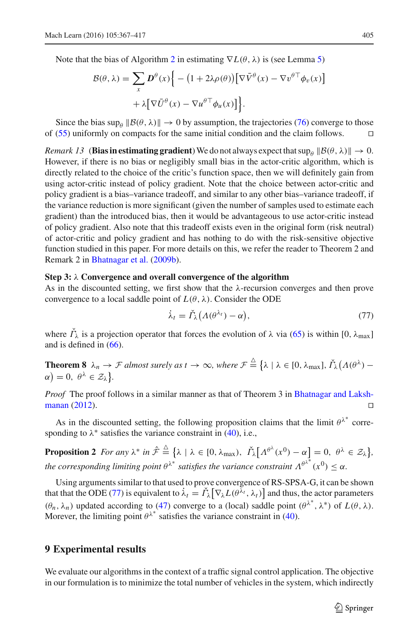Note that the bias of Algorithm [2](#page-23-1) in estimating  $\nabla L(\theta, \lambda)$  is (see Lemma [5\)](#page-24-0)

$$
\mathcal{B}(\theta, \lambda) = \sum_{x} \mathbf{D}^{\theta}(x) \Big\{ - \left(1 + 2\lambda \rho(\theta)\right) \Big[\nabla \bar{V}^{\theta}(x) - \nabla v^{\theta \top} \phi_{v}(x)\Big] + \lambda \Big[\nabla \bar{U}^{\theta}(x) - \nabla u^{\theta \top} \phi_{u}(x)\Big] \Big\}.
$$

Since the bias  $\sup_{\theta} ||\mathcal{B}(\theta, \lambda)|| \to 0$  by assumption, the trajectories [\(76\)](#page-37-1) converge to those of [\(55\)](#page-28-1) uniformly on compacts for the same initial condition and the claim follows. ⊓⊔

*Remark 13* (**Bias in estimating gradient**) We do not always expect that  $\sup_{\theta} ||\mathcal{B}(\theta, \lambda)|| \to 0$ . However, if there is no bias or negligibly small bias in the actor-critic algorithm, which is directly related to the choice of the critic's function space, then we will definitely gain from using actor-critic instead of policy gradient. Note that the choice between actor-critic and policy gradient is a bias–variance tradeoff, and similar to any other bias–variance tradeoff, if the variance reduction is more significant (given the number of samples used to estimate each gradient) than the introduced bias, then it would be advantageous to use actor-critic instead of policy gradient. Also note that this tradeoff exists even in the original form (risk neutral) of actor-critic and policy gradient and has nothing to do with the risk-sensitive objective function studied in this paper. For more details on this, we refer the reader to Theorem 2 and Remark 2 in [Bhatnagar et al.](#page-48-18) [\(2009b](#page-48-18)).

#### **Step 3:** λ **Convergence and overall convergence of the algorithm**

As in the discounted setting, we first show that the  $\lambda$ -recursion converges and then prove convergence to a local saddle point of  $L(\theta, \lambda)$ . Consider the ODE

<span id="page-38-1"></span>
$$
\dot{\lambda}_t = \check{\varGamma}_{\lambda} \big( \Lambda(\theta^{\lambda_t}) - \alpha \big), \tag{77}
$$

where  $\Gamma_{\lambda}$  is a projection operator that forces the evolution of  $\lambda$  via [\(65\)](#page-31-1) is within [0,  $\lambda_{\text{max}}$ ] and is defined in [\(66\)](#page-31-2).

**Theorem 8**  $\lambda_n \to \mathcal{F}$  almost surely as  $t \to \infty$ , where  $\mathcal{F} \triangleq \{\lambda \mid \lambda \in [0, \lambda_{\max}], \check{\Gamma}_\lambda(A(\theta^\lambda))$  $\alpha$ ) = 0,  $\theta^{\lambda} \in \mathcal{Z}_{\lambda}$ .

*Proof* [The proof follows in a similar manner as that of Theorem 3 in](#page-48-19) Bhatnagar and Lakshmanan [\(2012\)](#page-48-19). ⊓⊔

As in the discounted setting, the following proposition claims that the limit  $\theta^{\lambda^*}$  corresponding to  $\lambda^*$  satisfies the variance constraint in [\(40\)](#page-21-2), i.e.,

**Proposition 2** For any  $\lambda^*$  in  $\hat{\mathcal{F}} \stackrel{\triangle}{=} {\lambda \mid \lambda \in [0, \lambda_{\max})}, \ \check{\Gamma}_{\lambda} [\Lambda^{\theta^{\lambda}}(x^0) - \alpha] = 0, \ \theta^{\lambda} \in \mathcal{Z}_{\lambda} }$ *the corresponding limiting point*  $\theta^{\lambda^*}$  satisfies the variance constraint  $\Lambda^{\theta^{\lambda^*}}(x^0) \leq \alpha$ .

Using arguments similar to that used to prove convergence of RS-SPSA-G, it can be shown that that the ODE [\(77\)](#page-38-1) is equivalent to  $\dot{\lambda}_t = \check{\Gamma} \lambda \left[ \nabla_{\lambda} L(\theta^{\bar{\lambda}_t}, \lambda_t) \right]$  and thus, the actor parameters  $(θ<sub>n</sub>, λ<sub>n</sub>)$  updated according to [\(47\)](#page-23-3) converge to a (local) saddle point  $(θ<sup>λ<sup>*</sup></sup>, λ<sup>*</sup>)$  of  $L(θ, λ)$ . Morever, the limiting point  $\theta^{\lambda^*}$  satisfies the variance constraint in [\(40\)](#page-21-2).

### <span id="page-38-0"></span>**9 Experimental results**

We evaluate our algorithms in the context of a traffic signal control application. The objective in our formulation is to minimize the total number of vehicles in the system, which indirectly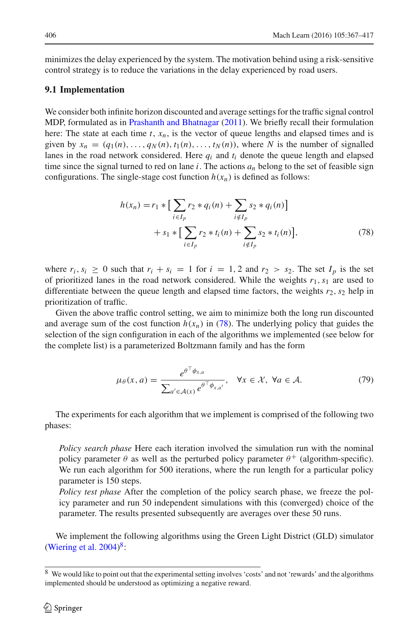minimizes the delay experienced by the system. The motivation behind using a risk-sensitive control strategy is to reduce the variations in the delay experienced by road users.

#### **9.1 Implementation**

We consider both infinite horizon discounted and average settings for the traffic signal control MDP, formulated as in [Prashanth and Bhatnagar](#page-49-29) [\(2011](#page-49-29)). We briefly recall their formulation here: The state at each time *t*, *xn*, is the vector of queue lengths and elapsed times and is given by  $x_n = (q_1(n), \ldots, q_N(n), t_1(n), \ldots, t_N(n))$ , where N is the number of signalled lanes in the road network considered. Here  $q_i$  and  $t_i$  denote the queue length and elapsed time since the signal turned to red on lane  $i$ . The actions  $a_n$  belong to the set of feasible sign configurations. The single-stage cost function  $h(x_n)$  is defined as follows:

<span id="page-39-0"></span>
$$
h(x_n) = r_1 * \Big[ \sum_{i \in I_p} r_2 * q_i(n) + \sum_{i \notin I_p} s_2 * q_i(n) \Big] + s_1 * \Big[ \sum_{i \in I_p} r_2 * t_i(n) + \sum_{i \notin I_p} s_2 * t_i(n) \Big],
$$
(78)

where  $r_i$ ,  $s_i \ge 0$  such that  $r_i + s_i = 1$  for  $i = 1, 2$  and  $r_2 > s_2$ . The set  $I_p$  is the set of prioritized lanes in the road network considered. While the weights  $r_1$ ,  $s_1$  are used to differentiate between the queue length and elapsed time factors, the weights  $r_2$ ,  $s_2$  help in prioritization of traffic.

Given the above traffic control setting, we aim to minimize both the long run discounted and average sum of the cost function  $h(x_n)$  in [\(78\)](#page-39-0). The underlying policy that guides the selection of the sign configuration in each of the algorithms we implemented (see below for the complete list) is a parameterized Boltzmann family and has the form

$$
\mu_{\theta}(x, a) = \frac{e^{\theta^{\top}\phi_{x, a}}}{\sum_{a' \in \mathcal{A}(x)} e^{\theta^{\top}\phi_{x, a'}}}, \quad \forall x \in \mathcal{X}, \ \forall a \in \mathcal{A}.
$$
 (79)

<span id="page-39-2"></span>The experiments for each algorithm that we implement is comprised of the following two phases:

*Policy search phase* Here each iteration involved the simulation run with the nominal policy parameter  $\theta$  as well as the perturbed policy parameter  $\theta^+$  (algorithm-specific). We run each algorithm for 500 iterations, where the run length for a particular policy parameter is 150 steps.

*Policy test phase* After the completion of the policy search phase, we freeze the policy parameter and run 50 independent simulations with this (converged) choice of the parameter. The results presented subsequently are averages over these 50 runs.

We implement the following algorithms using the Green Light District (GLD) simulator (Wiering et al.  $2004$ )<sup>[8](#page-39-1)</sup>:

<span id="page-39-1"></span><sup>8</sup> We would like to point out that the experimental setting involves 'costs' and not 'rewards' and the algorithms implemented should be understood as optimizing a negative reward.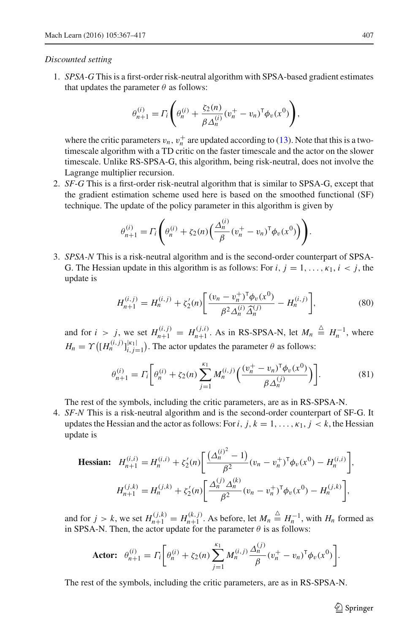#### *Discounted setting*

1. *SPSA-G* This is a first-order risk-neutral algorithm with SPSA-based gradient estimates that updates the parameter  $\theta$  as follows:

$$
\theta_{n+1}^{(i)} = \Gamma_i \left( \theta_n^{(i)} + \frac{\zeta_2(n)}{\beta \Delta_n^{(i)}} (v_n^+ - v_n)^{\mathsf{T}} \phi_v(x^0) \right),
$$

where the critic parameters  $v_n$ ,  $v_n^+$  are updated according to [\(13\)](#page-13-0). Note that this is a twotimescale algorithm with a TD critic on the faster timescale and the actor on the slower timescale. Unlike RS-SPSA-G, this algorithm, being risk-neutral, does not involve the Lagrange multiplier recursion.

2. *SF-G* This is a first-order risk-neutral algorithm that is similar to SPSA-G, except that the gradient estimation scheme used here is based on the smoothed functional (SF) technique. The update of the policy parameter in this algorithm is given by

$$
\theta_{n+1}^{(i)} = \Gamma_i \left( \theta_n^{(i)} + \zeta_2(n) \left( \frac{\Delta_n^{(i)}}{\beta} (v_n^+ - v_n)^T \phi_v(x^0) \right) \right).
$$

3. *SPSA-N* This is a risk-neutral algorithm and is the second-order counterpart of SPSA-G. The Hessian update in this algorithm is as follows: For  $i, j = 1, \ldots, \kappa_1, i < j$ , the update is

$$
H_{n+1}^{(i,j)} = H_n^{(i,j)} + \zeta_2'(n) \left[ \frac{(v_n - v_n^+)^{\mathsf{T}} \phi_v(x^0)}{\beta^2 \Delta_n^{(i)} \widehat{\Delta}_n^{(j)}} - H_n^{(i,j)} \right],\tag{80}
$$

and for  $i > j$ , we set  $H_{n+1}^{(i,j)} = H_{n+1}^{(j,i)}$ . As in RS-SPSA-N, let  $M_n \triangleq H_n^{-1}$ , where  $H_n = \Upsilon\left([H_n^{(i,j)}]_{i,j=1}^{|k_1|}\right)$ . The actor updates the parameter  $\theta$  as follows:

$$
\theta_{n+1}^{(i)} = \Gamma_i \bigg[ \theta_n^{(i)} + \zeta_2(n) \sum_{j=1}^{\kappa_1} M_n^{(i,j)} \bigg( \frac{(v_n^+ - v_n)^{\mathsf{T}} \phi_v(x^0)}{\beta \Delta_n^{(j)}} \bigg) \bigg]. \tag{81}
$$

The rest of the symbols, including the critic parameters, are as in RS-SPSA-N.

4. *SF-N* This is a risk-neutral algorithm and is the second-order counterpart of SF-G. It updates the Hessian and the actor as follows: For *i*,  $j, k = 1, \ldots, \kappa_1, j \lt k$ , the Hessian update is

$$
\text{Hessian:} \quad H_{n+1}^{(i,i)} = H_n^{(i,i)} + \zeta_2'(n) \bigg[ \frac{(\Delta_n^{(i)^2} - 1)}{\beta^2} (v_n - v_n^+)^{\mathsf{T}} \phi_v(x^0) - H_n^{(i,i)} \bigg],
$$
\n
$$
H_{n+1}^{(j,k)} = H_n^{(j,k)} + \zeta_2'(n) \bigg[ \frac{\Delta_n^{(j)} \Delta_n^{(k)}}{\beta^2} (v_n - v_n^+)^{\mathsf{T}} \phi_v(x^0) - H_n^{(j,k)} \bigg],
$$

and for  $j > k$ , we set  $H_{n+1}^{(j,k)} = H_{n+1}^{(k,j)}$ . As before, let  $M_n \stackrel{\triangle}{=} H_n^{-1}$ , with  $H_n$  formed as in SPSA-N. Then, the actor update for the parameter  $\theta$  is as follows:

**Actor:** 
$$
\theta_{n+1}^{(i)} = \Gamma_i \bigg[ \theta_n^{(i)} + \zeta_2(n) \sum_{j=1}^{\kappa_1} M_n^{(i,j)} \frac{\Delta_n^{(j)}}{\beta} (v_n^+ - v_n)^T \phi_v(x^0) \bigg].
$$

The rest of the symbols, including the critic parameters, are as in RS-SPSA-N.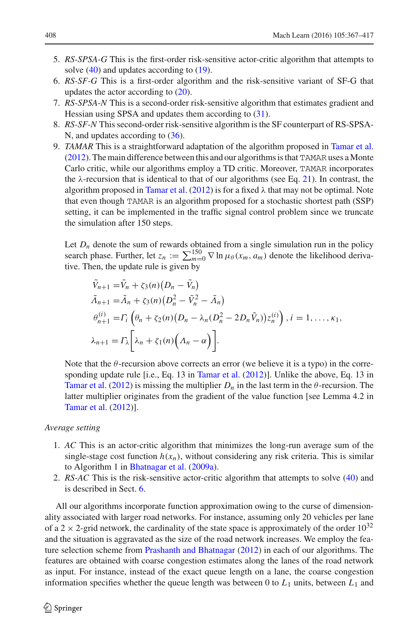- 5. *RS-SPSA-G* This is the first-order risk-sensitive actor-critic algorithm that attempts to solve [\(40\)](#page-21-2) and updates according to [\(19\)](#page-15-3).
- 6. *RS-SF-G* This is a first-order algorithm and the risk-sensitive variant of SF-G that updates the actor according to [\(20\)](#page-15-4).
- 7. *RS-SPSA-N* This is a second-order risk-sensitive algorithm that estimates gradient and Hessian using SPSA and updates them according to [\(31\)](#page-19-0).
- 8. *RS-SF-N* This second-order risk-sensitive algorithm is the SF counterpart of RS-SPSA-N, and updates according to [\(36\)](#page-20-1).
- 9. *TAMAR* This is a straightforward adaptation of the algorithm proposed in [Tamar et al.](#page-50-9)  $(2012)$  $(2012)$ . The main difference between this and our algorithms is that TAMAR uses a Monte Carlo critic, while our algorithms employ a TD critic. Moreover, TAMAR incorporates the  $\lambda$ -recursion that is identical to that of our algorithms (see Eq. [21\)](#page-15-0). In contrast, the algorithm proposed in [Tamar et al.](#page-50-9) [\(2012](#page-50-9)) is for a fixed  $\lambda$  that may not be optimal. Note that even though TAMAR is an algorithm proposed for a stochastic shortest path (SSP) setting, it can be implemented in the traffic signal control problem since we truncate the simulation after 150 steps.

Let  $D_n$  denote the sum of rewards obtained from a single simulation run in the policy search phase. Further, let  $z_n := \sum_{m=0}^{150} \nabla \ln \mu_\theta(x_m, a_m)$  denote the likelihood derivative. Then, the update rule is given by

$$
\tilde{V}_{n+1} = \tilde{V}_n + \zeta_3(n) (D_n - \tilde{V}_n)
$$
\n
$$
\tilde{\Lambda}_{n+1} = \tilde{\Lambda}_n + \zeta_3(n) (D_n^2 - \tilde{V}_n^2 - \tilde{\Lambda}_n)
$$
\n
$$
\theta_{n+1}^{(i)} = \Gamma_i \left( \theta_n + \zeta_2(n) (D_n - \lambda_n (D_n^2 - 2D_n \tilde{V}_n)) z_n^{(i)} \right), i = 1, \dots, \kappa_1,
$$
\n
$$
\lambda_{n+1} = \Gamma_\lambda \left[ \lambda_n + \zeta_1(n) \left( \Lambda_n - \alpha \right) \right].
$$

Note that the  $\theta$ -recursion above corrects an error (we believe it is a typo) in the corresponding update rule [i.e., Eq. 13 in [Tamar et al.](#page-50-9) [\(2012](#page-50-9))]. Unlike the above, Eq. 13 in [Tamar et al.](#page-50-9) [\(2012\)](#page-50-9) is missing the multiplier  $D_n$  in the last term in the  $\theta$ -recursion. The latter multiplier originates from the gradient of the value function [see Lemma 4.2 in [Tamar et al.](#page-50-9) [\(2012](#page-50-9))].

#### *Average setting*

- 1. *AC* This is an actor-critic algorithm that minimizes the long-run average sum of the single-stage cost function  $h(x_n)$ , without considering any risk criteria. This is similar to Algorithm 1 in [Bhatnagar et al.](#page-48-4) [\(2009a\)](#page-48-4).
- 2. *RS-AC* This is the risk-sensitive actor-critic algorithm that attempts to solve [\(40\)](#page-21-2) and is described in Sect. [6.](#page-23-0)

All our algorithms incorporate function approximation owing to the curse of dimensionality associated with larger road networks. For instance, assuming only 20 vehicles per lane of a 2  $\times$  2-grid network, the cardinality of the state space is approximately of the order  $10^{32}$ and the situation is aggravated as the size of the road network increases. We employ the feature selection scheme from [Prashanth and Bhatnagar](#page-49-30) [\(2012\)](#page-49-30) in each of our algorithms. The features are obtained with coarse congestion estimates along the lanes of the road network as input. For instance, instead of the exact queue length on a lane, the coarse congestion information specifies whether the queue length was between 0 to  $L_1$  units, between  $L_1$  and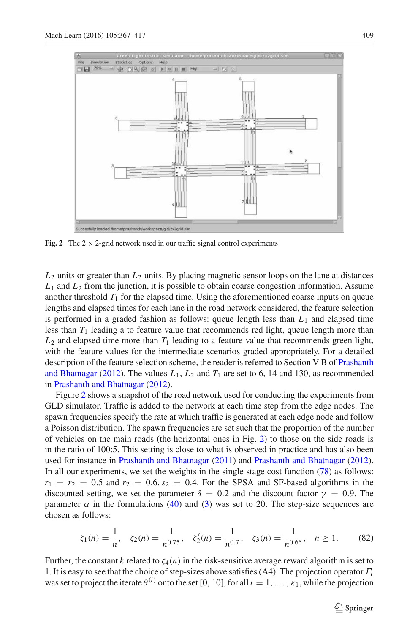

<span id="page-42-0"></span>**Fig. 2** The  $2 \times 2$ -grid network used in our traffic signal control experiments

 $L_2$  units or greater than  $L_2$  units. By placing magnetic sensor loops on the lane at distances  $L_1$  and  $L_2$  from the junction, it is possible to obtain coarse congestion information. Assume another threshold  $T_1$  for the elapsed time. Using the aforementioned coarse inputs on queue lengths and elapsed times for each lane in the road network considered, the feature selection is performed in a graded fashion as follows: queue length less than  $L_1$  and elapsed time less than  $T_1$  leading a to feature value that recommends red light, queue length more than  $L_2$  and elapsed time more than  $T_1$  leading to a feature value that recommends green light, with the feature values for the intermediate scenarios graded appropriately. For a detailed description of [the feature selection scheme, the reader is referred to Section V-B of](#page-49-30) Prashanth and Bhatnagar [\(2012\)](#page-49-30). The values *L*1, *L*<sup>2</sup> and *T*<sup>1</sup> are set to 6, 14 and 130, as recommended in [Prashanth and Bhatnagar](#page-49-30) [\(2012\)](#page-49-30).

Figure [2](#page-42-0) shows a snapshot of the road network used for conducting the experiments from GLD simulator. Traffic is added to the network at each time step from the edge nodes. The spawn frequencies specify the rate at which traffic is generated at each edge node and follow a Poisson distribution. The spawn frequencies are set such that the proportion of the number of vehicles on the main roads (the horizontal ones in Fig. [2\)](#page-42-0) to those on the side roads is in the ratio of 100:5. This setting is close to what is observed in practice and has also been used for instance in [Prashanth and Bhatnagar](#page-49-29) [\(2011](#page-49-29)) and [Prashanth and Bhatnagar](#page-49-30) [\(2012\)](#page-49-30). In all our experiments, we set the weights in the single stage cost function [\(78\)](#page-39-0) as follows:  $r_1 = r_2 = 0.5$  and  $r_2 = 0.6$ ,  $s_2 = 0.4$ . For the SPSA and SF-based algorithms in the discounted setting, we set the parameter  $\delta = 0.2$  and the discount factor  $\gamma = 0.9$ . The parameter  $\alpha$  in the formulations [\(40\)](#page-21-2) and [\(3\)](#page-7-1) was set to 20. The step-size sequences are chosen as follows:

$$
\zeta_1(n) = \frac{1}{n}, \quad \zeta_2(n) = \frac{1}{n^{0.75}}, \quad \zeta_2'(n) = \frac{1}{n^{0.7}}, \quad \zeta_3(n) = \frac{1}{n^{0.66}}, \quad n \ge 1. \tag{82}
$$

Further, the constant *k* related to  $\zeta_4(n)$  in the risk-sensitive average reward algorithm is set to 1. It is easy to see that the choice of step-sizes above satisfies (A4). The projection operator Γ*<sup>i</sup>* was set to project the iterate  $\theta^{(i)}$  onto the set [0, 10], for all  $i = 1, ..., \kappa_1$ , while the projection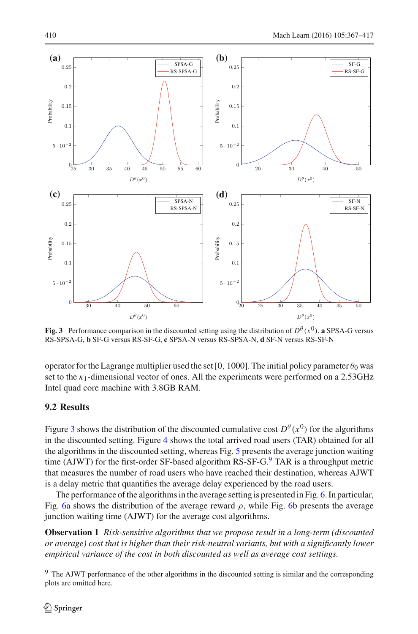

<span id="page-43-0"></span>**Fig. 3** Performance comparison in the discounted setting using the distribution of  $D^{\theta}(x^0)$ . **a** SPSA-G versus RS-SPSA-G, **b** SF-G versus RS-SF-G, **c** SPSA-N versus RS-SPSA-N, **d** SF-N versus RS-SF-N

operator for the Lagrange multiplier used the set [0, 1000]. The initial policy parameter  $\theta_0$  was set to the  $\kappa_1$ -dimensional vector of ones. All the experiments were performed on a 2.53GHz Intel quad core machine with 3.8GB RAM.

# **9.2 Results**

Figure [3](#page-43-0) shows the distribution of the discounted cumulative cost  $D^{\theta}(x^0)$  for the algorithms in the discounted setting. Figure [4](#page-44-0) shows the total arrived road users (TAR) obtained for all the algorithms in the discounted setting, whereas Fig. [5](#page-44-1) presents the average junction waiting time (AJWT) for the first-order SF-based algorithm  $RS-SF-G<sup>9</sup>$  $RS-SF-G<sup>9</sup>$  $RS-SF-G<sup>9</sup>$  TAR is a throughput metric that measures the number of road users who have reached their destination, whereas AJWT is a delay metric that quantifies the average delay experienced by the road users.

The performance of the algorithms in the average setting is presented in Fig. [6.](#page-45-0) In particular, Fig. [6a](#page-45-0) shows the distribution of the average reward  $\rho$ , while Fig. [6b](#page-45-0) presents the average junction waiting time (AJWT) for the average cost algorithms.

**Observation 1** *Risk-sensitive algorithms that we propose result in a long-term (discounted or average) cost that is higher than their risk-neutral variants, but with a significantly lower empirical variance of the cost in both discounted as well as average cost settings.*

<span id="page-43-1"></span><sup>&</sup>lt;sup>9</sup> The AJWT performance of the other algorithms in the discounted setting is similar and the corresponding plots are omitted here.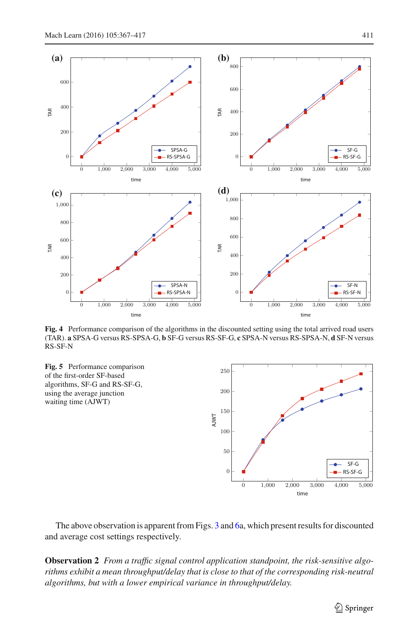

<span id="page-44-0"></span>**Fig. 4** Performance comparison of the algorithms in the discounted setting using the total arrived road users (TAR). **a** SPSA-G versus RS-SPSA-G, **b** SF-G versus RS-SF-G, **c** SPSA-N versus RS-SPSA-N, **d** SF-N versus RS-SF-N

<span id="page-44-1"></span>

The above observation is apparent from Figs. [3](#page-43-0) and [6a](#page-45-0), which present results for discounted and average cost settings respectively.

**Observation 2** *From a traffic signal control application standpoint, the risk-sensitive algorithms exhibit a mean throughput/delay that is close to that of the corresponding risk-neutral algorithms, but with a lower empirical variance in throughput/delay.*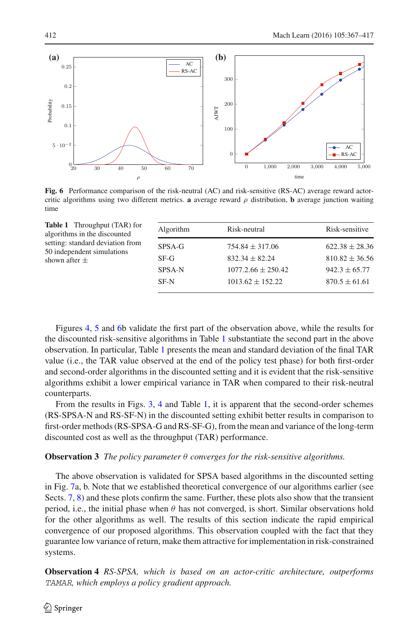

<span id="page-45-0"></span>**Fig. 6** Performance comparison of the risk-neutral (AC) and risk-sensitive (RS-AC) average reward actorcritic algorithms using two different metrics. **a** average reward  $\rho$  distribution, **b** average junction waiting time

<span id="page-45-1"></span>

| <b>Table 1</b> Throughput (TAR) for<br>algorithms in the discounted | Algorithm        | Risk-neutral           | Risk-sensitive     |
|---------------------------------------------------------------------|------------------|------------------------|--------------------|
| setting: standard deviation from<br>50 independent simulations      | SPSA-G<br>$SF-G$ | $754.84 \pm 317.06$    | $622.38 \pm 28.36$ |
| shown after $\pm$                                                   |                  | $832.34 \pm 82.24$     | $810.82 \pm 36.56$ |
|                                                                     | <b>SPSA-N</b>    | $1077.2.66 \pm 250.42$ | $942.3 \pm 65.77$  |
|                                                                     | SF-N             | $1013.62 \pm 152.22$   | $870.5 \pm 61.61$  |
|                                                                     |                  |                        |                    |

Figures [4,](#page-44-0) [5](#page-44-1) and [6b](#page-45-0) validate the first part of the observation above, while the results for the discounted risk-sensitive algorithms in Table [1](#page-45-1) substantiate the second part in the above observation. In particular, Table [1](#page-45-1) presents the mean and standard deviation of the final TAR value (i.e., the TAR value observed at the end of the policy test phase) for both first-order and second-order algorithms in the discounted setting and it is evident that the risk-sensitive algorithms exhibit a lower empirical variance in TAR when compared to their risk-neutral counterparts.

From the results in Figs. [3,](#page-43-0) [4](#page-44-0) and Table [1,](#page-45-1) it is apparent that the second-order schemes (RS-SPSA-N and RS-SF-N) in the discounted setting exhibit better results in comparison to first-order methods (RS-SPSA-G and RS-SF-G), from the mean and variance of the long-term discounted cost as well as the throughput (TAR) performance.

#### **Observation 3** *The policy parameter* θ *converges for the risk-sensitive algorithms.*

The above observation is validated for SPSA based algorithms in the discounted setting in Fig. [7a](#page-46-0), b. Note that we established theoretical convergence of our algorithms earlier (see Sects. [7,](#page-25-0) [8\)](#page-35-0) and these plots confirm the same. Further, these plots also show that the transient period, i.e., the initial phase when  $\theta$  has not converged, is short. Similar observations hold for the other algorithms as well. The results of this section indicate the rapid empirical convergence of our proposed algorithms. This observation coupled with the fact that they guarantee low variance of return, make them attractive for implementation in risk-constrained systems.

**Observation 4** *RS-SPSA, which is based on an actor-critic architecture, outperforms* TAMAR*, which employs a policy gradient approach.*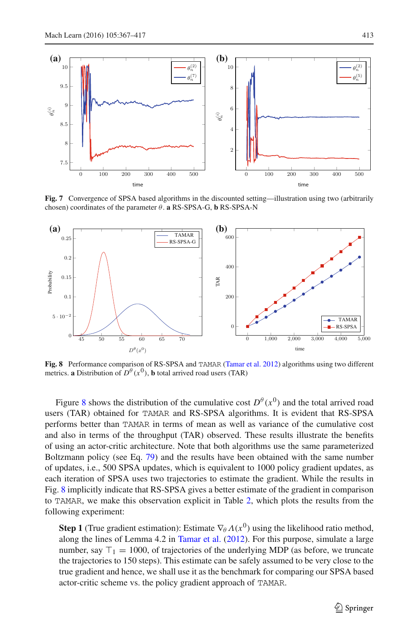

<span id="page-46-0"></span>**Fig. 7** Convergence of SPSA based algorithms in the discounted setting—illustration using two (arbitrarily chosen) coordinates of the parameter  $\theta$ . **a** RS-SPSA-G, **b** RS-SPSA-N



<span id="page-46-1"></span>**Fig. 8** Performance comparison of RS-SPSA and TAMAR [\(Tamar et al. 2012](#page-50-9)) algorithms using two different metrics. **a** Distribution of  $D^{\theta}(x^0)$ , **b** total arrived road users (TAR)

Figure [8](#page-46-1) shows the distribution of the cumulative cost  $D^{\theta}(x^0)$  and the total arrived road users (TAR) obtained for TAMAR and RS-SPSA algorithms. It is evident that RS-SPSA performs better than TAMAR in terms of mean as well as variance of the cumulative cost and also in terms of the throughput (TAR) observed. These results illustrate the benefits of using an actor-critic architecture. Note that both algorithms use the same parameterized Boltzmann policy (see Eq. [79\)](#page-39-2) and the results have been obtained with the same number of updates, i.e., 500 SPSA updates, which is equivalent to 1000 policy gradient updates, as each iteration of SPSA uses two trajectories to estimate the gradient. While the results in Fig. [8](#page-46-1) implicitly indicate that RS-SPSA gives a better estimate of the gradient in comparison to TAMAR, we make this observation explicit in Table [2,](#page-47-1) which plots the results from the following experiment:

**Step 1** (True gradient estimation): Estimate  $\nabla_{\theta} \Lambda(x^0)$  using the likelihood ratio method, along the lines of Lemma 4.2 in [Tamar et al.](#page-50-9) [\(2012](#page-50-9)). For this purpose, simulate a large number, say  $\top_1 = 1000$ , of trajectories of the underlying MDP (as before, we truncate the trajectories to 150 steps). This estimate can be safely assumed to be very close to the true gradient and hence, we shall use it as the benchmark for comparing our SPSA based actor-critic scheme vs. the policy gradient approach of TAMAR.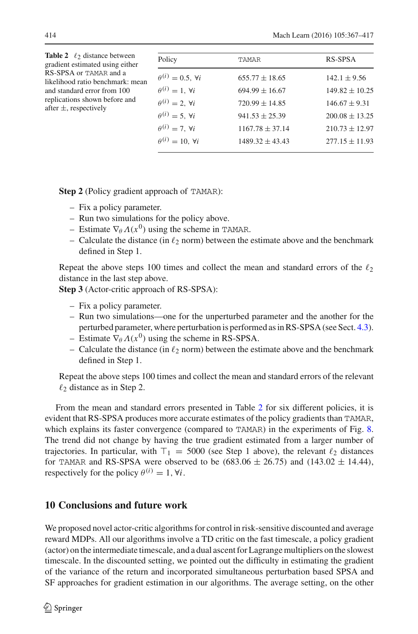<span id="page-47-1"></span>

| <b>Table 2</b> $\ell_2$ distance between<br>gradient estimated using either<br>RS-SPSA or TAMAR and a<br>likelihood ratio benchmark: mean<br>and standard error from 100<br>replications shown before and<br>after $\pm$ , respectively | Policy                            | TAMAR               | RS-SPSA            |
|-----------------------------------------------------------------------------------------------------------------------------------------------------------------------------------------------------------------------------------------|-----------------------------------|---------------------|--------------------|
|                                                                                                                                                                                                                                         | $\theta^{(i)}=0.5$ . $\forall i$  | $655.77 \pm 18.65$  | $142.1 \pm 9.56$   |
|                                                                                                                                                                                                                                         | $\theta^{(i)}=1, \forall i$       | $694.99 \pm 16.67$  | $149.82 \pm 10.25$ |
|                                                                                                                                                                                                                                         | $\theta^{(i)} = 2$ , $\forall i$  | $720.99 \pm 14.85$  | $146.67 \pm 9.31$  |
|                                                                                                                                                                                                                                         | $\theta^{(i)} = 5$ . $\forall i$  | $941.53 \pm 25.39$  | $200.08 \pm 13.25$ |
|                                                                                                                                                                                                                                         | $\theta^{(i)} = 7$ . $\forall i$  | $1167.78 \pm 37.14$ | $210.73 \pm 12.97$ |
|                                                                                                                                                                                                                                         | $\theta^{(i)} = 10$ . $\forall i$ | $1489.32 \pm 43.43$ | $277.15 \pm 11.93$ |
|                                                                                                                                                                                                                                         |                                   |                     |                    |

**Step 2** (Policy gradient approach of TAMAR):

- Fix a policy parameter.
- Run two simulations for the policy above.
- Estimate  $\nabla_{\theta} \Lambda(x^0)$  using the scheme in TAMAR.
- Calculate the distance (in  $\ell_2$  norm) between the estimate above and the benchmark defined in Step 1.

Repeat the above steps 100 times and collect the mean and standard errors of the  $\ell_2$ distance in the last step above.

**Step 3** (Actor-critic approach of RS-SPSA):

- Fix a policy parameter.
- Run two simulations—one for the unperturbed parameter and the another for the perturbed parameter, where perturbation is performed as in RS-SPSA (see Sect. [4.3\)](#page-14-1).
- Estimate  $\nabla_{\theta} \Lambda(x^0)$  using the scheme in RS-SPSA.
- Calculate the distance (in  $\ell_2$  norm) between the estimate above and the benchmark defined in Step 1.

Repeat the above steps 100 times and collect the mean and standard errors of the relevant  $\ell_2$  distance as in Step 2.

From the mean and standard errors presented in Table [2](#page-47-1) for six different policies, it is evident that RS-SPSA produces more accurate estimates of the policy gradients than TAMAR, which explains its faster convergence (compared to TAMAR) in the experiments of Fig. [8.](#page-46-1) The trend did not change by having the true gradient estimated from a larger number of trajectories. In particular, with  $\top_1 = 5000$  (see Step 1 above), the relevant  $\ell_2$  distances for TAMAR and RS-SPSA were observed to be  $(683.06 \pm 26.75)$  and  $(143.02 \pm 14.44)$ , respectively for the policy  $\theta^{(i)} = 1$ ,  $\forall i$ .

# <span id="page-47-0"></span>**10 Conclusions and future work**

We proposed novel actor-critic algorithms for control in risk-sensitive discounted and average reward MDPs. All our algorithms involve a TD critic on the fast timescale, a policy gradient (actor) on the intermediate timescale, and a dual ascent for Lagrange multipliers on the slowest timescale. In the discounted setting, we pointed out the difficulty in estimating the gradient of the variance of the return and incorporated simultaneous perturbation based SPSA and SF approaches for gradient estimation in our algorithms. The average setting, on the other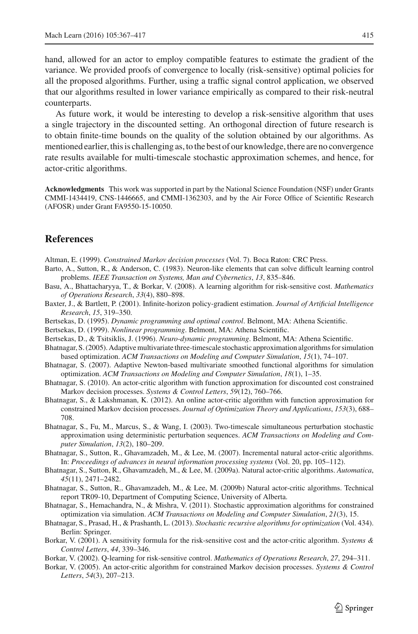hand, allowed for an actor to employ compatible features to estimate the gradient of the variance. We provided proofs of convergence to locally (risk-sensitive) optimal policies for all the proposed algorithms. Further, using a traffic signal control application, we observed that our algorithms resulted in lower variance empirically as compared to their risk-neutral counterparts.

As future work, it would be interesting to develop a risk-sensitive algorithm that uses a single trajectory in the discounted setting. An orthogonal direction of future research is to obtain finite-time bounds on the quality of the solution obtained by our algorithms. As mentioned earlier, this is challenging as, to the best of our knowledge, there are no convergence rate results available for multi-timescale stochastic approximation schemes, and hence, for actor-critic algorithms.

**Acknowledgments** This work was supported in part by the National Science Foundation (NSF) under Grants CMMI-1434419, CNS-1446665, and CMMI-1362303, and by the Air Force Office of Scientific Research (AFOSR) under Grant FA9550-15-10050.

# **References**

- <span id="page-48-15"></span>Altman, E. (1999). *Constrained Markov decision processes* (Vol. 7). Boca Raton: CRC Press.
- <span id="page-48-5"></span>Barto, A., Sutton, R., & Anderson, C. (1983). Neuron-like elements that can solve difficult learning control problems. *IEEE Transaction on Systems, Man and Cybernetics*, *13*, 835–846.
- <span id="page-48-8"></span>Basu, A., Bhattacharyya, T., & Borkar, V. (2008). A learning algorithm for risk-sensitive cost. *Mathematics of Operations Research*, *33*(4), 880–898.
- <span id="page-48-2"></span>Baxter, J., & Bartlett, P. (2001). Infinite-horizon policy-gradient estimation. *Journal of Artificial Intelligence Research*, *15*, 319–350.
- <span id="page-48-0"></span>Bertsekas, D. (1995). *Dynamic programming and optimal control*. Belmont, MA: Athena Scientific.
- <span id="page-48-9"></span>Bertsekas, D. (1999). *Nonlinear programming*. Belmont, MA: Athena Scientific.
- <span id="page-48-1"></span>Bertsekas, D., & Tsitsiklis, J. (1996). *Neuro-dynamic programming*. Belmont, MA: Athena Scientific.
- <span id="page-48-12"></span>Bhatnagar, S. (2005). Adaptive multivariate three-timescale stochastic approximation algorithms for simulation based optimization. *ACM Transactions on Modeling and Computer Simulation*, *15*(1), 74–107.
- <span id="page-48-13"></span>Bhatnagar, S. (2007). Adaptive Newton-based multivariate smoothed functional algorithms for simulation optimization. *ACM Transactions on Modeling and Computer Simulation*, *18*(1), 1–35.
- <span id="page-48-16"></span>Bhatnagar, S. (2010). An actor-critic algorithm with function approximation for discounted cost constrained Markov decision processes. *Systems & Control Letters*, *59*(12), 760–766.
- <span id="page-48-19"></span>Bhatnagar, S., & Lakshmanan, K. (2012). An online actor-critic algorithm with function approximation for constrained Markov decision processes. *Journal of Optimization Theory and Applications*, *153*(3), 688– 708.
- <span id="page-48-11"></span>Bhatnagar, S., Fu, M., Marcus, S., & Wang, I. (2003). Two-timescale simultaneous perturbation stochastic approximation using deterministic perturbation sequences. *ACM Transactions on Modeling and Computer Simulation*, *13*(2), 180–209.
- <span id="page-48-3"></span>Bhatnagar, S., Sutton, R., Ghavamzadeh, M., & Lee, M. (2007). Incremental natural actor-critic algorithms. In: *Proceedings of advances in neural information processing systems* (Vol. 20, pp. 105–112).
- <span id="page-48-4"></span>Bhatnagar, S., Sutton, R., Ghavamzadeh, M., & Lee, M. (2009a). Natural actor-critic algorithms. *Automatica*, *45*(11), 2471–2482.
- <span id="page-48-18"></span>Bhatnagar, S., Sutton, R., Ghavamzadeh, M., & Lee, M. (2009b) Natural actor-critic algorithms. Technical report TR09-10, Department of Computing Science, University of Alberta.
- <span id="page-48-14"></span>Bhatnagar, S., Hemachandra, N., & Mishra, V. (2011). Stochastic approximation algorithms for constrained optimization via simulation. *ACM Transactions on Modeling and Computer Simulation*, *21*(3), 15.
- <span id="page-48-10"></span>Bhatnagar, S., Prasad, H., & Prashanth, L. (2013). *Stochastic recursive algorithms for optimization* (Vol. 434). Berlin: Springer.
- <span id="page-48-6"></span>Borkar, V. (2001). A sensitivity formula for the risk-sensitive cost and the actor-critic algorithm. *Systems & Control Letters*, *44*, 339–346.
- <span id="page-48-7"></span>Borkar, V. (2002). Q-learning for risk-sensitive control. *Mathematics of Operations Research*, *27*, 294–311.
- <span id="page-48-17"></span>Borkar, V. (2005). An actor-critic algorithm for constrained Markov decision processes. *Systems & Control Letters*, *54*(3), 207–213.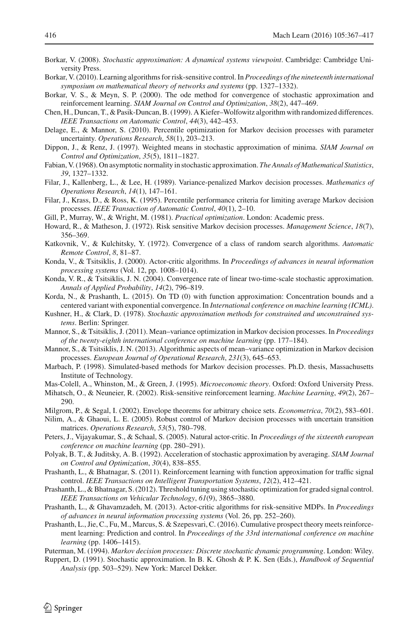- <span id="page-49-15"></span>Borkar, V. (2008). *Stochastic approximation: A dynamical systems viewpoint*. Cambridge: Cambridge University Press.
- <span id="page-49-11"></span>Borkar, V. (2010). Learning algorithms for risk-sensitive control. In *Proceedings of the nineteenth international symposium on mathematical theory of networks and systems* (pp. 1327–1332).
- <span id="page-49-22"></span>Borkar, V. S., & Meyn, S. P. (2000). The ode method for convergence of stochastic approximation and reinforcement learning. *SIAM Journal on Control and Optimization*, *38*(2), 447–469.
- <span id="page-49-19"></span>Chen, H., Duncan, T., & Pasik-Duncan, B. (1999). A Kiefer–Wolfowitz algorithm with randomized differences. *IEEE Transactions on Automatic Control*, *44*(3), 442–453.
- <span id="page-49-5"></span>Delage, E., & Mannor, S. (2010). Percentile optimization for Markov decision processes with parameter uncertainty. *Operations Research*, *58*(1), 203–213.
- <span id="page-49-28"></span>Dippon, J., & Renz, J. (1997). Weighted means in stochastic approximation of minima. *SIAM Journal on Control and Optimization*, *35*(5), 1811–1827.
- <span id="page-49-27"></span>Fabian, V. (1968). On asymptotic normality in stochastic approximation. *The Annals of Mathematical Statistics*, *39*, 1327–1332.
- <span id="page-49-7"></span>Filar, J., Kallenberg, L., & Lee, H. (1989). Variance-penalized Markov decision processes. *Mathematics of Operations Research*, *14*(1), 147–161.
- <span id="page-49-8"></span>Filar, J., Krass, D., & Ross, K. (1995). Percentile performance criteria for limiting average Markov decision processes. *IEEE Transaction of Automatic Control*, *40*(1), 2–10.
- <span id="page-49-21"></span>Gill, P., Murray, W., & Wright, M. (1981). *Practical optimization*. London: Academic press.
- <span id="page-49-6"></span>Howard, R., & Matheson, J. (1972). Risk sensitive Markov decision processes. *Management Science*, *18*(7), 356–369.
- <span id="page-49-14"></span>Katkovnik, V., & Kulchitsky, Y. (1972). Convergence of a class of random search algorithms. *Automatic Remote Control*, *8*, 81–87.
- <span id="page-49-2"></span>Konda, V., & Tsitsiklis, J. (2000). Actor-critic algorithms. In *Proceedings of advances in neural information processing systems* (Vol. 12, pp. 1008–1014).
- <span id="page-49-26"></span>Konda, V. R., & Tsitsiklis, J. N. (2004). Convergence rate of linear two-time-scale stochastic approximation. *Annals of Applied Probability*, *14*(2), 796–819.
- <span id="page-49-16"></span>Korda, N., & Prashanth, L. (2015). On TD (0) with function approximation: Concentration bounds and a centered variant with exponential convergence. In *International conference on machine learning (ICML)*.
- <span id="page-49-23"></span>Kushner, H., & Clark, D. (1978). *Stochastic approximation methods for constrained and unconstrained systems*. Berlin: Springer.
- <span id="page-49-9"></span>Mannor, S., & Tsitsiklis, J. (2011). Mean–variance optimization in Markov decision processes. In *Proceedings of the twenty-eighth international conference on machine learning* (pp. 177–184).
- <span id="page-49-10"></span>Mannor, S., & Tsitsiklis, J. N. (2013). Algorithmic aspects of mean–variance optimization in Markov decision processes. *European Journal of Operational Research*, *231*(3), 645–653.
- <span id="page-49-1"></span>Marbach, P. (1998). Simulated-based methods for Markov decision processes. Ph.D. thesis, Massachusetts Institute of Technology.
- <span id="page-49-24"></span>Mas-Colell, A., Whinston, M., & Green, J. (1995). *Microeconomic theory*. Oxford: Oxford University Press.
- <span id="page-49-12"></span>Mihatsch, O., & Neuneier, R. (2002). Risk-sensitive reinforcement learning. *Machine Learning*, *49*(2), 267– 290.
- <span id="page-49-25"></span>Milgrom, P., & Segal, I. (2002). Envelope theorems for arbitrary choice sets. *Econometrica*, *70*(2), 583–601.
- <span id="page-49-4"></span>Nilim, A., & Ghaoui, L. E. (2005). Robust control of Markov decision processes with uncertain transition matrices. *Operations Research*, *53*(5), 780–798.
- <span id="page-49-3"></span>Peters, J., Vijayakumar, S., & Schaal, S. (2005). Natural actor-critic. In *Proceedings of the sixteenth european conference on machine learning* (pp. 280–291).
- <span id="page-49-17"></span>Polyak, B. T., & Juditsky, A. B. (1992). Acceleration of stochastic approximation by averaging. *SIAM Journal on Control and Optimization*, *30*(4), 838–855.
- <span id="page-49-29"></span>Prashanth, L., & Bhatnagar, S. (2011). Reinforcement learning with function approximation for traffic signal control. *IEEE Transactions on Intelligent Transportation Systems*, *12*(2), 412–421.
- <span id="page-49-30"></span>Prashanth, L., & Bhatnagar, S. (2012). Threshold tuning using stochastic optimization for graded signal control. *IEEE Transactions on Vehicular Technology*, *61*(9), 3865–3880.
- <span id="page-49-13"></span>Prashanth, L., & Ghavamzadeh, M. (2013). Actor-critic algorithms for risk-sensitive MDPs. In *Proceedings of advances in neural information processing systems* (Vol. 26, pp. 252–260).
- <span id="page-49-20"></span>Prashanth, L., Jie, C., Fu, M., Marcus, S. & Szepesvari, C. (2016). Cumulative prospect theory meets reinforcement learning: Prediction and control. In *Proceedings of the 33rd international conference on machine learning* (pp. 1406–1415).

<span id="page-49-0"></span>Puterman, M. (1994). *Markov decision processes: Discrete stochastic dynamic programming*. London: Wiley.

<span id="page-49-18"></span>Ruppert, D. (1991). Stochastic approximation. In B. K. Ghosh & P. K. Sen (Eds.), *Handbook of Sequential Analysis* (pp. 503–529). New York: Marcel Dekker.